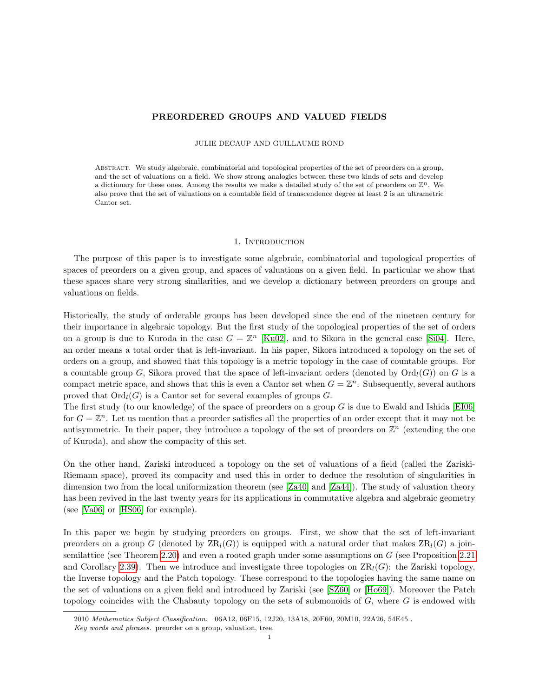# PREORDERED GROUPS AND VALUED FIELDS

#### JULIE DECAUP AND GUILLAUME ROND

Abstract. We study algebraic, combinatorial and topological properties of the set of preorders on a group, and the set of valuations on a field. We show strong analogies between these two kinds of sets and develop a dictionary for these ones. Among the results we make a detailed study of the set of preorders on  $\mathbb{Z}^n$ . We also prove that the set of valuations on a countable field of transcendence degree at least 2 is an ultrametric Cantor set.

#### 1. INTRODUCTION

The purpose of this paper is to investigate some algebraic, combinatorial and topological properties of spaces of preorders on a given group, and spaces of valuations on a given field. In particular we show that these spaces share very strong similarities, and we develop a dictionary between preorders on groups and valuations on fields.

Historically, the study of orderable groups has been developed since the end of the nineteen century for their importance in algebraic topology. But the first study of the topological properties of the set of orders on a group is due to Kuroda in the case  $G = \mathbb{Z}^n$  [\[Ku02\]](#page-36-0), and to Sikora in the general case [\[Si04\]](#page-36-1). Here, an order means a total order that is left-invariant. In his paper, Sikora introduced a topology on the set of orders on a group, and showed that this topology is a metric topology in the case of countable groups. For a countable group G, Sikora proved that the space of left-invariant orders (denoted by  $\text{Ord}_{l}(G)$ ) on G is a compact metric space, and shows that this is even a Cantor set when  $G = \mathbb{Z}^n$ . Subsequently, several authors proved that  $\text{Ord}_l(G)$  is a Cantor set for several examples of groups G.

The first study (to our knowledge) of the space of preorders on a group  $G$  is due to Ewald and Ishida [\[EI06\]](#page-36-2) for  $G = \mathbb{Z}^n$ . Let us mention that a preorder satisfies all the properties of an order except that it may not be antisymmetric. In their paper, they introduce a topology of the set of preorders on  $\mathbb{Z}^n$  (extending the one of Kuroda), and show the compacity of this set.

On the other hand, Zariski introduced a topology on the set of valuations of a field (called the Zariski-Riemann space), proved its compacity and used this in order to deduce the resolution of singularities in dimension two from the local uniformization theorem (see [\[Za40\]](#page-36-3) and [\[Za44\]](#page-37-0)). The study of valuation theory has been revived in the last twenty years for its applications in commutative algebra and algebraic geometry (see [\[Va06\]](#page-36-4) or [\[HS06\]](#page-36-5) for example).

In this paper we begin by studying preorders on groups. First, we show that the set of left-invariant preorders on a group G (denoted by  $\text{ZR}_l(G)$ ) is equipped with a natural order that makes  $\text{ZR}_l(G)$  a joinsemilattice (see Theorem [2.20\)](#page-4-0) and even a rooted graph under some assumptions on G (see Proposition [2.21](#page-4-1) and Corollary [2.39\)](#page-8-0). Then we introduce and investigate three topologies on  $\text{ZR}_l(G)$ : the Zariski topology, the Inverse topology and the Patch topology. These correspond to the topologies having the same name on the set of valuations on a given field and introduced by Zariski (see [\[SZ60\]](#page-36-6) or [\[Ho69\]](#page-36-7)). Moreover the Patch topology coincides with the Chabauty topology on the sets of submonoids of  $G$ , where  $G$  is endowed with

<sup>2010</sup> Mathematics Subject Classification. 06A12, 06F15, 12J20, 13A18, 20F60, 20M10, 22A26, 54E45 .

Key words and phrases. preorder on a group, valuation, tree.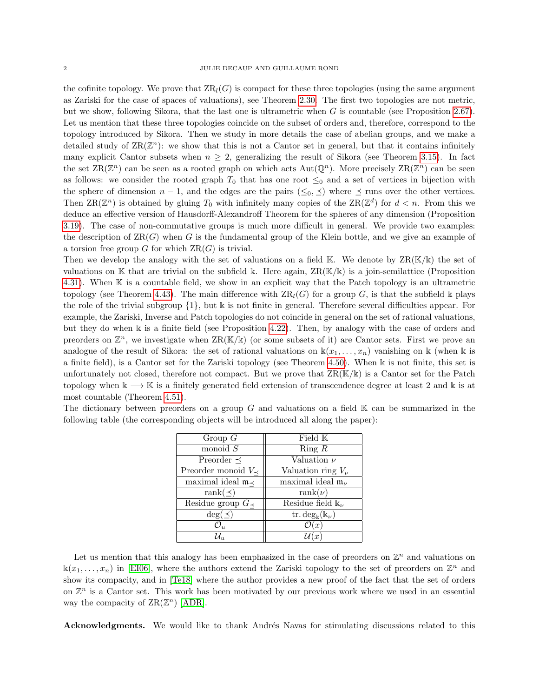the cofinite topology. We prove that  $\text{ZR}_l(G)$  is compact for these three topologies (using the same argument as Zariski for the case of spaces of valuations), see Theorem [2.30.](#page-6-0) The first two topologies are not metric, but we show, following Sikora, that the last one is ultrametric when  $G$  is countable (see Proposition [2.67\)](#page-13-0). Let us mention that these three topologies coincide on the subset of orders and, therefore, correspond to the topology introduced by Sikora. Then we study in more details the case of abelian groups, and we make a detailed study of  $\text{ZR}(\mathbb{Z}^n)$ : we show that this is not a Cantor set in general, but that it contains infinitely many explicit Cantor subsets when  $n \geq 2$ , generalizing the result of Sikora (see Theorem [3.15\)](#page-18-0). In fact the set  $\text{ZR}(\mathbb{Z}^n)$  can be seen as a rooted graph on which acts  $\text{Aut}(\mathbb{Q}^n)$ . More precisely  $\text{ZR}(\mathbb{Z}^n)$  can be seen as follows: we consider the rooted graph  $T_0$  that has one root  $\leq_0$  and a set of vertices in bijection with the sphere of dimension  $n - 1$ , and the edges are the pairs  $(\leq_0, \leq)$  where  $\preceq$  runs over the other vertices. Then  $\text{ZR}(\mathbb{Z}^n)$  is obtained by gluing  $T_0$  with infinitely many copies of the  $\text{ZR}(\mathbb{Z}^d)$  for  $d < n$ . From this we deduce an effective version of Hausdorff-Alexandroff Theorem for the spheres of any dimension (Proposition [3.19\)](#page-20-0). The case of non-commutative groups is much more difficult in general. We provide two examples: the description of  $\text{ZR}(G)$  when G is the fundamental group of the Klein bottle, and we give an example of a torsion free group  $G$  for which  $\operatorname{ZR}(G)$  is trivial.

Then we develop the analogy with the set of valuations on a field  $\mathbb{K}$ . We denote by  $\text{ZR}(\mathbb{K}/\mathbb{K})$  the set of valuations on K that are trivial on the subfield k. Here again,  $\operatorname{ZR}(\mathbb{K}/\mathbb{k})$  is a join-semilattice (Proposition [4.31\)](#page-29-0). When K is a countable field, we show in an explicit way that the Patch topology is an ultrametric topology (see Theorem [4.43\)](#page-31-0). The main difference with  $ZR<sub>l</sub>(G)$  for a group G, is that the subfield k plays the role of the trivial subgroup  $\{1\}$ , but k is not finite in general. Therefore several difficulties appear. For example, the Zariski, Inverse and Patch topologies do not coincide in general on the set of rational valuations, but they do when k is a finite field (see Proposition [4.22\)](#page-28-0). Then, by analogy with the case of orders and preorders on  $\mathbb{Z}^n$ , we investigate when  $\operatorname{ZR}(\mathbb{K}/\mathbb{K})$  (or some subsets of it) are Cantor sets. First we prove an analogue of the result of Sikora: the set of rational valuations on  $\mathbb{k}(x_1,\ldots,x_n)$  vanishing on k (when k is a finite field), is a Cantor set for the Zariski topology (see Theorem [4.50\)](#page-34-0). When k is not finite, this set is unfortunately not closed, therefore not compact. But we prove that  $\text{ZR}(\mathbb{K}/\mathbb{k})$  is a Cantor set for the Patch topology when  $k \longrightarrow \mathbb{K}$  is a finitely generated field extension of transcendence degree at least 2 and k is at most countable (Theorem [4.51\)](#page-35-0).

| Group $G$                            | Field $K$                                 |
|--------------------------------------|-------------------------------------------|
| monoid $S$                           | Ring $R$                                  |
| Preorder $\preceq$                   | Valuation $\nu$                           |
| Preorder monoid $V_{\prec}$          | Valuation ring $V_{\nu}$                  |
| maximal ideal $\mathfrak{m}_{\prec}$ | maximal ideal $\mathfrak{m}_{\nu}$        |
| rank $(\preceq)$                     | $rank(\nu)$                               |
| Residue group $G_{\preceq}$          | Residue field $\mathbb{k}_{\nu}$          |
| $\deg(\preceq)$                      | tr. $\deg_{\mathbf{k}}(\mathbf{k}_{\nu})$ |
| $\mathcal{O}_u$                      | $\mathcal{O}(x)$                          |
| $\mathcal{U}_n$                      | (x <sup>2</sup> )                         |

The dictionary between preorders on a group  $G$  and valuations on a field  $K$  can be summarized in the following table (the corresponding objects will be introduced all along the paper):

Let us mention that this analogy has been emphasized in the case of preorders on  $\mathbb{Z}^n$  and valuations on  $\Bbbk(x_1,\ldots,x_n)$  in [\[EI06\]](#page-36-2), where the authors extend the Zariski topology to the set of preorders on  $\mathbb{Z}^n$  and show its compacity, and in [\[Te18\]](#page-36-8) where the author provides a new proof of the fact that the set of orders on  $\mathbb{Z}^n$  is a Cantor set. This work has been motivated by our previous work where we used in an essential way the compacity of  $\text{ZR}(\mathbb{Z}^n)$  [\[ADR\]](#page-36-9).

Acknowledgments. We would like to thank Andrés Navas for stimulating discussions related to this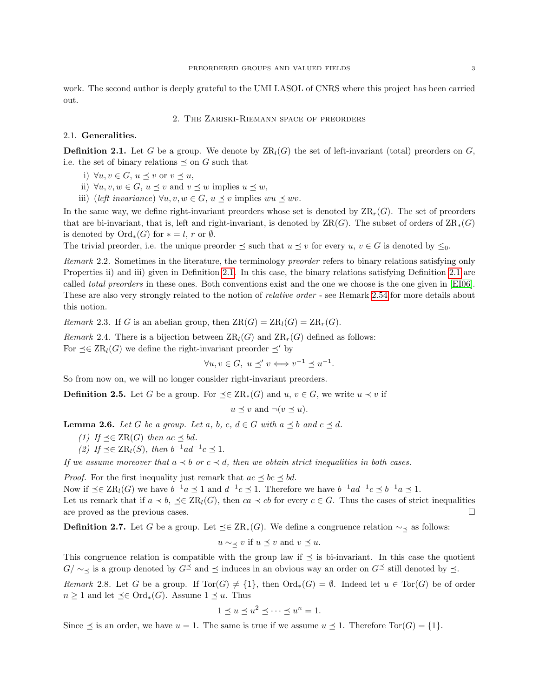work. The second author is deeply grateful to the UMI LASOL of CNRS where this project has been carried out.

## 2. The Zariski-Riemann space of preorders

## 2.1. Generalities.

<span id="page-2-0"></span>**Definition 2.1.** Let G be a group. We denote by  $\text{ZR}_l(G)$  the set of left-invariant (total) preorders on G, i.e. the set of binary relations  $\preceq$  on G such that

- i)  $\forall u, v \in G, u \preceq v \text{ or } v \preceq u,$
- ii)  $\forall u, v, w \in G, u \leq v$  and  $v \leq w$  implies  $u \leq w$ ,
- iii) (left invariance)  $\forall u, v, w \in G, u \leq v$  implies  $wu \leq wv$ .

In the same way, we define right-invariant preorders whose set is denoted by  $\operatorname{ZR}_r(G)$ . The set of preorders that are bi-invariant, that is, left and right-invariant, is denoted by  $\operatorname{ZR}(G)$ . The subset of orders of  $\operatorname{ZR}_*(G)$ is denoted by  $Ord_*(G)$  for  $* = l$ , r or  $\emptyset$ .

The trivial preorder, i.e. the unique preorder  $\preceq$  such that  $u \preceq v$  for every  $u, v \in G$  is denoted by  $\leq_0$ .

Remark 2.2. Sometimes in the literature, the terminology preorder refers to binary relations satisfying only Properties ii) and iii) given in Definition [2.1.](#page-2-0) In this case, the binary relations satisfying Definition [2.1](#page-2-0) are called total preorders in these ones. Both conventions exist and the one we choose is the one given in [\[EI06\]](#page-36-2). These are also very strongly related to the notion of relative order - see Remark [2.54](#page-11-0) for more details about this notion.

Remark 2.3. If G is an abelian group, then  $\operatorname{ZR}_l(G) = \operatorname{ZR}_l(G) = \operatorname{ZR}_r(G)$ .

Remark 2.4. There is a bijection between  $\operatorname{ZR}_l(G)$  and  $\operatorname{ZR}_r(G)$  defined as follows: For  $\preceq \in \text{ZR}_l(G)$  we define the right-invariant preorder  $\preceq'$  by

 $\forall u, v \in G, u \preceq' v \Longleftrightarrow v^{-1} \preceq u^{-1}.$ 

So from now on, we will no longer consider right-invariant preorders.

**Definition 2.5.** Let G be a group. For  $\preceq \in \operatorname{ZR}_*(G)$  and  $u, v \in G$ , we write  $u \prec v$  if

 $u \prec v$  and  $\neg(v \prec u)$ .

<span id="page-2-1"></span>**Lemma 2.6.** Let G be a group. Let a, b, c,  $d \in G$  with  $a \preceq b$  and  $c \preceq d$ .

- (1) If  $\preceq \in \operatorname{ZR}(G)$  then  $ac \preceq bd$ .
- (2) If  $\preceq \in \operatorname{ZR}_l(S)$ , then  $b^{-1}ad^{-1}c \preceq 1$ .

If we assume moreover that  $a \prec b$  or  $c \prec d$ , then we obtain strict inequalities in both cases.

*Proof.* For the first inequality just remark that  $ac \leq bc \leq bd$ .

Now if  $\preceq \in \operatorname{ZR}_l(G)$  we have  $b^{-1}a \preceq 1$  and  $d^{-1}c \preceq 1$ . Therefore we have  $b^{-1}ad^{-1}c \preceq b^{-1}a \preceq 1$ . Let us remark that if  $a \prec b$ ,  $\preceq \in \text{ZR}_l(G)$ , then  $ca \prec cb$  for every  $c \in G$ . Thus the cases of strict inequalities are proved as the previous cases.

**Definition 2.7.** Let G be a group. Let  $\preceq \in \operatorname{ZR}_*(G)$ . We define a congruence relation  $\sim_{\preceq}$  as follows:

$$
u \sim_{\preceq} v
$$
 if  $u \preceq v$  and  $v \preceq u$ .

This congruence relation is compatible with the group law if  $\preceq$  is bi-invariant. In this case the quotient  $G/\sim \zeta$  is a group denoted by  $G^{\preceq}$  and  $\preceq$  induces in an obvious way an order on  $G^{\preceq}$  still denoted by  $\preceq$ .

Remark 2.8. Let G be a group. If  $Tor(G) \neq \{1\}$ , then  $Ord_*(G) = \emptyset$ . Indeed let  $u \in Tor(G)$  be of order  $n \geq 1$  and let  $\preceq \in \text{Ord}_*(G)$ . Assume  $1 \preceq u$ . Thus

$$
1 \le u \le u^2 \le \dots \le u^n = 1.
$$

Since  $\preceq$  is an order, we have  $u = 1$ . The same is true if we assume  $u \preceq 1$ . Therefore Tor(G) = {1}.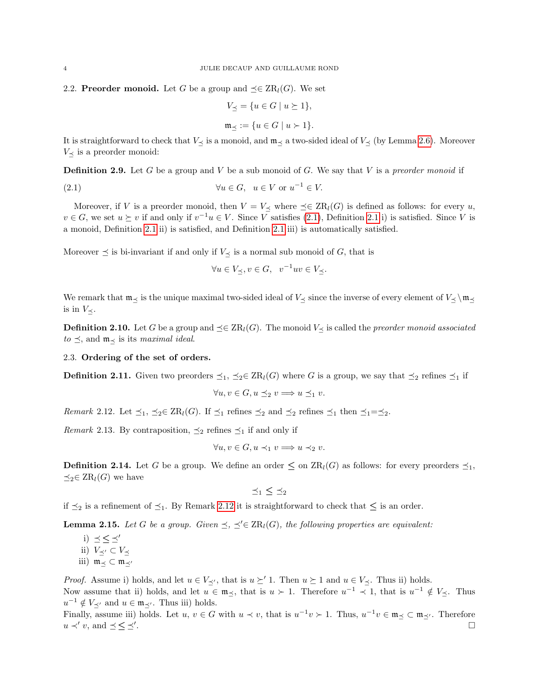2.2. **Preorder monoid.** Let G be a group and  $\preceq \in \operatorname{ZR}_l(G)$ . We set

<span id="page-3-0"></span>
$$
V_{\preceq} = \{ u \in G \mid u \succeq 1 \},\
$$

$$
\mathfrak{m}_{\preceq} := \{ u \in G \mid u \succ 1 \}.
$$

It is straightforward to check that  $V_{\prec}$  is a monoid, and  $\mathfrak{m}_{\prec}$  a two-sided ideal of  $V_{\prec}$  (by Lemma [2.6\)](#page-2-1). Moreover  $V_{\preceq}$  is a preorder monoid:

**Definition 2.9.** Let G be a group and V be a sub monoid of G. We say that V is a preorder monoid if

(2.1) 
$$
\forall u \in G, \quad u \in V \text{ or } u^{-1} \in V.
$$

Moreover, if V is a preorder monoid, then  $V = V_{\preceq}$  where  $\preceq \in \operatorname{ZR}_l(G)$  is defined as follows: for every u,  $v \in G$ , we set  $u \succeq v$  if and only if  $v^{-1}u \in V$ . Since V satisfies [\(2.1\)](#page-3-0), Definition [2.1](#page-2-0) i) is satisfied. Since V is a monoid, Definition [2.1](#page-2-0) ii) is satisfied, and Definition [2.1](#page-2-0) iii) is automatically satisfied.

Moreover  $\preceq$  is bi-invariant if and only if  $V_{\preceq}$  is a normal sub monoid of G, that is

$$
\forall u \in V_{\preceq}, v \in G, \ v^{-1}uv \in V_{\preceq}.
$$

We remark that  $m_\preceq$  is the unique maximal two-sided ideal of  $V_\preceq$  since the inverse of every element of  $V_\preceq \mbox{m}_{\preceq}$ is in  $V_{\prec}$ .

**Definition 2.10.** Let G be a group and  $\preceq \in \text{ZR}_l(G)$ . The monoid  $V_{\preceq}$  is called the *preorder monoid associated*  $to \leq$ , and  $m_{\prec}$  is its maximal ideal.

## 2.3. Ordering of the set of orders.

**Definition 2.11.** Given two preorders  $\preceq_1$ ,  $\preceq_2 \in \operatorname{ZR}_l(G)$  where G is a group, we say that  $\preceq_2$  refines  $\preceq_1$  if

$$
\forall u, v \in G, u \preceq_2 v \Longrightarrow u \preceq_1 v.
$$

<span id="page-3-1"></span>*Remark* 2.12. Let  $\preceq_1$ ,  $\preceq_2 \in \operatorname{ZR}_l(G)$ . If  $\preceq_1$  refines  $\preceq_2$  and  $\preceq_2$  refines  $\preceq_1$  then  $\preceq_1 = \preceq_2$ .

*Remark* 2.13. By contraposition,  $\preceq_2$  refines  $\preceq_1$  if and only if

$$
\forall u, v \in G, u \prec_1 v \Longrightarrow u \prec_2 v.
$$

**Definition 2.14.** Let G be a group. We define an order  $\leq$  on  $\text{ZR}_l(G)$  as follows: for every preorders  $\preceq_1$ ,  $\preceq_2 \in \operatorname{ZR}_l(G)$  we have

$$
\preceq_1 \leq \preceq_2
$$

if  $\leq_2$  is a refinement of  $\leq_1$ . By Remark [2.12](#page-3-1) it is straightforward to check that  $\leq$  is an order.

<span id="page-3-2"></span>**Lemma 2.15.** Let G be a group. Given  $\preceq$ ,  $\preceq' \in \operatorname{ZR}_l(G)$ , the following properties are equivalent:

i)  $\preceq$  <  $\preceq'$ ii)  $V_{\preceq'} \subset V_{\preceq}$ iii)  $m \prec \subset m \prec'$ 

*Proof.* Assume i) holds, and let  $u \in V_{\preceq'}$ , that is  $u \succeq' 1$ . Then  $u \succeq 1$  and  $u \in V_{\preceq}$ . Thus ii) holds. Now assume that ii) holds, and let  $u \in \mathfrak{m}_{\preceq}$ , that is  $u > 1$ . Therefore  $u^{-1} \prec 1$ , that is  $u^{-1} \notin V_{\preceq}$ . Thus  $u^{-1} \notin V_{\preceq'}$  and  $u \in \mathfrak{m}_{\preceq'}$ . Thus iii) holds.

Finally, assume iii) holds. Let  $u, v \in G$  with  $u \prec v$ , that is  $u^{-1}v \succ 1$ . Thus,  $u^{-1}v \in \mathfrak{m}_{\preceq} \subset \mathfrak{m}_{\preceq'}$ . Therefore  $u \prec' v$ , and  $\preceq \leq \preceq'$ . .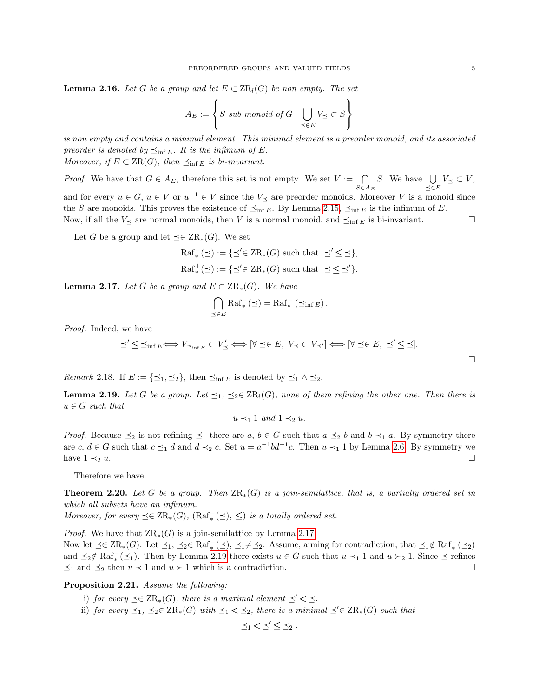**Lemma 2.16.** Let G be a group and let  $E \subset \operatorname{ZR}_l(G)$  be non empty. The set

$$
A_E := \left\{ S \text{ sub monoid of } G \mid \bigcup_{\preceq \in E} V_{\preceq} \subset S \right\}
$$

is non empty and contains a minimal element. This minimal element is a preorder monoid, and its associated preorder is denoted by  $\preceq_{\inf E}$ . It is the infimum of E. Moreover, if  $E \subset \text{ZR}(G)$ , then  $\preceq_{\text{inf } E}$  is bi-invariant.

*Proof.* We have that  $G \in A_E$ , therefore this set is not empty. We set  $V := \bigcap_{S \in A_E}$ S. We have  $\bigcup$  $\bigcup_{\preceq \in E} V_{\preceq} \subset V,$ and for every  $u \in G$ ,  $u \in V$  or  $u^{-1} \in V$  since the  $V_{\preceq}$  are preorder monoids. Moreover V is a monoid since the S are monoids. This proves the existence of  $\preceq_{\inf E}$ . By Lemma [2.15,](#page-3-2)  $\preceq_{\inf E}$  is the infimum of E. Now, if all the  $V_{\preceq}$  are normal monoids, then V is a normal monoid, and  $\preceq_{\inf E}$  is bi-invariant.

Let G be a group and let  $\preceq \in \operatorname{ZR}_*(G)$ . We set

$$
Raf^-_*(\preceq) := \{ \preceq' \in \operatorname{ZR}_*(G) \text{ such that } \preceq' \preceq \preceq \},
$$
  

$$
Raf^+_*(\preceq) := \{ \preceq' \in \operatorname{ZR}_*(G) \text{ such that } \preceq \preceq \preceq' \}.
$$

<span id="page-4-2"></span>**Lemma 2.17.** Let G be a group and  $E \subset \operatorname{ZR}_*(G)$ . We have

$$
\bigcap_{\preceq \in E} \operatorname{Raf}^-_*(\preceq) = \operatorname{Raf}^-_* (\preceq_{\inf E}).
$$

Proof. Indeed, we have

$$
\preceq' \leq \preceq_{\inf E} \Longleftrightarrow V_{\preceq_{\inf E}} \subset V'_{\preceq} \Longleftrightarrow [\forall \preceq \in E, V_{\preceq} \subset V_{\preceq'}] \Longleftrightarrow [\forall \preceq \in E, \preceq' \leq \preceq].
$$

*Remark* 2.18. If  $E := \{\leq_1, \leq_2\}$ , then  $\preceq_{\inf E}$  is denoted by  $\preceq_1 \wedge \preceq_2$ .

<span id="page-4-3"></span>**Lemma 2.19.** Let G be a group. Let  $\preceq_1$ ,  $\preceq_2 \in \operatorname{ZR}_l(G)$ , none of them refining the other one. Then there is  $u \in G$  such that

 $u \prec_1 1$  and  $1 \prec_2 u$ .

*Proof.* Because  $\preceq_2$  is not refining  $\preceq_1$  there are  $a, b \in G$  such that  $a \preceq_2 b$  and  $b \prec_1 a$ . By symmetry there are  $c, d \in G$  such that  $c \preceq_1 d$  and  $d \prec_2 c$ . Set  $u = a^{-1}bd^{-1}c$ . Then  $u \prec_1 1$  by Lemma [2.6.](#page-2-1) By symmetry we have  $1 \prec_2 u$ .

Therefore we have:

<span id="page-4-0"></span>**Theorem 2.20.** Let G be a group. Then  $ZR_*(G)$  is a join-semilattice, that is, a partially ordered set in which all subsets have an infimum.

Moreover, for every  $\preceq \in \operatorname{ZR}_*(G)$ ,  $(\operatorname{Raf}^-_*(\preceq), \preceq)$  is a totally ordered set.

*Proof.* We have that  $\text{ZR}_*(G)$  is a join-semilattice by Lemma [2.17.](#page-4-2) Now let  $\preceq \in \operatorname{ZR}_*(G)$ . Let  $\preceq_1$ ,  $\preceq_2 \in \operatorname{Raf}^-_*(\preceq)$ ,  $\preceq_1 \neq \preceq_2$ . Assume, aiming for contradiction, that  $\preceq_1 \notin \operatorname{Raf}^-_*(\preceq_2)$ and  $\leq_2 \notin \operatorname{Raf}^-_*(\leq_1)$ . Then by Lemma [2.19](#page-4-3) there exists  $u \in G$  such that  $u \prec_1 1$  and  $u \succ_2 1$ . Since  $\preceq$  refines  $\preceq_1$  and  $\preceq_2$  then  $u \prec 1$  and  $u \succ 1$  which is a contradiction.

## <span id="page-4-1"></span>Proposition 2.21. Assume the following:

- i) for every  $\preceq \in \operatorname{ZR}_*(G)$ , there is a maximal element  $\preceq' \prec \preceq$ .
- ii) for every  $\preceq_1$ ,  $\preceq_2 \in \operatorname{ZR}_*(G)$  with  $\preceq_1 < \preceq_2$ , there is a minimal  $\preceq' \in \operatorname{ZR}_*(G)$  such that

$$
\preceq_1 < \preceq' \,\boldsymbol{\leq} \, \preceq_2.
$$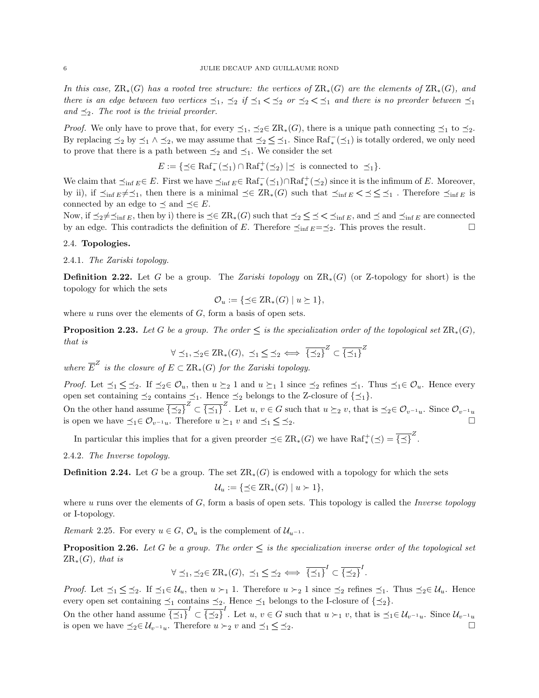In this case,  $\text{ZR}_*(G)$  has a rooted tree structure: the vertices of  $\text{ZR}_*(G)$  are the elements of  $\text{ZR}_*(G)$ , and there is an edge between two vertices  $\preceq_1$ ,  $\preceq_2$  if  $\preceq_1$   $\lt\preceq_2$  or  $\preceq_2$   $\lt\preceq_1$  and there is no preorder between  $\preceq_1$ and  $\preceq_2$ . The root is the trivial preorder.

*Proof.* We only have to prove that, for every  $\leq_1$ ,  $\leq_2 \in \operatorname{ZR}_*(G)$ , there is a unique path connecting  $\leq_1$  to  $\leq_2$ . By replacing  $\leq_2$  by  $\leq_1 \wedge \leq_2$ , we may assume that  $\leq_2 \leq \leq_1$ . Since  $\text{Raf}_{*}^{-}(\leq_1)$  is totally ordered, we only need to prove that there is a path between  $\preceq_2$  and  $\preceq_1$ . We consider the set

$$
E := \{ \preceq \in \operatorname{Raf}^-_*(\preceq_1) \cap \operatorname{Raf}^+_*(\preceq_2) \mid \preceq \text{ is connected to } \preceq_1 \}.
$$

We claim that  $\preceq_{\inf E} \in E$ . First we have  $\preceq_{\inf E} \in \text{Raf}_{*}^{-}(\preceq_{1}) \cap \text{Raf}_{*}^{+}(\preceq_{2})$  since it is the infimum of E. Moreover, by ii), if  $\preceq_{\inf E}$   $\neq \preceq_1$ , then there is a minimal  $\preceq \in \operatorname{ZR}_*(G)$  such that  $\preceq_{\inf E}$   $\lt \preceq \preceq \preceq_1$ . Therefore  $\preceq_{\inf E}$  is connected by an edge to  $\preceq$  and  $\preceq \in E$ .

Now, if  $\preceq_2 \neq \preceq_{\inf E}$ , then by i) there is  $\preceq \in \operatorname{ZR}_*(G)$  such that  $\preceq_2 \preceq \preceq \preceq_{\inf E}$ , and  $\preceq$  and  $\preceq_{\inf E}$  are connected by an edge. This contradicts the definition of E. Therefore  $\preceq_{\inf E} = \preceq_2$ . This proves the result.

#### 2.4. Topologies.

## 2.4.1. The Zariski topology.

**Definition 2.22.** Let G be a group. The Zariski topology on  $\text{ZR}_*(G)$  (or Z-topology for short) is the topology for which the sets

$$
\mathcal{O}_u := \{ \preceq \in \operatorname{ZR}_*(G) \mid u \succeq 1 \},
$$

where  $u$  runs over the elements of  $G$ , form a basis of open sets.

<span id="page-5-0"></span>**Proposition 2.23.** Let G be a group. The order  $\leq$  is the specialization order of the topological set  $\text{ZR}_{\ast}(G)$ , that is

$$
\forall \preceq_1, \preceq_2 \in \operatorname{ZR}_*(G), \preceq_1 \leq \preceq_2 \iff \overline{\{\preceq_2\}}^Z \subset \overline{\{\preceq_1\}}^Z
$$

where  $\overline{E}^Z$  is the closure of  $E \subset \operatorname{ZR}_*(G)$  for the Zariski topology.

*Proof.* Let  $\leq_1$   $\leq$   $\leq_2$ . If  $\leq_2 \in \mathcal{O}_u$ , then  $u \succeq_2 1$  and  $u \succeq_1 1$  since  $\leq_2$  refines  $\leq_1$ . Thus  $\leq_1 \in \mathcal{O}_u$ . Hence every open set containing  $\preceq_2$  contains  $\preceq_1$ . Hence  $\preceq_2$  belongs to the Z-closure of  $\{\preceq_1\}$ .

On the other hand assume  $\overline{\{\preceq_2\}}^Z \subset \overline{\{\preceq_1\}}^Z$ . Let  $u, v \in G$  such that  $u \succeq_2 v$ , that is  $\preceq_2 \in \mathcal{O}_{v^{-1}u}$ . Since  $\mathcal{O}_{v^{-1}u}$ is open we have  $\preceq_1 \in \mathcal{O}_{v^{-1}u}$ . Therefore  $u \succeq_1 v$  and  $\preceq_1 \preceq \preceq_2$ .

In particular this implies that for a given preorder  $\preceq \in \operatorname{ZR}_*(G)$  we have  $\operatorname{Raf}^+_*(\preceq) = \overline{\{\preceq\}}^Z$ .

2.4.2. The Inverse topology.

**Definition 2.24.** Let G be a group. The set  $\text{ZR}_*(G)$  is endowed with a topology for which the sets

$$
\mathcal{U}_u := \{ \preceq \in \operatorname{ZR}_*(G) \mid u \succ 1 \},
$$

where u runs over the elements of  $G$ , form a basis of open sets. This topology is called the *Inverse topology* or I-topology.

Remark 2.25. For every  $u \in G$ ,  $\mathcal{O}_u$  is the complement of  $\mathcal{U}_{u^{-1}}$ .

**Proposition 2.26.** Let G be a group. The order  $\leq$  is the specialization inverse order of the topological set  $ZR_*(G)$ , that is

$$
\forall \preceq_1, \preceq_2 \in \operatorname{ZR}_*(G), \preceq_1 \leq \preceq_2 \iff \overline{\{\preceq_1\}}^I \subset \overline{\{\preceq_2\}}^I.
$$

*Proof.* Let  $\leq_1$   $\leq$   $\leq_2$ . If  $\leq_1 \in U_u$ , then  $u \succ_1 1$ . Therefore  $u \succ_2 1$  since  $\leq_2$  refines  $\leq_1$ . Thus  $\leq_2 \in U_u$ . Hence every open set containing  $\preceq_1$  contains  $\preceq_2$ . Hence  $\preceq_1$  belongs to the I-closure of  $\{\preceq_2\}$ .

On the other hand assume  $\overline{\{\preceq_1\}}^I \subset \overline{\{\preceq_2\}}^I$ . Let  $u, v \in G$  such that  $u \succ_1 v$ , that is  $\preceq_1 \in \mathcal{U}_{v^{-1}u}$ . Since  $\mathcal{U}_{v^{-1}u}$ is open we have  $\preceq_2 \in \mathcal{U}_{v^{-1}u}$ . Therefore  $u \succ_2 v$  and  $\preceq_1 \preceq \preceq_2$ .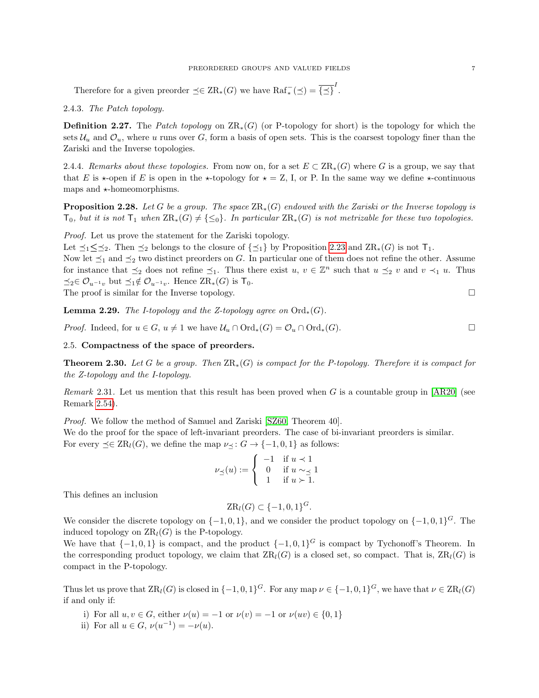## PREORDERED GROUPS AND VALUED FIELDS **7**

Therefore for a given preorder  $\preceq \in \text{ZR}_*(G)$  we have  $\text{Raf}^-_*(\preceq) = \overline{\{\preceq\}}^I$ .

2.4.3. The Patch topology.

**Definition 2.27.** The Patch topology on  $\text{ZR}_*(G)$  (or P-topology for short) is the topology for which the sets  $\mathcal{U}_u$  and  $\mathcal{O}_u$ , where u runs over G, form a basis of open sets. This is the coarsest topology finer than the Zariski and the Inverse topologies.

2.4.4. Remarks about these topologies. From now on, for a set  $E \subset \operatorname{ZR}_*(G)$  where G is a group, we say that that E is  $\star$ -open if E is open in the  $\star$ -topology for  $\star = \mathbb{Z}$ , I, or P. In the same way we define  $\star$ -continuous maps and  $\star$ -homeomorphisms.

**Proposition 2.28.** Let G be a group. The space  $\text{ZR}_*(G)$  endowed with the Zariski or the Inverse topology is  $T_0$ , but it is not  $T_1$  when  $\text{ZR}_*(G) \neq \{\leq_0\}$ . In particular  $\text{ZR}_*(G)$  is not metrizable for these two topologies.

Proof. Let us prove the statement for the Zariski topology.

Let  $\preceq_1 \preceq_2$ . Then  $\preceq_2$  belongs to the closure of  $\{\preceq_1\}$  by Proposition [2.23](#page-5-0) and  $\operatorname{ZR}_*(G)$  is not  $\mathsf{T}_1$ .

Now let  $\preceq_1$  and  $\preceq_2$  two distinct preorders on G. In particular one of them does not refine the other. Assume for instance that  $\preceq_2$  does not refine  $\preceq_1$ . Thus there exist  $u, v \in \mathbb{Z}^n$  such that  $u \preceq_2 v$  and  $v \prec_1 u$ . Thus  $\preceq_2 \in \mathcal{O}_{u^{-1}v}$  but  $\preceq_1 \notin \mathcal{O}_{u^{-1}v}$ . Hence  $\operatorname{ZR}_*(G)$  is  $\mathsf{T}_0$ .

The proof is similar for the Inverse topology.  $\Box$ 

**Lemma 2.29.** The I-topology and the Z-topology agree on  $\text{Ord}_{*}(G)$ .

*Proof.* Indeed, for  $u \in G$ ,  $u \neq 1$  we have  $\mathcal{U}_u \cap \text{Ord}_*(G) = \mathcal{O}_u \cap \text{Ord}_*(G)$ .

## 2.5. Compactness of the space of preorders.

<span id="page-6-0"></span>**Theorem 2.30.** Let G be a group. Then  $ZR_*(G)$  is compact for the P-topology. Therefore it is compact for the Z-topology and the I-topology.

*Remark* 2.31. Let us mention that this result has been proved when G is a countable group in  $[AR20]$  (see Remark [2.54\)](#page-11-0).

Proof. We follow the method of Samuel and Zariski [\[SZ60,](#page-36-6) Theorem 40]. We do the proof for the space of left-invariant preorders. The case of bi-invariant preorders is similar. For every  $\preceq \in \operatorname{ZR}_l(G)$ , we define the map  $\nu \prec : G \to \{-1,0,1\}$  as follows:

$$
\nu_\preceq(u) := \left\{ \begin{array}{cl} -1 & \text{if $u \prec 1$} \\ 0 & \text{if $u \sim \preceq 1$} \\ 1 & \text{if $u \succ 1$} . \end{array} \right.
$$

This defines an inclusion

We consider the discrete topology on  $\{-1,0,1\}$ , and we consider the product topology on  $\{-1,0,1\}$ <sup>G</sup>. The induced topology on  $\operatorname{ZR}_l(G)$  is the P-topology.

 $\text{ZR}_l(G) \subset \{-1,0,1\}^G.$ 

We have that  $\{-1,0,1\}$  is compact, and the product  $\{-1,0,1\}$ <sup>G</sup> is compact by Tychonoff's Theorem. In the corresponding product topology, we claim that  $\text{ZR}_l(G)$  is a closed set, so compact. That is,  $\text{ZR}_l(G)$  is compact in the P-topology.

Thus let us prove that  $\operatorname{ZR}_l(G)$  is closed in  $\{-1,0,1\}^G$ . For any map  $\nu \in \{-1,0,1\}^G$ , we have that  $\nu \in \operatorname{ZR}_l(G)$ if and only if:

- i) For all  $u, v \in G$ , either  $\nu(u) = -1$  or  $\nu(v) = -1$  or  $\nu(uv) \in \{0, 1\}$
- ii) For all  $u \in G$ ,  $\nu(u^{-1}) = -\nu(u)$ .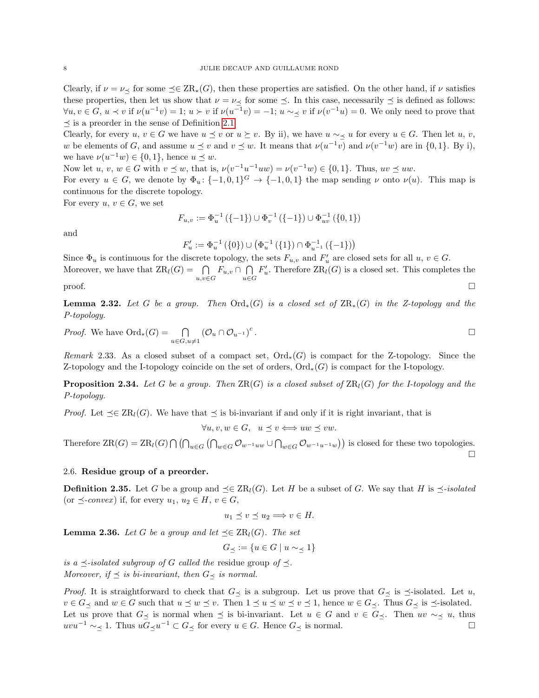Clearly, if  $\nu = \nu_{\preceq}$  for some  $\preceq \in \operatorname{ZR}_*(G)$ , then these properties are satisfied. On the other hand, if  $\nu$  satisfies these properties, then let us show that  $\nu = \nu \prec$  for some  $\preceq$ . In this case, necessarily  $\preceq$  is defined as follows:  $\forall u, v \in G$ ,  $u \prec v$  if  $\nu(u^{-1}v) = 1$ ;  $u \succ v$  if  $\nu(u^{-1}v) = -1$ ;  $u \sim \le v$  if  $\nu(v^{-1}u) = 0$ . We only need to prove that  $\prec$  is a preorder in the sense of Definition [2.1.](#page-2-0)

Clearly, for every  $u, v \in G$  we have  $u \preceq v$  or  $u \succeq v$ . By ii), we have  $u \sim_{\preceq} u$  for every  $u \in G$ . Then let  $u, v$ , w be elements of G, and assume  $u \leq v$  and  $v \leq w$ . It means that  $\nu(u^{-1}v)$  and  $\nu(v^{-1}w)$  are in  $\{0,1\}$ . By i), we have  $\nu(u^{-1}w) \in \{0,1\}$ , hence  $u \preceq w$ .

Now let  $u, v, w \in G$  with  $v \preceq w$ , that is,  $\nu(v^{-1}u^{-1}uw) = \nu(v^{-1}w) \in \{0, 1\}$ . Thus,  $uv \preceq uw$ .

For every  $u \in G$ , we denote by  $\Phi_u: \{-1,0,1\}^G \to \{-1,0,1\}$  the map sending  $\nu$  onto  $\nu(u)$ . This map is continuous for the discrete topology.

For every  $u, v \in G$ , we set

$$
F_{u,v}:=\Phi_u^{-1}\left(\{-1\}\right)\cup\Phi_v^{-1}\left(\{-1\}\right)\cup\Phi_{uv}^{-1}\left(\{0,1\}\right)
$$

and

$$
F_u' := \Phi_u^{-1}\left(\{0\}\right) \cup \left(\Phi_u^{-1}\left(\{1\}\right) \cap \Phi_{u^{-1}}^{-1}\left(\{-1\}\right)\right)
$$

Since  $\Phi_u$  is continuous for the discrete topology, the sets  $F_{u,v}$  and  $F'_u$  are closed sets for all  $u, v \in G$ . Moreover, we have that  $\text{ZR}_l(G) = \bigcap_{u,v \in G} F_{u,v} \cap \bigcap_{u \in G}$ u∈G  $F'_u$ . Therefore  $\operatorname{ZR}_l(G)$  is a closed set. This completes the  $\Box$ 

**Lemma 2.32.** Let G be a group. Then  $\text{Ord}_*(G)$  is a closed set of  $\text{ZR}_*(G)$  in the Z-topology and the P-topology.

*Proof.* We have 
$$
\text{Ord}_*(G) = \bigcap_{u \in G, u \neq 1} (\mathcal{O}_u \cap \mathcal{O}_{u^{-1}})^c
$$
.  $\Box$ 

Remark 2.33. As a closed subset of a compact set,  $Ord_*(G)$  is compact for the Z-topology. Since the Z-topology and the I-topology coincide on the set of orders,  $\text{Ord}_{*}(G)$  is compact for the I-topology.

**Proposition 2.34.** Let G be a group. Then  $\text{ZR}(G)$  is a closed subset of  $\text{ZR}_1(G)$  for the I-topology and the P-topology.

*Proof.* Let  $\preceq \in \text{ZR}_l(G)$ . We have that  $\preceq$  is bi-invariant if and only if it is right invariant, that is

 $\forall u, v, w \in G$ ,  $u \prec v \Longleftrightarrow uw \prec vw$ .

Therefore  $\operatorname{ZR}(G) = \operatorname{ZR}_l(G) \bigcap (\bigcap_{u \in G} (\bigcap_{w \in G} \mathcal{O}_{w^{-1}uw} \cup \bigcap_{w \in G} \mathcal{O}_{w^{-1}u^{-1}w}))$  is closed for these two topologies.  $\Box$ 

## 2.6. Residue group of a preorder.

**Definition 2.35.** Let G be a group and  $\preceq \in \text{ZR}_l(G)$ . Let H be a subset of G. We say that H is  $\preceq$ -isolated (or  $\preceq$ -convex) if, for every  $u_1, u_2 \in H$ ,  $v \in G$ ,

$$
u_1 \preceq v \preceq u_2 \Longrightarrow v \in H.
$$

<span id="page-7-0"></span>**Lemma 2.36.** Let G be a group and let  $\preceq \in \operatorname{ZR}_l(G)$ . The set

$$
G_{\preceq} := \{ u \in G \mid u \sim_{\preceq} 1 \}
$$

is a  $\preceq$ -isolated subgroup of G called the residue group of  $\preceq$ . Moreover, if  $\preceq$  is bi-invariant, then  $G_{\preceq}$  is normal.

*Proof.* It is straightforward to check that  $G_{\prec}$  is a subgroup. Let us prove that  $G_{\prec}$  is  $\preceq$ -isolated. Let u,  $v \in G_{\preceq}$  and  $w \in G$  such that  $u \preceq w \preceq v$ . Then  $1 \preceq u \preceq w \preceq v \preceq 1$ , hence  $w \in G_{\preceq}$ . Thus  $G_{\preceq}$  is  $\preceq$ -isolated. Let us prove that  $G_\preceq$  is normal when  $\preceq$  is bi-invariant. Let  $u \in G$  and  $v \in G_\preceq$ . Then  $uv \sim_{\preceq} u$ , thus  $uvu^{-1} \sim_{\preceq} 1$ . Thus  $uG_{\preceq}u^{-1} \subset G_{\preceq}$  for every  $u \in G$ . Hence  $G_{\preceq}$  is normal.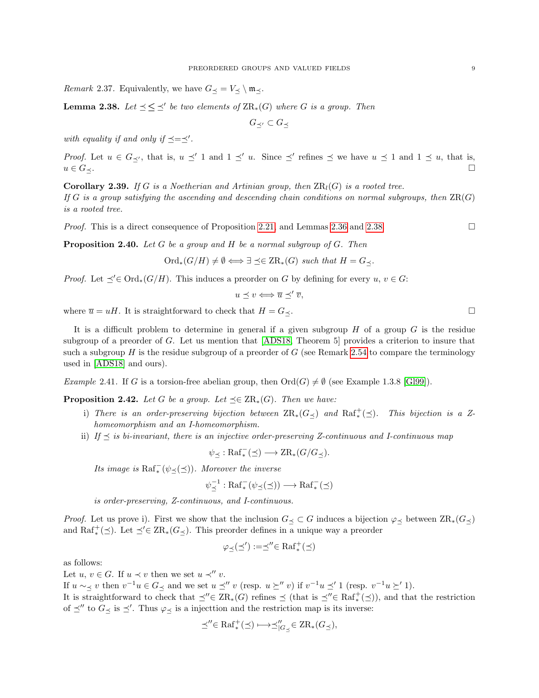*Remark* 2.37. Equivalently, we have  $G_{\preceq} = V_{\preceq} \setminus \mathfrak{m}_{\preceq}$ .

<span id="page-8-1"></span>**Lemma 2.38.** Let  $\leq \leq'$  be two elements of  $\operatorname{ZR}_*(G)$  where G is a group. Then

$$
G_{\preceq'}\subset G_\preceq
$$

with equality if and only if  $\preceq=\preceq'$ .

*Proof.* Let  $u \in G_{\preceq'}$ , that is,  $u \preceq' 1$  and  $1 \preceq' u$ . Since  $\preceq'$  refines  $\preceq$  we have  $u \preceq 1$  and  $1 \preceq u$ , that is,  $u \in G_{\preceq}.$ 

<span id="page-8-0"></span>**Corollary 2.39.** If G is a Noetherian and Artinian group, then  $\text{ZR}_l(G)$  is a rooted tree. If G is a group satisfying the ascending and descending chain conditions on normal subgroups, then  $\operatorname{ZR}(G)$ is a rooted tree.

*Proof.* This is a direct consequence of Proposition [2.21,](#page-4-1) and Lemmas [2.36](#page-7-0) and [2.38.](#page-8-1)

<span id="page-8-4"></span>**Proposition 2.40.** Let G be a group and H be a normal subgroup of G. Then

$$
\mathrm{Ord}_*(G/H)\neq\emptyset\Longleftrightarrow \exists \preceq\in \mathrm{ZR}_*(G)\ \text{such that }H=G_{\preceq}.
$$

*Proof.* Let  $\prec' \in \text{Ord}_*(G/H)$ . This induces a preorder on G by defining for every  $u, v \in G$ :

$$
u \preceq v \Longleftrightarrow \overline{u} \preceq' \overline{v},
$$

where  $\overline{u} = uH$ . It is straightforward to check that  $H = G_{\prec}$ .

It is a difficult problem to determine in general if a given subgroup  $H$  of a group  $G$  is the residue subgroup of a preorder of G. Let us mention that  $[ADS18, Theorem 5]$  provides a criterion to insure that such a subgroup H is the residue subgroup of a preorder of  $G$  (see Remark [2.54](#page-11-0) to compare the terminology used in [\[ADS18\]](#page-36-11) and ours).

<span id="page-8-3"></span>Example 2.41. If G is a torsion-free abelian group, then  $\text{Ord}(G) \neq \emptyset$  (see Example 1.3.8 [\[Gl99\]](#page-36-12)).

<span id="page-8-2"></span>**Proposition 2.42.** Let G be a group. Let  $\preceq \in \operatorname{ZR}_*(G)$ . Then we have:

- i) There is an order-preserving bijection between  $\operatorname{ZR}_*(G_\preceq)$  and  $\operatorname{Raf}^+_*(\preceq)$ . This bijection is a Zhomeomorphism and an I-homeomorphism.
- ii) If  $\preceq$  is bi-invariant, there is an injective order-preserving Z-continuous and I-continuous map

$$
\psi_{\preceq} : \operatorname{Raf}^-_*(\preceq) \longrightarrow \operatorname{ZR}_*(G/G_{\preceq}).
$$

Its image is  $\operatorname{Raf}^-_*(\psi_{\preceq}(\preceq))$ . Moreover the inverse

$$
\psi^{-1}_{\preceq} : \operatorname{Raf}^-_*(\psi_{\preceq}(\preceq)) \longrightarrow \operatorname{Raf}^-_*(\preceq)
$$

is order-preserving, Z-continuous, and I-continuous.

*Proof.* Let us prove i). First we show that the inclusion  $G_{\preceq} \subset G$  induces a bijection  $\varphi_{\preceq}$  between  $\operatorname{ZR}_*(G_{\preceq})$ and  $\text{Raf}^+_*(\preceq)$ . Let  $\preceq' \in \text{ZR}_*(G_{\preceq})$ . This preorder defines in a unique way a preorder

$$
\varphi_\preceq(\preceq'):=\preceq''\in \operatorname{Raf}^+_*(\preceq)
$$

as follows:

Let  $u, v \in G$ . If  $u \prec v$  then we set  $u \prec'' v$ .

If  $u \sim_{\preceq} v$  then  $v^{-1}u \in G_{\preceq}$  and we set  $u \preceq'' v$  (resp.  $u \succeq'' v$ ) if  $v^{-1}u \preceq' 1$  (resp.  $v^{-1}u \succeq' 1$ ).

It is straightforward to check that  $\preceq'' \in \operatorname{ZR}_*(G)$  refines  $\preceq$  (that is  $\preceq'' \in \operatorname{Raf}^+_*(\preceq)$ ), and that the restriction of  $\preceq''$  to  $G_{\preceq}$  is  $\preceq'$ . Thus  $\varphi_{\preceq}$  is a injecttion and the restriction map is its inverse:

$$
\preceq'' \in \operatorname{Raf}^+_*(\preceq) \longmapsto \preceq''_{|G_{\preceq}} \in \operatorname{ZR}_*(G_{\preceq}),
$$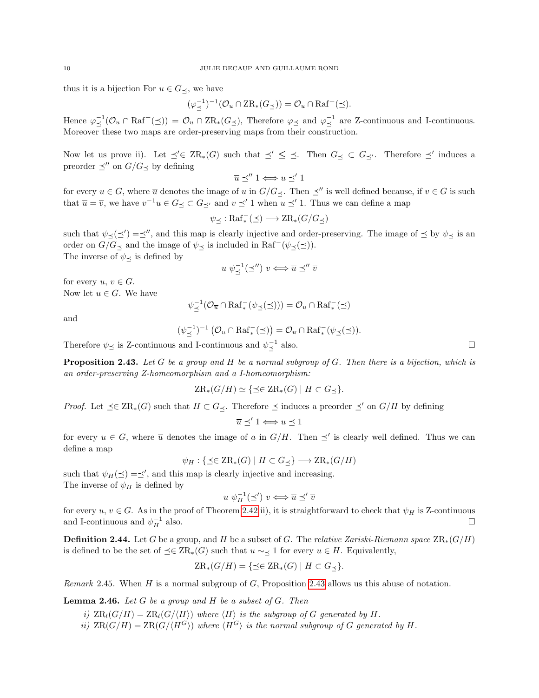thus it is a bijection For  $u \in G_{\prec}$ , we have

$$
(\varphi_{\preceq}^{-1})^{-1}(\mathcal{O}_u \cap \text{ZR}_*(G_{\preceq})) = \mathcal{O}_u \cap \text{Raf}^+(\preceq).
$$

Hence  $\varphi^{-1}_{\preceq}(\mathcal{O}_u \cap \operatorname{Raf}^+(\preceq)) = \mathcal{O}_u \cap \operatorname{ZR}_*(G_{\preceq})$ , Therefore  $\varphi_{\preceq}$  and  $\varphi^{-1}_{\preceq}$  are Z-continuous and I-continuous. Moreover these two maps are order-preserving maps from their construction.

Now let us prove ii). Let  $\preceq' \in \operatorname{ZR}_*(G)$  such that  $\preceq' \preceq \preceq$ . Then  $G_{\preceq} \subset G_{\preceq'}$ . Therefore  $\preceq'$  induces a preorder  $\preceq''$  on  $G/G_{\preceq}$  by defining

 $\overline{u} \preceq'' 1 \Longleftrightarrow u \preceq' 1$ 

for every  $u \in G$ , where  $\overline{u}$  denotes the image of u in  $G/G_{\prec}$ . Then  $\preceq''$  is well defined because, if  $v \in G$  is such that  $\overline{u} = \overline{v}$ , we have  $v^{-1}u \in G_{\preceq} \subset G_{\preceq'}$  and  $v \preceq' 1$  when  $u \preceq' 1$ . Thus we can define a map

$$
\psi_{\preceq} : \operatorname{Raf}^-_*(\preceq) \longrightarrow \operatorname{ZR}_*(G/G_{\preceq})
$$

such that  $\psi_{\preceq}(\preceq') = \preceq''$ , and this map is clearly injective and order-preserving. The image of  $\preceq$  by  $\psi_{\preceq}$  is an order on  $G/G_{\preceq}$  and the image of  $\psi_{\preceq}$  is included in Raf<sup>-</sup>( $\psi_{\preceq}(\preceq)$ ). The inverse of  $\psi_{\preceq}$  is defined by

$$
u \ \psi_{\preceq}^{-1}(\preceq'') \ v \Longleftrightarrow \overline{u} \preceq'' \overline{v}
$$

for every  $u, v \in G$ . Now let  $u \in G$ . We have

$$
\psi_{\preceq}^{-1}(\mathcal{O}_{\overline{u}} \cap \operatorname{Raf}^-_*(\psi_{\preceq}(\preceq))) = \mathcal{O}_u \cap \operatorname{Raf}^-_*(\preceq)
$$

and

$$
(\psi_{\preceq}^{-1})^{-1}(\mathcal{O}_u \cap \operatorname{Raf}^-_*(\preceq)) = \mathcal{O}_{\overline{u}} \cap \operatorname{Raf}^-_*(\psi_{\preceq}(\preceq)).
$$

Therefore  $\psi_{\preceq}$  is Z-continuous and I-continuous and  $\psi_{\preceq}^{-1}$  also.

<span id="page-9-0"></span>**Proposition 2.43.** Let G be a group and H be a normal subgroup of G. Then there is a bijection, which is an order-preserving Z-homeomorphism and a I-homeomorphism:

$$
ZR_*(G/H) \simeq {\{\preceq} \in \operatorname{ZR}_*(G) \mid H \subset G_{\preceq}}.
$$

*Proof.* Let  $\preceq \in \operatorname{ZR}_*(G)$  such that  $H \subset G_{\preceq}$ . Therefore  $\preceq$  induces a preorder  $\preceq'$  on  $G/H$  by defining

$$
\overline{u} \preceq' 1 \Longleftrightarrow u \preceq 1
$$

for every  $u \in G$ , where  $\overline{u}$  denotes the image of a in  $G/H$ . Then  $\preceq'$  is clearly well defined. Thus we can define a map

$$
\psi_H: \{ \preceq \in \operatorname{ZR}_\ast(G) \mid H \subset G_{\preceq} \} \longrightarrow \operatorname{ZR}_\ast(G/H)
$$

such that  $\psi_H(\preceq) = \preceq'$ , and this map is clearly injective and increasing. The inverse of  $\psi_H$  is defined by

$$
u \, \psi_H^{-1}(\preceq') \, v \Longleftrightarrow \overline{u} \preceq' \overline{v}
$$

for every  $u, v \in G$ . As in the proof of Theorem [2.42](#page-8-2) ii), it is straightforward to check that  $\psi_H$  is Z-continuous and I-continuous and  $\psi_H^{-1}$  $\Box$  also.

<span id="page-9-1"></span>**Definition 2.44.** Let G be a group, and H be a subset of G. The relative Zariski-Riemann space  $\text{ZR}_*(G/H)$ is defined to be the set of  $\preceq \in \operatorname{ZR}_*(G)$  such that  $u \sim_{\preceq} 1$  for every  $u \in H$ . Equivalently,

$$
ZR_*(G/H) = \{ \preceq \in \operatorname{ZR}_*(G) \mid H \subset G_{\preceq} \}.
$$

Remark 2.45. When H is a normal subgroup of G, Proposition [2.43](#page-9-0) allows us this abuse of notation.

**Lemma 2.46.** Let  $G$  be a group and  $H$  be a subset of  $G$ . Then

- i)  $\text{ZR}_l(G/H) = \text{ZR}_l(G/\langle H \rangle)$  where  $\langle H \rangle$  is the subgroup of G generated by H.
- ii)  $\text{ZR}(G/H) = \text{ZR}(G/\langle H^G \rangle)$  where  $\langle H^G \rangle$  is the normal subgroup of G generated by H.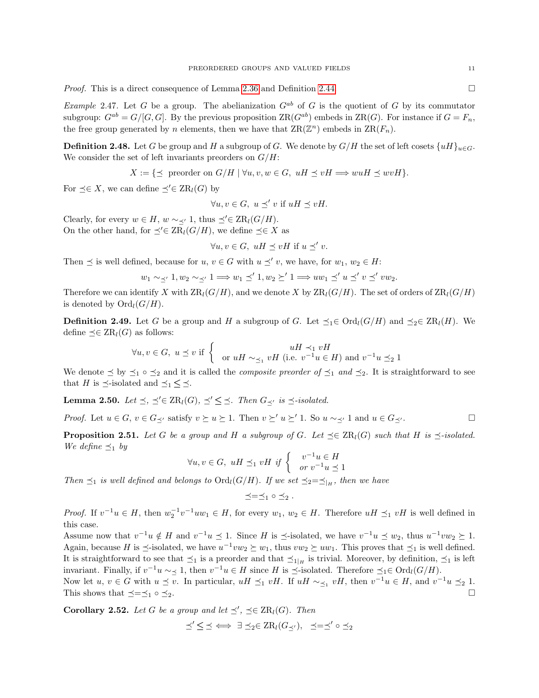*Proof.* This is a direct consequence of Lemma [2.36](#page-7-0) and Definition [2.44.](#page-9-1)

Example 2.47. Let G be a group. The abelianization  $G^{ab}$  of G is the quotient of G by its commutator subgroup:  $G^{ab} = G/[G, G]$ . By the previous proposition  $\text{ZR}(G^{ab})$  embeds in  $\text{ZR}(G)$ . For instance if  $G = F_n$ . the free group generated by n elements, then we have that  $\operatorname{ZR}(\mathbb{Z}^n)$  embeds in  $\operatorname{ZR}(F_n)$ .

<span id="page-10-2"></span>**Definition 2.48.** Let G be group and H a subgroup of G. We denote by  $G/H$  the set of left cosets  $\{uH\}_{u\in G}$ . We consider the set of left invariants preorders on  $G/H$ :

$$
X := \{ \preceq \text{ preorder on } G/H \mid \forall u, v, w \in G, uH \preceq vH \Longrightarrow wuH \preceq wvH \}.
$$

For  $\preceq \in X$ , we can define  $\preceq' \in \operatorname{ZR}_l(G)$  by

 $\forall u, v \in G, u \preceq' v \text{ if } uH \preceq vH.$ 

Clearly, for every  $w \in H$ ,  $w \sim \langle 1, \text{ thus } \preceq' \in \text{ZR}_l(G/H)$ . On the other hand, for  $\preceq' \in \operatorname{ZR}_l(G/H)$ , we define  $\preceq \in X$  as

 $\forall u, v \in G, uH \preceq vH$  if  $u \preceq' v$ .

Then  $\preceq$  is well defined, because for  $u, v \in G$  with  $u \preceq' v$ , we have, for  $w_1, w_2 \in H$ :

$$
w_1 \sim_{\preceq'} 1, w_2 \sim_{\preceq'} 1 \Longrightarrow w_1 \preceq' 1, w_2 \succeq' 1 \Longrightarrow uw_1 \preceq' u \preceq' v \preceq' vw_2.
$$

Therefore we can identify X with  $\text{ZR}_l(G/H)$ , and we denote X by  $\text{ZR}_l(G/H)$ . The set of orders of  $\text{ZR}_l(G/H)$ is denoted by  $\mathrm{Ord}_l(G/H)$ .

<span id="page-10-3"></span>**Definition 2.49.** Let G be a group and H a subgroup of G. Let  $\preceq_1 \in \text{Ord}_l(G/H)$  and  $\preceq_2 \in \text{ZR}_l(H)$ . We define  $\preceq \in \operatorname{ZR}_l(G)$  as follows:

$$
\forall u, v \in G, \ u \preceq v \text{ if } \begin{cases} uH \prec_1 vH \\ \text{or } uH \sim_{\preceq_1} vH \text{ (i.e. } v^{-1}u \in H) \text{ and } v^{-1}u \preceq_2 1 \end{cases}
$$

We denote  $\leq$  by  $\leq_1 \circ \leq_2$  and it is called the *composite preorder of*  $\leq_1$  and  $\leq_2$ . It is straightforward to see that H is  $\preceq$ -isolated and  $\preceq_1 \preceq \preceq$ .

<span id="page-10-1"></span>**Lemma 2.50.** Let  $\preceq$ ,  $\preceq' \in \operatorname{ZR}_l(G)$ ,  $\preceq' \preceq \preceq$ . Then  $G_{\preceq'}$  is  $\preceq$ -isolated.

*Proof.* Let  $u \in G$ ,  $v \in G_{\prec'}$  satisfy  $v \succeq u \succeq 1$ . Then  $v \succeq u \succeq 1$ . So  $u \sim_{\prec'} 1$  and  $u \in G_{\prec'}$ .

<span id="page-10-0"></span>**Proposition 2.51.** Let G be a group and H a subgroup of G. Let  $\preceq \in \operatorname{ZR}_l(G)$  such that H is  $\preceq$ -isolated. We define  $\preceq_1$  by

$$
\forall u, v \in G, \ uH \preceq_1 vH \text{ if } \begin{cases} v^{-1}u \in H \\ or v^{-1}u \preceq 1 \end{cases}
$$

Then  $\preceq_1$  is well defined and belongs to  $\text{Ord}_l(G/H)$ . If we set  $\preceq_2=\preceq_{|H}$ , then we have

$$
\preceq=\preceq_1 \circ \preceq_2.
$$

*Proof.* If  $v^{-1}u \in H$ , then  $w_2^{-1}v^{-1}uw_1 \in H$ , for every  $w_1, w_2 \in H$ . Therefore  $uH \preceq_1 vH$  is well defined in this case.

Assume now that  $v^{-1}u \notin H$  and  $v^{-1}u \preceq 1$ . Since H is  $\preceq$ -isolated, we have  $v^{-1}u \preceq w_2$ , thus  $u^{-1}vw_2 \succeq 1$ . Again, because H is  $\preceq$ -isolated, we have  $u^{-1}vw_2 \succeq w_1$ , thus  $vw_2 \succeq uw_1$ . This proves that  $\preceq_1$  is well defined. It is straightforward to see that  $\preceq_1$  is a preorder and that  $\preceq_{1|H}$  is trivial. Moreover, by definition,  $\preceq_1$  is left invariant. Finally, if  $v^{-1}u \sim \leq 1$ , then  $v^{-1}u \in H$  since H is  $\preceq$ -isolated. Therefore  $\preceq_1 \in \text{Ord}_l(G/H)$ .

Now let  $u, v \in G$  with  $u \preceq v$ . In particular,  $uH \preceq_1 vH$ . If  $uH \sim_{\preceq_1} vH$ , then  $v^{-1}u \in H$ , and  $v^{-1}u \preceq_2 1$ . This shows that  $\preceq = \preceq_1 \circ \preceq_2$ .

**Corollary 2.52.** Let G be a group and let  $\preceq'$ ,  $\preceq \in \operatorname{ZR}_l(G)$ . Then

$$
\preceq' \leq \preceq \iff \exists \preceq_2 \in \operatorname{ZR}_l(G_{\preceq'}), \preceq=\preceq' \circ \preceq_2
$$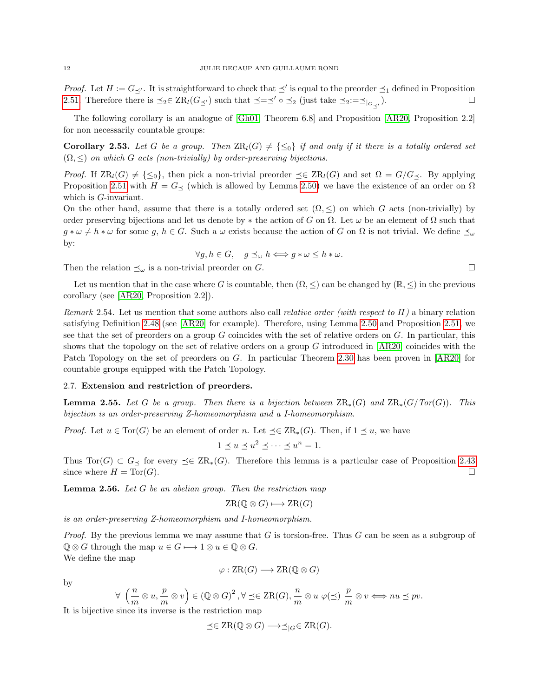*Proof.* Let  $H := G_{\preceq'}$ . It is straightforward to check that  $\preceq'$  is equal to the preorder  $\preceq_1$  defined in Proposition [2.51.](#page-10-0) Therefore there is  $\preceq_2 \in \operatorname{ZR}_l(G_{\preceq'})$  such that  $\preceq=\preceq' \circ \preceq_2$  (just take  $\preceq_2:=\preceq|_{G_{\preceq'}}$ ).  $\Box$ 

The following corollary is an analogue of [\[Gh01,](#page-36-13) Theorem 6.8] and Proposition [\[AR20,](#page-36-10) Proposition 2.2] for non necessarily countable groups:

**Corollary 2.53.** Let G be a group. Then  $\text{ZR}_l(G) \neq \{\leq_0\}$  if and only if it there is a totally ordered set  $(\Omega, \leq)$  on which G acts (non-trivially) by order-preserving bijections.

*Proof.* If  $\text{ZR}_l(G) \neq {\leq_0}$ , then pick a non-trivial preorder  $\preceq \in \text{ZR}_l(G)$  and set  $\Omega = G/G_{\preceq}$ . By applying Proposition [2.51](#page-10-0) with  $H = G_{\leq}$  (which is allowed by Lemma [2.50\)](#page-10-1) we have the existence of an order on  $\Omega$ which is *G*-invariant.

On the other hand, assume that there is a totally ordered set  $(\Omega, \leq)$  on which G acts (non-trivially) by order preserving bijections and let us denote by  $*$  the action of G on  $\Omega$ . Let  $\omega$  be an element of  $\Omega$  such that  $g * \omega \neq h * \omega$  for some g,  $h \in G$ . Such a  $\omega$  exists because the action of G on  $\Omega$  is not trivial. We define  $\preceq_{\omega}$ by:

$$
\forall g, h \in G, \quad g \preceq_{\omega} h \Longleftrightarrow g * \omega \leq h * \omega.
$$

Then the relation  $\preceq_{\omega}$  is a non-trivial preorder on G.

Let us mention that in the case where G is countable, then  $(\Omega, \leq)$  can be changed by  $(\mathbb{R}, \leq)$  in the previous corollary (see [\[AR20,](#page-36-10) Proposition 2.2]).

<span id="page-11-0"></span>Remark 2.54. Let us mention that some authors also call relative order (with respect to  $H$ ) a binary relation satisfying Definition [2.48](#page-10-2) (see [\[AR20\]](#page-36-10) for example). Therefore, using Lemma [2.50](#page-10-1) and Proposition [2.51,](#page-10-0) we see that the set of preorders on a group  $G$  coincides with the set of relative orders on  $G$ . In particular, this shows that the topology on the set of relative orders on a group  $G$  introduced in  $[AR20]$  coincides with the Patch Topology on the set of preorders on G. In particular Theorem [2.30](#page-6-0) has been proven in [\[AR20\]](#page-36-10) for countable groups equipped with the Patch Topology.

#### 2.7. Extension and restriction of preorders.

**Lemma 2.55.** Let G be a group. Then there is a bijection between  $\operatorname{ZR}_*(G)$  and  $\operatorname{ZR}_*(G/Tor(G))$ . This bijection is an order-preserving Z-homeomorphism and a I-homeomorphism.

*Proof.* Let  $u \in Tor(G)$  be an element of order n. Let  $\preceq \in \operatorname{ZR}_*(G)$ . Then, if  $1 \preceq u$ , we have

$$
1 \le u \le u^2 \le \dots \le u^n = 1.
$$

Thus Tor(G)  $\subset G$  for every  $\preceq \in \operatorname{ZR}_*(G)$ . Therefore this lemma is a particular case of Proposition [2.43](#page-9-0) since where  $H = \text{Tor}(G)$ .

<span id="page-11-1"></span>**Lemma 2.56.** Let  $G$  be an abelian group. Then the restriction map

$$
ZR(\mathbb{Q} \otimes G) \longmapsto \operatorname{ZR}(G)
$$

is an order-preserving Z-homeomorphism and I-homeomorphism.

*Proof.* By the previous lemma we may assume that G is torsion-free. Thus G can be seen as a subgroup of  $\mathbb{Q} \otimes G$  through the map  $u \in G \longmapsto 1 \otimes u \in \mathbb{Q} \otimes G$ . We define the map

$$
\varphi : \operatorname{ZR}(G) \longrightarrow \operatorname{ZR}(\mathbb{Q} \otimes G)
$$

by

$$
\forall \ \left(\frac{n}{m}\otimes u,\frac{p}{m}\otimes v\right)\in \left(\mathbb{Q}\otimes G\right)^2, \forall \preceq \in \operatorname{ZR}(G),\frac{n}{m}\otimes u\ \varphi(\preceq)\ \frac{p}{m}\otimes v \Longleftrightarrow nu \preceq pv.
$$

It is bijective since its inverse is the restriction map

$$
\preceq \in \operatorname{ZR}(\mathbb{Q} \otimes G) \longrightarrow \preceq_{|G} \in \operatorname{ZR}(G).
$$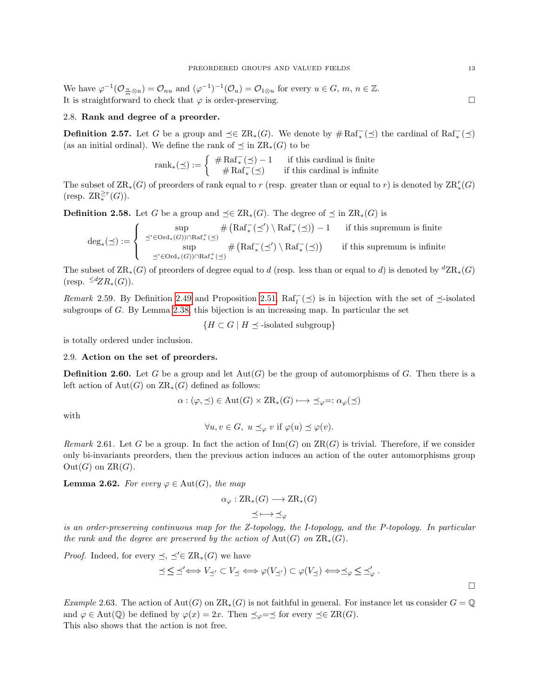We have  $\varphi^{-1}(\mathcal{O}_{\frac{n}{m}\otimes u})=\mathcal{O}_{nu}$  and  $(\varphi^{-1})^{-1}(\mathcal{O}_u)=\mathcal{O}_{1\otimes u}$  for every  $u\in G$ ,  $m, n\in \mathbb{Z}$ . It is straightforward to check that  $\varphi$  is order-preserving.

## 2.8. Rank and degree of a preorder.

**Definition 2.57.** Let G be a group and  $\preceq \in \operatorname{ZR}_*(G)$ . We denote by  $\# \operatorname{Raf}^-_*(\preceq)$  the cardinal of  $\operatorname{Raf}^-_*(\preceq)$ (as an initial ordinal). We define the rank of  $\preceq$  in  $\operatorname{ZR}_*(G)$  to be

$$
\operatorname{rank}_*(\preceq) := \left\{ \begin{array}{cl} \# \operatorname{Raf}^-_*(\preceq) - 1 & \text{if this cardinal is finite} \\ \# \operatorname{Raf}^-_*(\preceq) & \text{if this cardinal is infinite} \end{array} \right.
$$

The subset of  $\operatorname{ZR}_*(G)$  of preorders of rank equal to r (resp. greater than or equal to r) is denoted by  $\operatorname{ZR}_*(G)$ (resp.  $\operatorname{ZR}_{*}^{\geq r}(G)$ ).

**Definition 2.58.** Let G be a group and  $\preceq \in \operatorname{ZR}_*(G)$ . The degree of  $\preceq$  in  $\operatorname{ZR}_*(G)$  is

$$
\deg_*(\preceq):=\left\{\begin{array}{cl} \sup\limits_{\preceq'\in\mathrm{Ord}_*(G))\cap\mathrm{Raf}_+^+(\preceq)}\#\left(\mathrm{Raf}_*^-(\preceq')\setminus\mathrm{Raf}_*^-(\preceq)\right)-1 & \text{ if this supremum is finite} \\ \sup\limits_{\preceq'\in\mathrm{Ord}_*(G))\cap\mathrm{Raf}_+^+(\preceq)}\#\left(\mathrm{Raf}_*^-(\preceq')\setminus\mathrm{Raf}_*^-(\preceq)\right) & \text{ if this supremum is infinite} \end{array}\right.
$$

The subset of  $\operatorname{ZR}_*(G)$  of preorders of degree equal to d (resp. less than or equal to d) is denoted by  ${}^d\operatorname{ZR}_*(G)$  $(\text{resp.} \leq^d ZR_*(G)).$ 

Remark 2.59. By Definition [2.49](#page-10-3) and Proposition [2.51,](#page-10-0)  $\text{Raf}_{l}^{-}(\preceq)$  is in bijection with the set of  $\preceq$ -isolated subgroups of G. By Lemma [2.38,](#page-8-1) this bijection is an increasing map. In particular the set

 ${H \subset G \mid H \preceq$ -isolated subgroup}

is totally ordered under inclusion.

## 2.9. Action on the set of preorders.

**Definition 2.60.** Let G be a group and let  $Aut(G)$  be the group of automorphisms of G. Then there is a left action of  $Aut(G)$  on  $\operatorname{ZR}_*(G)$  defined as follows:

$$
\alpha : (\varphi, \preceq) \in \text{Aut}(G) \times \text{ZR}_{*}(G) \longmapsto \preceq_{\varphi} =: \alpha_{\varphi}(\preceq)
$$

with

$$
\forall u, v \in G, \ u \preceq_{\varphi} v \text{ if } \varphi(u) \preceq \varphi(v).
$$

Remark 2.61. Let G be a group. In fact the action of  $\text{Inn}(G)$  on  $\text{ZR}(G)$  is trivial. Therefore, if we consider only bi-invariants preorders, then the previous action induces an action of the outer automorphisms group  $Out(G)$  on  $ZR(G)$ .

**Lemma 2.62.** For every  $\varphi \in \text{Aut}(G)$ , the map

$$
\alpha_{\varphi}: \operatorname{ZR}_*(G) \longrightarrow \operatorname{ZR}_*(G)
$$

$$
\leq \longmapsto \leq_{\varphi}
$$

is an order-preserving continuous map for the Z-topology, the I-topology, and the P-topology. In particular the rank and the degree are preserved by the action of Aut(G) on  $\operatorname{ZR}_*(G)$ .

*Proof.* Indeed, for every  $\preceq, \preceq' \in \operatorname{ZR}_*(G)$  we have

$$
\preceq \,\boldsymbol{\leq}\, \preceq'\Longleftrightarrow V_{\preceq'}\subset V_{\preceq} \Longleftrightarrow \varphi(V_{\preceq'})\subset \varphi(V_{\preceq}) \Longleftrightarrow \preceq_{\varphi} \,\boldsymbol{\leq}\, \preceq'_{\varphi}.
$$

Example 2.63. The action of  $Aut(G)$  on  $\operatorname{ZR}_*(G)$  is not faithful in general. For instance let us consider  $G = \mathbb{Q}$ and  $\varphi \in \text{Aut}(\mathbb{Q})$  be defined by  $\varphi(x) = 2x$ . Then  $\preceq_{\varphi} = \preceq$  for every  $\preceq \in \text{ZR}(G)$ . This also shows that the action is not free.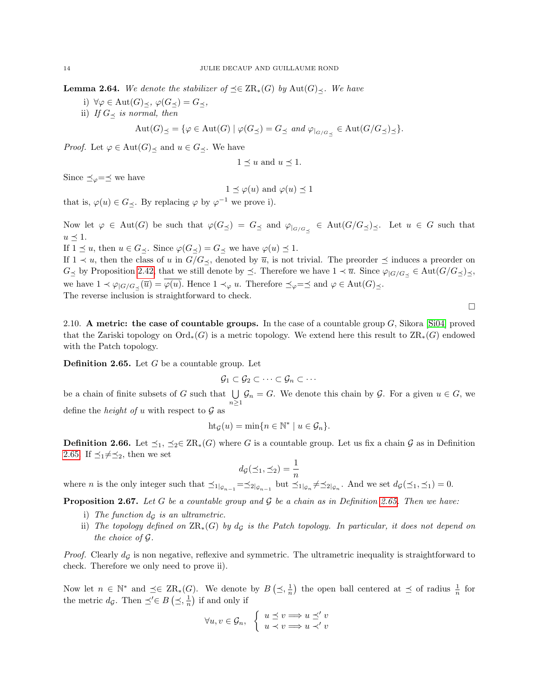<span id="page-13-2"></span>**Lemma 2.64.** We denote the stabilizer of  $\preceq \in \operatorname{ZR}_*(G)$  by  $\operatorname{Aut}(G)_{\preceq}$ . We have

- i)  $\forall \varphi \in \text{Aut}(G)_{\preceq}, \varphi(G_{\preceq}) = G_{\preceq},$
- ii) If  $G_{\prec}$  is normal, then

$$
\mathrm{Aut}(G)_{\preceq} = \{ \varphi \in \mathrm{Aut}(G) \mid \varphi(G_{\preceq}) = G_{\preceq} \text{ and } \varphi_{|_{G/G_{\preceq}}} \in \mathrm{Aut}(G/G_{\preceq})_{\preceq} \}.
$$

*Proof.* Let  $\varphi \in \text{Aut}(G)_{\prec}$  and  $u \in G_{\prec}$ . We have

$$
1 \leq u
$$
 and  $u \leq 1$ .

Since  $\preceq_{\varphi} = \preceq$  we have

$$
1 \preceq \varphi(u)
$$
 and  $\varphi(u) \preceq 1$ 

that is,  $\varphi(u) \in G_{\preceq}$ . By replacing  $\varphi$  by  $\varphi^{-1}$  we prove i).

Now let  $\varphi \in Aut(G)$  be such that  $\varphi(G_{\preceq}) = G_{\preceq}$  and  $\varphi|_{G/G_{\preceq}} \in Aut(G/G_{\preceq})_{\preceq}$ . Let  $u \in G$  such that  $u \preceq 1$ .

If  $1 \leq u$ , then  $u \in G_{\preceq}$ . Since  $\varphi(G_{\preceq}) = G_{\preceq}$  we have  $\varphi(u) \preceq 1$ .

If  $1 \prec u$ , then the class of u in  $G/G \prec$ , denoted by  $\overline{u}$ , is not trivial. The preorder  $\preceq$  induces a preorder on  $G_{\leq}$  by Proposition [2.42,](#page-8-2) that we still denote by  $\leq$ . Therefore we have  $1 \prec \overline{u}$ . Since  $\varphi_{|G/G_{\leq}} \in \text{Aut}(G/G_{\leq})_{\leq}$ , we have  $1 \prec \varphi_{|G/G}\langle \overline{u}\rangle = \varphi(u)$ . Hence  $1 \prec_{\varphi} u$ . Therefore  $\preceq_{\varphi} = \preceq$  and  $\varphi \in \text{Aut}(G)_{\preceq}$ . The reverse inclusion is straightforward to check.

2.10. A metric: the case of countable groups. In the case of a countable group  $G$ , Sikora [\[Si04\]](#page-36-1) proved that the Zariski topology on  $\text{Ord}_*(G)$  is a metric topology. We extend here this result to  $\text{ZR}_*(G)$  endowed with the Patch topology.

 $\Box$ 

<span id="page-13-1"></span>**Definition 2.65.** Let  $G$  be a countable group. Let

$$
\mathcal{G}_1 \subset \mathcal{G}_2 \subset \cdots \subset \mathcal{G}_n \subset \cdots
$$

be a chain of finite subsets of G such that  $\bigcup \mathcal{G}_n = G$ . We denote this chain by G. For a given  $u \in G$ , we  $n\geq 1$ define the *height of u* with respect to  $\mathcal G$  as

$$
ht_{\mathcal{G}}(u) = \min\{n \in \mathbb{N}^* \mid u \in \mathcal{G}_n\}.
$$

**Definition 2.66.** Let  $\preceq_1$ ,  $\preceq_2 \in \operatorname{ZR}_*(G)$  where G is a countable group. Let us fix a chain G as in Definition [2.65.](#page-13-1) If  $\preceq_1 \neq \preceq_2$ , then we set

$$
d_{\mathcal{G}}(\preceq_1,\preceq_2) = \frac{1}{n}
$$

where *n* is the only integer such that  $\preceq_{1|\mathcal{G}_{n-1}} = \preceq_{2|\mathcal{G}_{n-1}}$  but  $\preceq_{1|\mathcal{G}_n} \neq \preceq_{2|\mathcal{G}_n}$ . And we set  $d_{\mathcal{G}}(\preceq_1, \preceq_1) = 0$ .

<span id="page-13-0"></span>**Proposition 2.67.** Let G be a countable group and G be a chain as in Definition [2.65.](#page-13-1) Then we have:

- i) The function  $d_G$  is an ultrametric.
- ii) The topology defined on  $\operatorname{ZR}_*(G)$  by  $d_G$  is the Patch topology. In particular, it does not depend on the choice of G.

*Proof.* Clearly  $d<sub>G</sub>$  is non negative, reflexive and symmetric. The ultrametric inequality is straightforward to check. Therefore we only need to prove ii).

Now let  $n \in \mathbb{N}^*$  and  $\preceq \in \operatorname{ZR}_*(G)$ . We denote by  $B\left(\preceq, \frac{1}{n}\right)$  the open ball centered at  $\preceq$  of radius  $\frac{1}{n}$  for the metric  $d_{\mathcal{G}}$ . Then  $\preceq' \in B \left( \preceq, \frac{1}{n} \right)$  if and only if

$$
\forall u, v \in \mathcal{G}_n, \ \left\{ \begin{array}{l} u \preceq v \Longrightarrow u \preceq' v \\ u \prec v \Longrightarrow u \prec' v \end{array} \right.
$$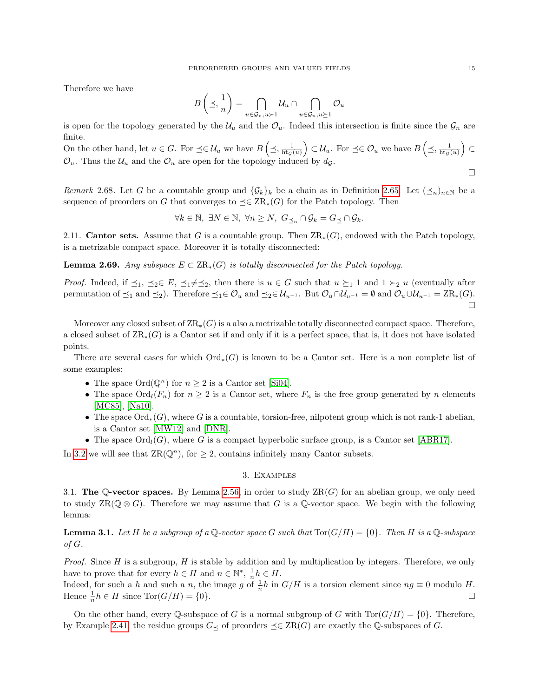Therefore we have

$$
B\left(\preceq,\frac{1}{n}\right)=\bigcap_{u\in\mathcal{G}_n,u\succ 1}\mathcal{U}_u\cap\bigcap_{u\in\mathcal{G}_n,u\succeq 1}\mathcal{O}_u
$$

is open for the topology generated by the  $\mathcal{U}_u$  and the  $\mathcal{O}_u$ . Indeed this intersection is finite since the  $\mathcal{G}_n$  are finite.

On the other hand, let  $u \in G$ . For  $\preceq \in \mathcal{U}_u$  we have  $B\left(\preceq, \frac{1}{\text{ht}_{\mathcal{G}}(u)}\right) \subset \mathcal{U}_u$ . For  $\preceq \in \mathcal{O}_u$  we have  $B\left(\preceq, \frac{1}{\text{ht}_{\mathcal{G}}(u)}\right) \subset$  $\mathcal{O}_u$ . Thus the  $\mathcal{U}_u$  and the  $\mathcal{O}_u$  are open for the topology induced by  $d_{\mathcal{G}}$ .

<span id="page-14-1"></span>Remark 2.68. Let G be a countable group and  $\{\mathcal{G}_k\}_k$  be a chain as in Definition [2.65.](#page-13-1) Let  $(\preceq_n)_{n\in\mathbb{N}}$  be a sequence of preorders on G that converges to  $\preceq \in \operatorname{ZR}_*(G)$  for the Patch topology. Then

 $\forall k \in \mathbb{N}, \exists N \in \mathbb{N}, \forall n \ge N, G_{\preceq_n} \cap \mathcal{G}_k = G_{\preceq} \cap \mathcal{G}_k.$ 

2.11. **Cantor sets.** Assume that G is a countable group. Then  $\text{ZR}_*(G)$ , endowed with the Patch topology, is a metrizable compact space. Moreover it is totally disconnected:

<span id="page-14-2"></span>**Lemma 2.69.** Any subspace  $E \subset \text{ZR}_{*}(G)$  is totally disconnected for the Patch topology.

*Proof.* Indeed, if  $\preceq_1$ ,  $\preceq_2 \in E$ ,  $\preceq_1 \neq \preceq_2$ , then there is  $u \in G$  such that  $u \succeq_1 1$  and  $1 \succ_2 u$  (eventually after permutation of  $\preceq_1$  and  $\preceq_2$ ). Therefore  $\preceq_1 \in \mathcal{O}_u$  and  $\preceq_2 \in \mathcal{U}_{u^{-1}}$ . But  $\mathcal{O}_u \cap \mathcal{U}_{u^{-1}} = \emptyset$  and  $\mathcal{O}_u \cup \mathcal{U}_{u^{-1}} = \text{ZR}_*(G)$ .  $\Box$ 

Moreover any closed subset of  $\text{ZR}_{*}(G)$  is a also a metrizable totally disconnected compact space. Therefore, a closed subset of  $\text{ZR}_*(G)$  is a Cantor set if and only if it is a perfect space, that is, it does not have isolated points.

There are several cases for which  $\text{Ord}_{*}(G)$  is known to be a Cantor set. Here is a non complete list of some examples:

- The space  $\text{Ord}(\mathbb{Q}^n)$  for  $n \geq 2$  is a Cantor set [\[Si04\]](#page-36-1).
- The space  $\text{Ord}_l(F_n)$  for  $n \geq 2$  is a Cantor set, where  $F_n$  is the free group generated by n elements [\[MC85\]](#page-36-14), [\[Na10\]](#page-36-15).
- The space  $\text{Ord}_{*}(G)$ , where G is a countable, torsion-free, nilpotent group which is not rank-1 abelian, is a Cantor set [\[MW12\]](#page-36-16) and [\[DNR\]](#page-36-17).
- The space  $\text{Ord}_l(G)$ , where G is a compact hyperbolic surface group, is a Cantor set [\[ABR17\]](#page-36-18).

In [3.2](#page-17-0) we will see that  $\text{ZR}(\mathbb{Q}^n)$ , for  $\geq 2$ , contains infinitely many Cantor subsets.

# 3. Examples

3.1. The Q-vector spaces. By Lemma [2.56,](#page-11-1) in order to study  $\operatorname{ZR}(G)$  for an abelian group, we only need to study  $\text{ZR}(\mathbb{Q}\otimes G)$ . Therefore we may assume that G is a Q-vector space. We begin with the following lemma:

<span id="page-14-0"></span>**Lemma 3.1.** Let H be a subgroup of a Q-vector space G such that  $\text{Tor}(G/H) = \{0\}$ . Then H is a Q-subspace of G.

*Proof.* Since  $H$  is a subgroup,  $H$  is stable by addition and by multiplication by integers. Therefore, we only have to prove that for every  $h \in H$  and  $n \in \mathbb{N}^*$ ,  $\frac{1}{n}h \in H$ .

Indeed, for such a h and such a n, the image g of  $\frac{1}{n}h$  in  $G/H$  is a torsion element since  $ng \equiv 0$  modulo H. Hence  $\frac{1}{n}h \in H$  since  $\text{Tor}(G/H) = \{0\}.$ 

On the other hand, every Q-subspace of G is a normal subgroup of G with  $Tor(G/H) = \{0\}$ . Therefore, by Example [2.41,](#page-8-3) the residue groups  $G_{\prec}$  of preorders  $\preceq \in \operatorname{ZR}(G)$  are exactly the Q-subspaces of G.

 $\Box$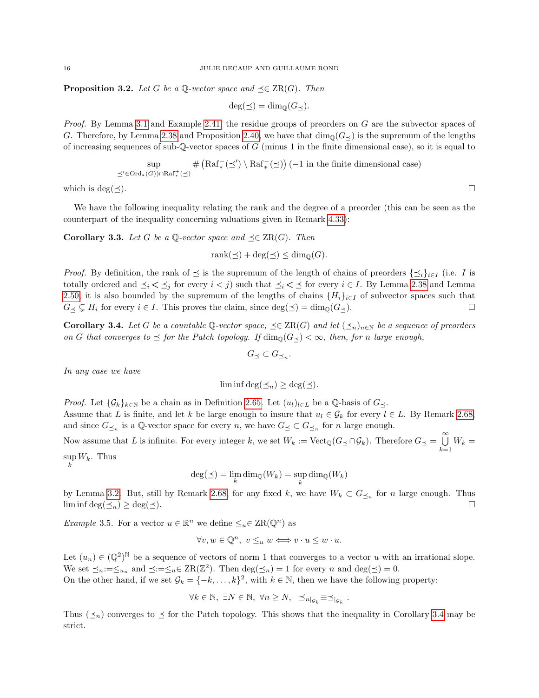<span id="page-15-0"></span>**Proposition 3.2.** Let G be a Q-vector space and  $\preceq \in \operatorname{ZR}(G)$ . Then

$$
\deg(\preceq) = \dim_{\mathbb{Q}}(G_{\preceq}).
$$

Proof. By Lemma [3.1](#page-14-0) and Example [2.41,](#page-8-3) the residue groups of preorders on G are the subvector spaces of G. Therefore, by Lemma [2.38](#page-8-1) and Proposition [2.40,](#page-8-4) we have that  $\dim_{\mathbb{Q}}(G_{\prec})$  is the supremum of the lengths of increasing sequences of sub-Q-vector spaces of G (minus 1 in the finite dimensional case), so it is equal to

$$
\sup_{\preceq'\in\mathrm{Ord}_*(G))\cap\mathrm{Raf}_*^+(\preceq)}\#\left(\mathrm{Raf}_*^-(\preceq')\setminus\mathrm{Raf}_*^-(\preceq)\right)(-1\text{ in the finite dimensional case})
$$

which is deg( $\prec$ ).

We have the following inequality relating the rank and the degree of a preorder (this can be seen as the counterpart of the inequality concerning valuations given in Remark [4.33\)](#page-29-1):

<span id="page-15-2"></span>**Corollary 3.3.** Let G be a Q-vector space and  $\preceq \in \operatorname{ZR}(G)$ . Then

$$
rank(\preceq) + \deg(\preceq) \le \dim_{\mathbb{Q}}(G).
$$

*Proof.* By definition, the rank of  $\preceq$  is the supremum of the length of chains of preorders  $\{\preceq_i\}_{i\in I}$  (i.e. I is totally ordered and  $\preceq_i < \preceq_j$  for every  $i < j$ ) such that  $\preceq_i < \preceq$  for every  $i \in I$ . By Lemma [2.38](#page-8-1) and Lemma [2.50,](#page-10-1) it is also bounded by the supremum of the lengths of chains  $\{H_i\}_{i\in I}$  of subvector spaces such that  $G \prec \subsetneq H_i$  for every  $i \in I$ . This proves the claim, since  $\deg(\preceq) = \dim_{\mathbb{Q}}(G \prec)$ .

<span id="page-15-1"></span>**Corollary 3.4.** Let G be a countable Q-vector space,  $\preceq \in \operatorname{ZR}(G)$  and let  $(\preceq_n)_{n\in\mathbb{N}}$  be a sequence of preorders on G that converges to  $\leq$  for the Patch topology. If  $\dim_{\mathbb{Q}}(G_{\prec}) < \infty$ , then, for n large enough,

$$
G_{\preceq} \subset G_{\preceq_n}.
$$

In any case we have

k

$$
\liminf \deg(\preceq_n) \ge \deg(\preceq).
$$

*Proof.* Let  $\{\mathcal{G}_k\}_{k\in\mathbb{N}}$  be a chain as in Definition [2.65.](#page-13-1) Let  $(u_l)_{l\in L}$  be a Q-basis of  $G_{\preceq}$ . Assume that L is finite, and let k be large enough to insure that  $u_l \in \mathcal{G}_k$  for every  $l \in L$ . By Remark [2.68,](#page-14-1) and since  $G_{\preceq_n}$  is a Q-vector space for every n, we have  $G_{\preceq_n} \subset G_{\preceq_n}$  for n large enough.

Now assume that L is infinite. For every integer k, we set  $W_k := \text{Vect}_{\mathbb{Q}}(G_{\preceq} \cap \mathcal{G}_k)$ . Therefore  $G_{\preceq} = \bigcup_{k=1}^{\infty}$  $\bigcup_{k=1} W_k =$  $\sup W_k$ . Thus

$$
d\alpha(\prec) = \lim_{\alpha \to \infty} d\alpha
$$

$$
\deg(\preceq) = \lim_{k} \dim_{\mathbb{Q}}(W_k) = \sup_{k} \dim_{\mathbb{Q}}(W_k)
$$

by Lemma [3.2.](#page-15-0) But, still by Remark [2.68,](#page-14-1) for any fixed k, we have  $W_k \subset G_{\preceq_n}$  for n large enough. Thus  $\liminf \deg(\preceq_n) \geq \deg(\preceq).$ 

<span id="page-15-3"></span>*Example* 3.5. For a vector  $u \in \mathbb{R}^n$  we define  $\leq_u \in \text{ZR}(\mathbb{Q}^n)$  as

$$
\forall v, w \in \mathbb{Q}^n, v \leq_u w \Longleftrightarrow v \cdot u \leq w \cdot u.
$$

Let  $(u_n) \in (\mathbb{Q}^2)^{\mathbb{N}}$  be a sequence of vectors of norm 1 that converges to a vector u with an irrational slope. We set  $\preceq_n := \preceq_{u_n}$  and  $\preceq := \preceq_u \in \operatorname{ZR}(\mathbb{Z}^2)$ . Then  $\deg(\preceq_n) = 1$  for every n and  $\deg(\preceq) = 0$ . On the other hand, if we set  $\mathcal{G}_k = \{-k, \ldots, k\}^2$ , with  $k \in \mathbb{N}$ , then we have the following property:

$$
\forall k \in \mathbb{N}, \ \exists N \in \mathbb{N}, \ \forall n \ge N, \ \preceq_{n|_{\mathcal{G}_k}} \equiv \preceq_{|_{\mathcal{G}_k}}.
$$

Thus  $(\leq_n)$  converges to  $\leq$  for the Patch topology. This shows that the inequality in Corollary [3.4](#page-15-1) may be strict.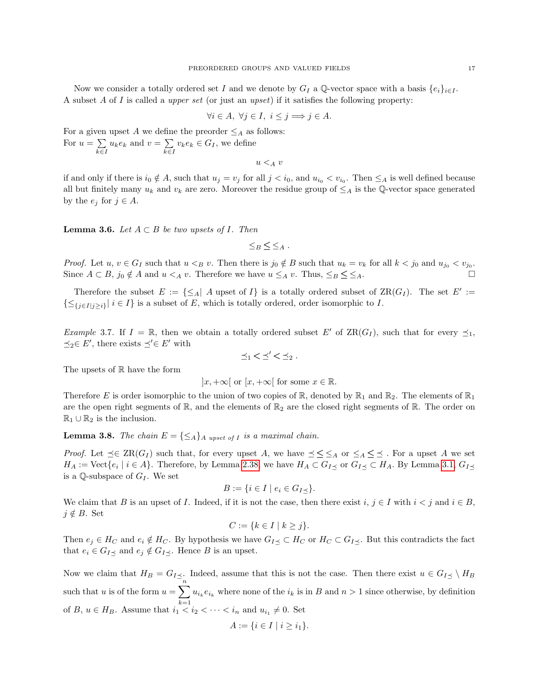$$
\forall i \in A, \ \forall j \in I, \ i \le j \Longrightarrow j \in A.
$$

For a given upset A we define the preorder  $\leq_A$  as follows: For  $u = \sum$  $\sum_{k\in I} u_k e_k$  and  $v = \sum_{k\in I}$  $\sum_{k\in I} v_k e_k \in G_I$ , we define

 $u <_A v$ 

if and only if there is  $i_0 \notin A$ , such that  $u_j = v_j$  for all  $j < i_0$ , and  $u_{i_0} < v_{i_0}$ . Then  $\leq_A$  is well defined because all but finitely many  $u_k$  and  $v_k$  are zero. Moreover the residue group of  $\leq_A$  is the Q-vector space generated by the  $e_j$  for  $j \in A$ .

**Lemma 3.6.** Let  $A \subset B$  be two upsets of I. Then

 $\leq_B \leq \leq_A$ .

*Proof.* Let  $u, v \in G_I$  such that  $u <_{B} v$ . Then there is  $j_0 \notin B$  such that  $u_k = v_k$  for all  $k < j_0$  and  $u_{j_0} < v_{j_0}$ . Since  $A \subset B$ ,  $j_0 \notin A$  and  $u \lt A v$ . Therefore we have  $u \leq_A v$ . Thus,  $\leq_B \leq \leq_A$ .

Therefore the subset  $E := \{\leq_A | A \text{ upset of } I\}$  is a totally ordered subset of  $\operatorname{ZR}(G_I)$ . The set  $E' :=$  $\{\leq_{\{j\in I\mid j\geq i\}} | i\in I\}$  is a subset of E, which is totally ordered, order isomorphic to I.

Example 3.7. If  $I = \mathbb{R}$ , then we obtain a totally ordered subset E' of  $\text{ZR}(G_I)$ , such that for every  $\preceq_1$ ,  $\preceq_2 \in E'$ , there exists  $\preceq' \in E'$  with

$$
\preceq_1 < \preceq' < \preceq_2.
$$

The upsets of  $\mathbb R$  have the form

$$
]x, +\infty[ \text{ or } [x, +\infty[ \text{ for some } x \in \mathbb{R}].
$$

Therefore E is order isomorphic to the union of two copies of  $\mathbb{R}$ , denoted by  $\mathbb{R}_1$  and  $\mathbb{R}_2$ . The elements of  $\mathbb{R}_1$ are the open right segments of  $\mathbb{R}$ , and the elements of  $\mathbb{R}_2$  are the closed right segments of  $\mathbb{R}$ . The order on  $\mathbb{R}_1 \cup \mathbb{R}_2$  is the inclusion.

**Lemma 3.8.** The chain  $E = \{\leq_A\}$  a upset of I is a maximal chain.

*Proof.* Let  $\preceq \in \operatorname{ZR}(G_I)$  such that, for every upset A, we have  $\preceq \leq \leq_A$  or  $\leq_A \leq \preceq$ . For a upset A we set  $H_A := \text{Vect}\{e_i \mid i \in A\}$ . Therefore, by Lemma [2.38,](#page-8-1) we have  $H_A \subset G_{I\preceq}$  or  $G_{I\preceq} \subset H_A$ . By Lemma [3.1,](#page-14-0)  $G_{I\preceq}$ is a Q-subspace of  $G_I$ . We set

$$
B := \{ i \in I \mid e_i \in G_{I \preceq} \}.
$$

We claim that B is an upset of I. Indeed, if it is not the case, then there exist  $i, j \in I$  with  $i < j$  and  $i \in B$ ,  $j \notin B$ . Set

$$
C := \{ k \in I \mid k \ge j \}.
$$

Then  $e_j \in H_C$  and  $e_i \notin H_C$ . By hypothesis we have  $G_{I \preceq} \subset H_C$  or  $H_C \subset G_{I \preceq}$ . But this contradicts the fact that  $e_i \in G_{I \preceq}$  and  $e_j \notin G_{I \preceq}$ . Hence B is an upset.

Now we claim that  $H_B = G_{I} \lt \ldots$  Indeed, assume that this is not the case. Then there exist  $u \in G_{I} \lt \ldots \lt H_B$ such that u is of the form  $u = \sum_{i=1}^{n} u_{i_k} e_{i_k}$  where none of the  $i_k$  is in B and  $n > 1$  since otherwise, by definition of B,  $u \in H_B$ . Assume that  $i_1 < i_2 < \cdots < i_n$  and  $u_{i_1} \neq 0$ . Set

$$
A := \{ i \in I \mid i \geq i_1 \}.
$$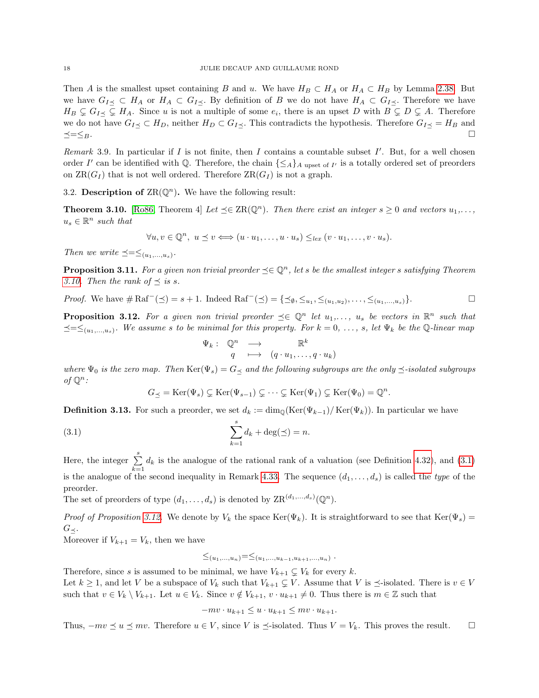Then A is the smallest upset containing B and u. We have  $H_B \subset H_A$  or  $H_A \subset H_B$  by Lemma [2.38.](#page-8-1) But we have  $G_{I\preceq} \subset H_A$  or  $H_A \subset G_{I\preceq}$ . By definition of B we do not have  $H_A \subset G_{I\preceq}$ . Therefore we have  $H_B \subsetneq G_{I \preceq} \subsetneq H_A$ . Since u is not a multiple of some  $e_i$ , there is an upset D with  $B \subsetneq D \subsetneq A$ . Therefore we do not have  $G_{I\preceq} \subset H_D$ , neither  $H_D \subset G_{I\preceq}$ . This contradicts the hypothesis. Therefore  $G_{I\preceq} = H_B$  and  $\preceq=\leq_B$ .

Remark 3.9. In particular if  $I$  is not finite, then  $I$  contains a countable subset  $I'$ . But, for a well chosen order I' can be identified with Q. Therefore, the chain  $\{\leq_A\}_A$  upset of I' is a totally ordered set of preorders on  $\operatorname{ZR}(G_I)$  that is not well ordered. Therefore  $\operatorname{ZR}(G_I)$  is not a graph.

<span id="page-17-0"></span>3.2. Description of  $\text{ZR}(\mathbb{Q}^n)$ . We have the following result:

<span id="page-17-1"></span>**Theorem 3.10.** [\[Ro86,](#page-36-19) Theorem 4] Let  $\preceq \in \text{ZR}(\mathbb{Q}^n)$ . Then there exist an integer  $s \geq 0$  and vectors  $u_1, \ldots,$  $u_s \in \mathbb{R}^n$  such that

$$
\forall u, v \in \mathbb{Q}^n, u \le v \Longleftrightarrow (u \cdot u_1, \dots, u \cdot u_s) \le_{lex} (v \cdot u_1, \dots, v \cdot u_s).
$$

Then we write  $\preceq=\leq_{(u_1,...,u_s)}$ .

**Proposition 3.11.** For a given non trivial preorder  $\preceq \in \mathbb{Q}^n$ , let s be the smallest integer s satisfying Theorem [3.10.](#page-17-1) Then the rank of  $\preceq$  is s.

*Proof.* We have 
$$
\#\operatorname{Raf}^-(\preceq) = s + 1
$$
. Indeed  $\operatorname{Raf}^-(\preceq) = \{\preceq_{\emptyset}, \leq_{u_1}, \leq_{(u_1, u_2)}, \ldots, \leq_{(u_1, \ldots, u_s)}\}$ .  $\Box$ 

<span id="page-17-3"></span>**Proposition 3.12.** For a given non trivial preorder  $\preceq \in \mathbb{Q}^n$  let  $u_1, \ldots, u_s$  be vectors in  $\mathbb{R}^n$  such that  $\preceq=\leq_{(u_1,...,u_s)}$ . We assume s to be minimal for this property. For  $k=0, \ldots, s$ , let  $\Psi_k$  be the Q-linear map

<span id="page-17-2"></span>
$$
\Psi_k: \begin{array}{ccc} \mathbb{Q}^n & \longrightarrow & \mathbb{R}^k \\ q & \longmapsto & (q \cdot u_1, \dots, q \cdot u_k) \end{array}
$$

where  $\Psi_0$  is the zero map. Then  $\text{Ker}(\Psi_s) = G_{\preceq}$  and the following subgroups are the only  $\preceq$ -isolated subgroups of  $\mathbb{Q}^n$ :

$$
G_{\preceq} = \mathrm{Ker}(\Psi_s) \subsetneq \mathrm{Ker}(\Psi_{s-1}) \subsetneq \cdots \subsetneq \mathrm{Ker}(\Psi_1) \subsetneq \mathrm{Ker}(\Psi_0) = \mathbb{Q}^n.
$$

**Definition 3.13.** For such a preorder, we set  $d_k := \dim_{\mathbb{Q}}(\text{Ker}(\Psi_{k-1})/\text{Ker}(\Psi_k))$ . In particular we have

(3.1) 
$$
\sum_{k=1}^{s} d_k + \deg(\preceq) = n.
$$

Here, the integer  $\sum_{i=1}^{s}$  $\sum_{k=1} d_k$  is the analogue of the rational rank of a valuation (see Definition [4.32\)](#page-29-2), and [\(3.1\)](#page-17-2) is the analogue of the second inequality in Remark [4.33.](#page-29-1) The sequence  $(d_1, \ldots, d_s)$  is called the type of the preorder.

The set of preorders of type  $(d_1, \ldots, d_s)$  is denoted by  $\text{ZR}^{(d_1, \ldots, d_s)}(\mathbb{Q}^n)$ .

Proof of Proposition [3.12.](#page-17-3) We denote by  $V_k$  the space Ker( $\Psi_k$ ). It is straightforward to see that Ker( $\Psi_s$ ) =  $G_{\prec}$ .

Moreover if  $V_{k+1} = V_k$ , then we have

$$
\leq_{(u_1,...,u_n)}=\leq_{(u_1,...,u_{k-1},u_{k+1},...,u_n)}.
$$

Therefore, since s is assumed to be minimal, we have  $V_{k+1} \subsetneq V_k$  for every k. Let  $k \geq 1$ , and let V be a subspace of  $V_k$  such that  $V_{k+1} \subsetneq V$ . Assume that V is  $\preceq$ -isolated. There is  $v \in V$ such that  $v \in V_k \setminus V_{k+1}$ . Let  $u \in V_k$ . Since  $v \notin V_{k+1}$ ,  $v \cdot u_{k+1} \neq 0$ . Thus there is  $m \in \mathbb{Z}$  such that

$$
-mv \cdot u_{k+1} \le u \cdot u_{k+1} \le mv \cdot u_{k+1}.
$$

Thus,  $-mv \preceq u \preceq mv$ . Therefore  $u \in V$ , since V is  $\preceq$ -isolated. Thus  $V = V_k$ . This proves the result.  $\square$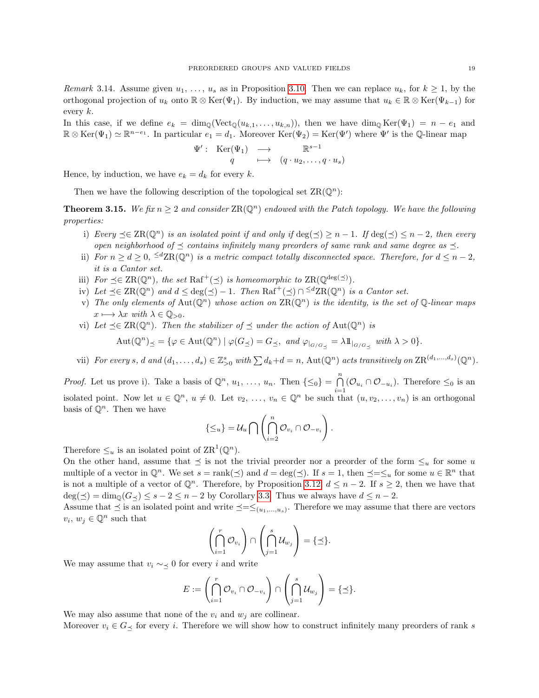<span id="page-18-1"></span>Remark 3.14. Assume given  $u_1, \ldots, u_s$  as in Proposition [3.10.](#page-17-1) Then we can replace  $u_k$ , for  $k \geq 1$ , by the orthogonal projection of  $u_k$  onto  $\mathbb{R} \otimes \text{Ker}(\Psi_1)$ . By induction, we may assume that  $u_k \in \mathbb{R} \otimes \text{Ker}(\Psi_{k-1})$  for every  $k$ .

In this case, if we define  $e_k = \dim_{\mathbb{Q}}(\text{Vect}_{\mathbb{Q}}(u_{k,1}, \ldots, u_{k,n}))$ , then we have  $\dim_{\mathbb{Q}} \text{Ker}(\Psi_1) = n - e_1$  and  $\mathbb{R} \otimes \text{Ker}(\Psi_1) \simeq \mathbb{R}^{n-e_1}$ . In particular  $e_1 = d_1$ . Moreover  $\text{Ker}(\Psi_2) = \text{Ker}(\Psi')$  where  $\Psi'$  is the Q-linear map

$$
\Psi': \operatorname{Ker}(\Psi_1) \longrightarrow \mathbb{R}^{s-1} \n q \longrightarrow (q \cdot u_2, \dots, q \cdot u_s)
$$

Hence, by induction, we have  $e_k = d_k$  for every k.

Then we have the following description of the topological set  $\operatorname{ZR}(\mathbb{Q}^n)$ :

<span id="page-18-0"></span>**Theorem 3.15.** We fix  $n > 2$  and consider  $\text{ZR}(\mathbb{Q}^n)$  endowed with the Patch topology. We have the following properties:

- i) Every  $\preceq \in \operatorname{ZR}(\mathbb{Q}^n)$  is an isolated point if and only if  $\deg(\preceq) \geq n-1$ . If  $\deg(\preceq) \leq n-2$ , then every open neighborhood of  $\preceq$  contains infinitely many preorders of same rank and same degree as  $\preceq$ .
- ii) For  $n \geq d \geq 0$ ,  $\leq d \operatorname{ZR}(\mathbb{Q}^n)$  is a metric compact totally disconnected space. Therefore, for  $d \leq n-2$ , it is a Cantor set.
- iii) For  $\preceq \in \text{ZR}(\mathbb{Q}^n)$ , the set  $\text{Raf}^+(\preceq)$  is homeomorphic to  $\text{ZR}(\mathbb{Q}^{\text{deg}(\preceq)})$ .
- iv) Let  $\preceq \in \text{ZR}(\mathbb{Q}^n)$  and  $d \leq \text{deg}(\preceq) 1$ . Then  $\text{Raf}^+(\preceq) \cap \preceq^d \text{ZR}(\mathbb{Q}^n)$  is a Cantor set.
- v) The only elements of  $Aut(\mathbb{Q}^n)$  whose action on  $\text{ZR}(\mathbb{Q}^n)$  is the identity, is the set of  $\mathbb{Q}$ -linear maps  $x \longmapsto \lambda x$  with  $\lambda \in \mathbb{Q}_{>0}$ .
- vi) Let  $\preceq \in \text{ZR}(\mathbb{Q}^n)$ . Then the stabilizer of  $\preceq$  under the action of Aut $(\mathbb{Q}^n)$  is  $\mathrm{Aut}(\mathbb{Q}^n)_{\preceq} = \{ \varphi \in \mathrm{Aut}(\mathbb{Q}^n) \mid \varphi(G_{\preceq}) = G_{\preceq}, \text{ and } \varphi_{|_{G/G_{\preceq}}} = \lambda 1\!\!1_{|_{G/G_{\preceq}}} \text{ with } \lambda > 0 \}.$
- vii) For every s, d and  $(d_1, \ldots, d_s) \in \mathbb{Z}_{\geq 0}^s$  with  $\sum d_k + d = n$ ,  $\text{Aut}(\mathbb{Q}^n)$  acts transitively on  $\text{ZR}^{(d_1, \ldots, d_s)}(\mathbb{Q}^n)$ .

*Proof.* Let us prove i). Take a basis of  $\mathbb{Q}^n$ ,  $u_1, \ldots, u_n$ . Then  $\{\leq_0\} = \bigcap_{i=0}^n (\mathcal{O}_{u_i} \cap \mathcal{O}_{-u_i})$ . Therefore  $\leq_0$  is an isolated point. Now let  $u \in \mathbb{Q}^n$ ,  $u \neq 0$ . Let  $v_2, \ldots, v_n \in \mathbb{Q}^n$  be such that  $(u, v_2, \ldots, v_n)$  is an orthogonal basis of  $\mathbb{O}^n$ . Then we have

$$
\{\leq_u\}=\mathcal{U}_u\bigcap\left(\bigcap_{i=2}^n\mathcal{O}_{v_i}\cap\mathcal{O}_{-v_i}\right).
$$

Therefore  $\leq_u$  is an isolated point of  $\text{ZR}^1(\mathbb{Q}^n)$ .

On the other hand, assume that  $\preceq$  is not the trivial preorder nor a preorder of the form  $\leq_u$  for some u multiple of a vector in  $\mathbb{Q}^n$ . We set  $s = \text{rank}(\preceq)$  and  $d = \text{deg}(\preceq)$ . If  $s = 1$ , then  $\preceq = \preceq_u$  for some  $u \in \mathbb{R}^n$  that is not a multiple of a vector of  $\mathbb{Q}^n$ . Therefore, by Proposition [3.12,](#page-17-3)  $d \leq n-2$ . If  $s \geq 2$ , then we have that  $deg(\preceq) = dim_{\mathbb{Q}}(G_{\preceq}) \leq s - 2 \leq n - 2$  by Corollary [3.3.](#page-15-2) Thus we always have  $d \leq n - 2$ .

Assume that  $\preceq$  is an isolated point and write  $\preceq=\leq_{(u_1,...,u_s)}$ . Therefore we may assume that there are vectors  $v_i, w_j \in \mathbb{Q}^n$  such that

$$
\left(\bigcap_{i=1}^r \mathcal{O}_{v_i}\right) \cap \left(\bigcap_{j=1}^s \mathcal{U}_{w_j}\right) = \{\preceq\}.
$$

We may assume that  $v_i \sim \lt 0$  for every i and write

$$
E:=\left(\bigcap_{i=1}^r\mathcal{O}_{v_i}\cap\mathcal{O}_{-v_i}\right)\cap\left(\bigcap_{j=1}^s\mathcal{U}_{w_j}\right)=\{\preceq\}.
$$

We may also assume that none of the  $v_i$  and  $w_j$  are collinear.

Moreover  $v_i \in G_{\prec}$  for every i. Therefore we will show how to construct infinitely many preorders of rank s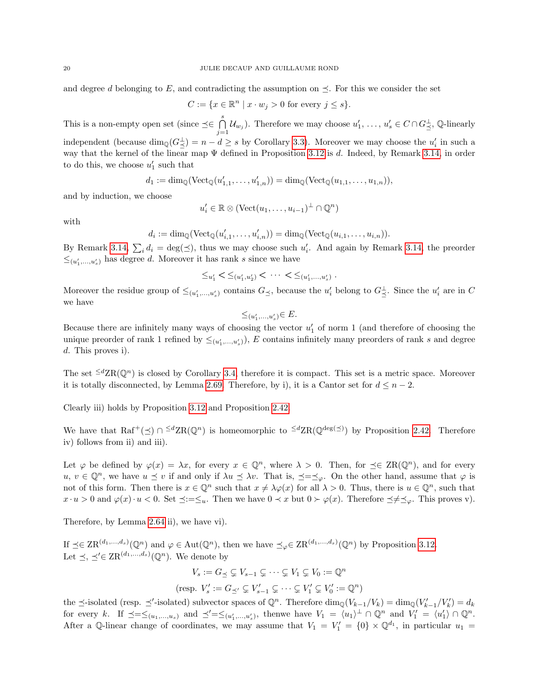and degree d belonging to E, and contradicting the assumption on  $\preceq$ . For this we consider the set

$$
C := \{ x \in \mathbb{R}^n \mid x \cdot w_j > 0 \text{ for every } j \le s \}.
$$

This is a non-empty open set (since  $\preceq \in \bigcap^s$  $\bigcap_{j=1}^{\infty} \mathcal{U}_{w_j}$ . Therefore we may choose  $u'_1, \ldots, u'_s \in C \cap G_{\preceq}^{\perp}$ , Q-linearly independent (because  $\dim_{\mathbb{Q}}(G_{\preceq}^{\perp}) = n - d \geq s$  by Corollary [3.3\)](#page-15-2). Moreover we may choose the  $u'_i$  in such a way that the kernel of the linear map  $\Psi$  defined in Proposition [3.12](#page-17-3) is d. Indeed, by Remark [3.14,](#page-18-1) in order to do this, we choose  $u'_1$  such that

$$
d_1 := \dim_{\mathbb{Q}}(\text{Vect}_{\mathbb{Q}}(u'_{1,1},\ldots,u'_{1,n})) = \dim_{\mathbb{Q}}(\text{Vect}_{\mathbb{Q}}(u_{1,1},\ldots,u_{1,n})),
$$

and by induction, we choose

$$
u'_i \in \mathbb{R} \otimes (\text{Vect}(u_1, \ldots, u_{i-1})^\perp \cap \mathbb{Q}^n)
$$

with

$$
d_i := \dim_{\mathbb{Q}}(\text{Vect}_{\mathbb{Q}}(u'_{i,1},\ldots,u'_{i,n})) = \dim_{\mathbb{Q}}(\text{Vect}_{\mathbb{Q}}(u_{i,1},\ldots,u_{i,n})).
$$

By Remark [3.14,](#page-18-1)  $\sum_i d_i = \deg(\preceq)$ , thus we may choose such  $u'_i$ . And again by Remark 3.14, the preorder  $\leq_{(u'_1,...,u'_s)}$  has degree d. Moreover it has rank s since we have

$$
\leq_{u'_1} < \leq_{(u'_1, u'_2)} < \cdots < \leq_{(u'_1, \ldots, u'_s)}.
$$

Moreover the residue group of  $\leq_{(u'_1,...,u'_s)}$  contains  $G_{\preceq}$ , because the  $u'_i$  belong to  $G_{\preceq}^{\perp}$ . Since the  $u'_i$  are in C we have

$$
\leq_{(u'_1,...,u'_s)} \in E.
$$

Because there are infinitely many ways of choosing the vector  $u'_1$  of norm 1 (and therefore of choosing the unique preorder of rank 1 refined by  $\leq_{(u'_1,...,u'_s)}$ , E contains infinitely many preorders of rank s and degree d. This proves i).

The set  $\leq dZR(\mathbb{Q}^n)$  is closed by Corollary [3.4,](#page-15-1) therefore it is compact. This set is a metric space. Moreover it is totally disconnected, by Lemma [2.69.](#page-14-2) Therefore, by i), it is a Cantor set for  $d \leq n-2$ .

Clearly iii) holds by Proposition [3.12](#page-17-3) and Proposition [2.42.](#page-8-2)

We have that  $\text{Raf}^+(\preceq) \cap \leq^d \text{ZR}(\mathbb{Q}^n)$  is homeomorphic to  $\leq^d \text{ZR}(\mathbb{Q}^{\deg(\preceq)})$  by Proposition [2.42.](#page-8-2) Therefore iv) follows from ii) and iii).

Let  $\varphi$  be defined by  $\varphi(x) = \lambda x$ , for every  $x \in \mathbb{Q}^n$ , where  $\lambda > 0$ . Then, for  $\preceq \in \operatorname{ZR}(\mathbb{Q}^n)$ , and for every  $u, v \in \mathbb{Q}^n$ , we have  $u \preceq v$  if and only if  $\lambda u \preceq \lambda v$ . That is,  $\preceq = \preceq_{\varphi}$ . On the other hand, assume that  $\varphi$  is not of this form. Then there is  $x \in \mathbb{Q}^n$  such that  $x \neq \lambda \varphi(x)$  for all  $\lambda > 0$ . Thus, there is  $u \in \mathbb{Q}^n$ , such that  $x \cdot u > 0$  and  $\varphi(x) \cdot u < 0$ . Set  $\preceq := \preceq_u$ . Then we have  $0 \prec x$  but  $0 \succ \varphi(x)$ . Therefore  $\preceq \neq \preceq_{\varphi}$ . This proves v).

Therefore, by Lemma [2.64](#page-13-2) ii), we have vi).

If  $\preceq \in \text{ZR}^{(d_1,\ldots,d_s)}(\mathbb{Q}^n)$  and  $\varphi \in \text{Aut}(\mathbb{Q}^n)$ , then we have  $\preceq_{\varphi} \in \text{ZR}^{(d_1,\ldots,d_s)}(\mathbb{Q}^n)$  by Proposition [3.12.](#page-17-3) Let  $\preceq, \preceq' \in \text{ZR}^{(d_1,\ldots,d_s)}(\mathbb{Q}^n)$ . We denote by

$$
V_s := G_{\preceq} \subsetneq V_{s-1} \subsetneq \cdots \subsetneq V_1 \subsetneq V_0 := \mathbb{Q}^n
$$

$$
(\text{resp. } V_s' := G_{\preceq'} \subsetneq V_{s-1}' \subsetneq \cdots \subsetneq V_1' \subsetneq V_0' := \mathbb{Q}^n)
$$

the  $\preceq$ -isolated (resp.  $\preceq'$ -isolated) subvector spaces of  $\mathbb{Q}^n$ . Therefore  $\dim_{\mathbb{Q}}(V_{k-1}/V_k) = \dim_{\mathbb{Q}}(V'_{k-1}/V'_k) = d_k$ for every k. If  $\preceq=\leq_{(u_1,...,u_s)}$  and  $\preceq'=\leq_{(u'_1,...,u'_s)}$ , thenwe have  $V_1 = \langle u_1 \rangle^{\perp} \cap \mathbb{Q}^n$  and  $V'_1 = \langle u'_1 \rangle \cap \mathbb{Q}^n$ . After a Q-linear change of coordinates, we may assume that  $V_1 = V'_1 = \{0\} \times \mathbb{Q}^{d_1}$ , in particular  $u_1 =$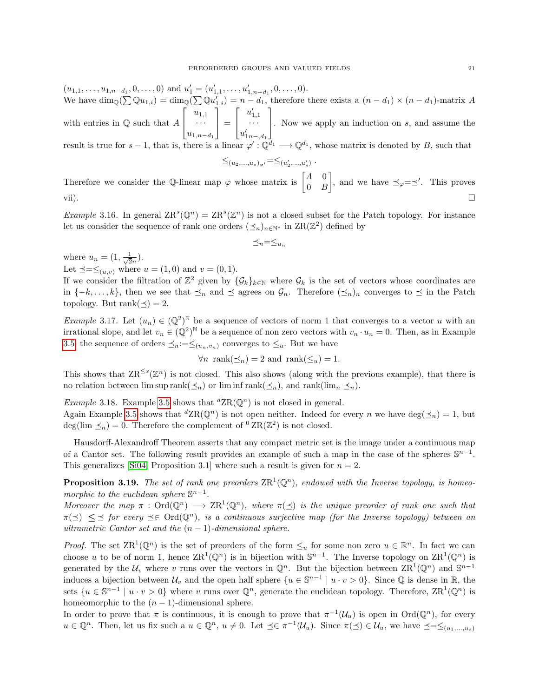$(u_{1,1},\ldots,u_{1,n-d_1},0,\ldots,0)$  and  $u'_1=(u'_{1,1},\ldots,u'_{1,n-d_1},0,\ldots,0)$ . We have  $\dim_{\mathbb{Q}}(\sum \mathbb{Q}u_{1,i}) = \dim_{\mathbb{Q}}(\sum \mathbb{Q}u'_{1,i}) = n - d_1$ , therefore there exists a  $(n - d_1) \times (n - d_1)$ -matrix A with entries in  $\mathbb Q$  such that  $A$  $\lceil$  $\overline{1}$  $u_{1,1}$ · · ·  $u_{1,n-d_1}$ 1  $\vert$  =  $\lceil$  $\overline{\phantom{a}}$  $u'_{1,1}$ <br> $\dots$  $u'_{1n-,d_1}$ 1 . Now we apply an induction on <sup>s</sup>, and assume the result is true for  $s-1$ , that is, there is a linear  $\varphi': \mathbb{Q}^{d_1} \longrightarrow \mathbb{Q}^{d_1}$ , whose matrix is denoted by B, such that  $\leq_{(u_2,...,u_s)_{\varphi'}}=\leq_{(u'_2,...,u'_s)}$ .

Therefore we consider the Q-linear map  $\varphi$  whose matrix is  $\begin{bmatrix} A & 0 \\ 0 & B \end{bmatrix}$  $0$   $B$ , and we have  $\preceq_{\varphi}=\preceq'$ . This proves vii).  $\square$ 

*Example* 3.16. In general  $\text{ZR}^s(\mathbb{Q}^n) = \text{ZR}^s(\mathbb{Z}^n)$  is not a closed subset for the Patch topology. For instance let us consider the sequence of rank one orders  $(\preceq_n)_{n\in\mathbb{N}^*}$  in  $\operatorname{ZR}(\mathbb{Z}^2)$  defined by

$$
\preceq_n=\leq_{u_n}
$$

where  $u_n = (1, \frac{1}{\sqrt{2}})$  $\frac{1}{2n}).$ 

Let  $\preceq=\leq_{(u,v)}$  where  $u=(1,0)$  and  $v=(0,1)$ .

If we consider the filtration of  $\mathbb{Z}^2$  given by  $\{\mathcal{G}_k\}_{k\in\mathbb{N}}$  where  $\mathcal{G}_k$  is the set of vectors whose coordinates are in  $\{-k,\ldots,k\}$ , then we see that  $\leq_n$  and  $\leq$  agrees on  $\mathcal{G}_n$ . Therefore  $(\leq_n)_n$  converges to  $\leq$  in the Patch topology. But rank $(\preceq) = 2$ .

Example 3.17. Let  $(u_n) \in (\mathbb{Q}^2)^{\mathbb{N}}$  be a sequence of vectors of norm 1 that converges to a vector u with an irrational slope, and let  $v_n \in (\mathbb{Q}^2)^{\mathbb{N}}$  be a sequence of non zero vectors with  $v_n \cdot u_n = 0$ . Then, as in Example [3.5,](#page-15-3) the sequence of orders  $\preceq_n:=\leq_{(u_n,v_n)}$  converges to  $\leq_u$ . But we have

$$
\forall n \ \text{rank}(\preceq_n) = 2 \ \text{and} \ \text{rank}(\leq_n) = 1.
$$

This shows that  $\text{ZR}^{\leq s}(\mathbb{Z}^n)$  is not closed. This also shows (along with the previous example), that there is no relation between  $\limsup \operatorname{rank}(\preceq_n)$  or  $\liminf \operatorname{rank}(\preceq_n)$ , and  $\operatorname{rank}(\lim_n \preceq_n)$ .

*Example* 3.18. Example [3.5](#page-15-3) shows that  ${}^d \text{ZR}(\mathbb{Q}^n)$  is not closed in general.

Again Example [3.5](#page-15-3) shows that  ${}^d\text{ZR}(\mathbb{Q}^n)$  is not open neither. Indeed for every n we have  $\deg(\preceq_n) = 1$ , but deg(lim  $\leq_n$ ) = 0. Therefore the complement of <sup>0</sup> ZR( $\mathbb{Z}^2$ ) is not closed.

Hausdorff-Alexandroff Theorem asserts that any compact metric set is the image under a continuous map of a Cantor set. The following result provides an example of such a map in the case of the spheres  $\mathbb{S}^{n-1}$ . This generalizes [\[Si04,](#page-36-1) Proposition 3.1] where such a result is given for  $n = 2$ .

<span id="page-20-0"></span>**Proposition 3.19.** The set of rank one preorders  $\text{ZR}^1(\mathbb{Q}^n)$ , endowed with the Inverse topology, is homeomorphic to the euclidean sphere  $\mathbb{S}^{n-1}$ .

Moreover the map  $\pi : \text{Ord}(\mathbb{Q}^n) \longrightarrow \text{ZR}^1(\mathbb{Q}^n)$ , where  $\pi(\preceq)$  is the unique preorder of rank one such that  $\pi(\preceq) \leq \preceq$  for every  $\preceq \in \text{Ord}(\mathbb{Q}^n)$ , is a continuous surjective map (for the Inverse topology) between an ultrametric Cantor set and the  $(n - 1)$ -dimensional sphere.

*Proof.* The set  $\text{ZR}^1(\mathbb{Q}^n)$  is the set of preorders of the form  $\leq_u$  for some non zero  $u \in \mathbb{R}^n$ . In fact we can choose u to be of norm 1, hence  $\text{ZR}^1(\mathbb{Q}^n)$  is in bijection with  $\mathbb{S}^{n-1}$ . The Inverse topology on  $\text{ZR}^1(\mathbb{Q}^n)$  is generated by the  $\mathcal{U}_v$  where v runs over the vectors in  $\mathbb{Q}^n$ . But the bijection between  $\operatorname{ZR}^1(\mathbb{Q}^n)$  and  $\mathbb{S}^{n-1}$ induces a bijection between  $\mathcal{U}_v$  and the open half sphere  $\{u \in \mathbb{S}^{n-1} \mid u \cdot v > 0\}$ . Since  $\mathbb Q$  is dense in  $\mathbb R$ , the sets  $\{u \in \mathbb{S}^{n-1} \mid u \cdot v > 0\}$  where v runs over  $\mathbb{Q}^n$ , generate the euclidean topology. Therefore,  $\text{ZR}^1(\mathbb{Q}^n)$  is homeomorphic to the  $(n-1)$ -dimensional sphere.

In order to prove that  $\pi$  is continuous, it is enough to prove that  $\pi^{-1}(\mathcal{U}_u)$  is open in  $\text{Ord}(\mathbb{Q}^n)$ , for every  $u \in \mathbb{Q}^n$ . Then, let us fix such a  $u \in \mathbb{Q}^n$ ,  $u \neq 0$ . Let  $\preceq \in \pi^{-1}(\mathcal{U}_u)$ . Since  $\pi(\preceq) \in \mathcal{U}_u$ , we have  $\preceq = \preceq_{(u_1,...,u_s)}$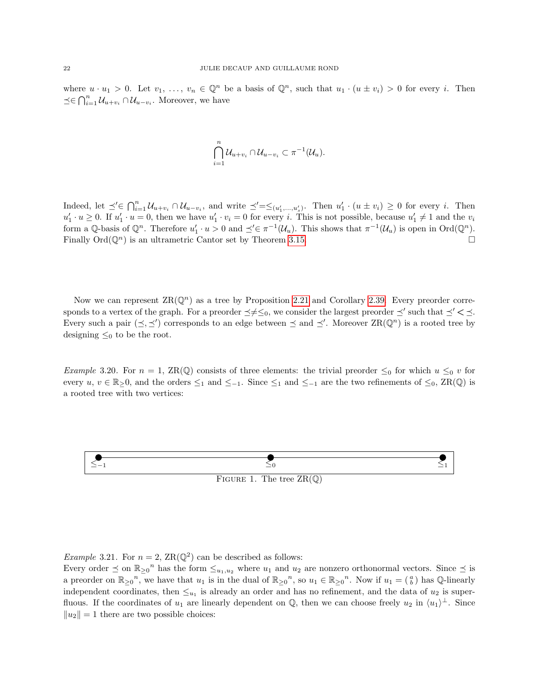where  $u \cdot u_1 > 0$ . Let  $v_1, \ldots, v_n \in \mathbb{Q}^n$  be a basis of  $\mathbb{Q}^n$ , such that  $u_1 \cdot (u \pm v_i) > 0$  for every i. Then  $\preceq \in \bigcap_{i=1}^n \mathcal{U}_{u+v_i} \cap \mathcal{U}_{u-v_i}$ . Moreover, we have

$$
\bigcap_{i=1}^n \mathcal{U}_{u+v_i} \cap \mathcal{U}_{u-v_i} \subset \pi^{-1}(\mathcal{U}_u).
$$

Indeed, let  $\preceq' \in \bigcap_{i=1}^n \mathcal{U}_{u+v_i} \cap \mathcal{U}_{u-v_i}$ , and write  $\preceq' = \preceq_{(u'_1,...,u'_s)}$ . Then  $u'_1 \cdot (u \pm v_i) \geq 0$  for every *i*. Then  $u'_1 \cdot u \ge 0$ . If  $u'_1 \cdot u = 0$ , then we have  $u'_1 \cdot v_i = 0$  for every i. This is not possible, because  $u'_1 \ne 1$  and the  $v_i$ form a Q-basis of  $\mathbb{Q}^n$ . Therefore  $u'_1 \cdot u > 0$  and  $\preceq' \in \pi^{-1}(\mathcal{U}_u)$ . This shows that  $\pi^{-1}(\mathcal{U}_u)$  is open in  $\text{Ord}(\mathbb{Q}^n)$ . Finally  $\text{Ord}(\mathbb{Q}^n)$  is an ultrametric Cantor set by Theorem [3.15.](#page-18-0)

Now we can represent  $\text{ZR}(\mathbb{Q}^n)$  as a tree by Proposition [2.21](#page-4-1) and Corollary [2.39.](#page-8-0) Every preorder corresponds to a vertex of the graph. For a preorder  $\preceq \neq \leq_0$ , we consider the largest preorder  $\preceq'$  such that  $\preceq' < \preceq$ . Every such a pair  $(\preceq, \preceq')$  corresponds to an edge between  $\preceq$  and  $\preceq'$ . Moreover  $\operatorname{ZR}(\mathbb{Q}^n)$  is a rooted tree by designing  $\leq_0$  to be the root.

Example 3.20. For  $n = 1$ ,  $\text{ZR}(\mathbb{Q})$  consists of three elements: the trivial preorder  $\leq_0$  for which  $u \leq_0 v$  for every  $u, v \in \mathbb{R}_{\geq}0$ , and the orders  $\leq_1$  and  $\leq_{-1}$ . Since  $\leq_1$  and  $\leq_{-1}$  are the two refinements of  $\leq_0$ , ZR(Q) is a rooted tree with two vertices:



*Example* 3.21. For  $n = 2$ ,  $\text{ZR}(\mathbb{Q}^2)$  can be described as follows:

Every order  $\preceq$  on  $\mathbb{R}_{\geq 0}^n$  has the form  $\leq_{u_1,u_2}$  where  $u_1$  and  $u_2$  are nonzero orthonormal vectors. Since  $\preceq$  is a preorder on  $\mathbb{R}_{\geq 0}$ <sup>n</sup>, we have that  $u_1$  is in the dual of  $\mathbb{R}_{\geq 0}$ <sup>n</sup>, so  $u_1 \in \mathbb{R}_{\geq 0}$ <sup>n</sup>. Now if  $u_1 = \begin{pmatrix} a \\ b \end{pmatrix}$  has  $\mathbb{Q}$ -linearly independent coordinates, then  $\leq_{u_1}$  is already an order and has no refinement, and the data of  $u_2$  is superfluous. If the coordinates of  $u_1$  are linearly dependent on Q, then we can choose freely  $u_2$  in  $\langle u_1 \rangle^{\perp}$ . Since  $||u_2|| = 1$  there are two possible choices: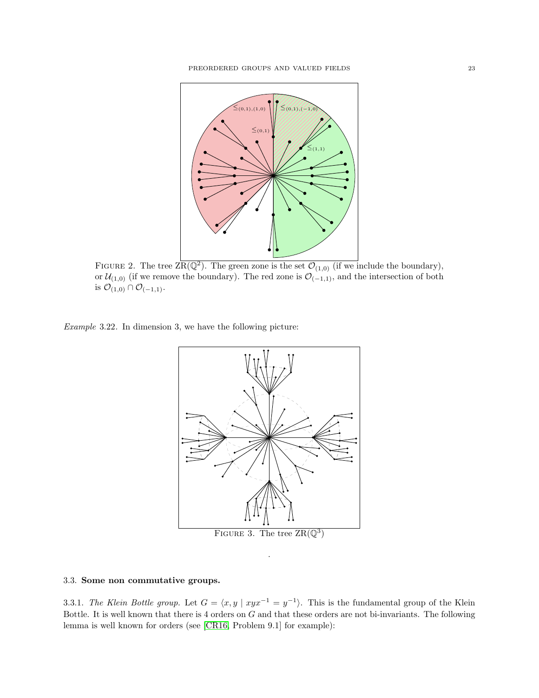

FIGURE 2. The tree  $\overline{\text{ZR}(\mathbb{Q}^2)}$ . The green zone is the set  $\mathcal{O}_{(1,0)}$  (if we include the boundary), or  $\mathcal{U}_{(1,0)}$  (if we remove the boundary). The red zone is  $\mathcal{O}_{(-1,1)}$ , and the intersection of both is  $\mathcal{O}_{(1,0)} \cap \mathcal{O}_{(-1,1)}$ .

Example 3.22. In dimension 3, we have the following picture:



# 3.3. Some non commutative groups.

3.3.1. The Klein Bottle group. Let  $G = \langle x, y | xyx^{-1} = y^{-1} \rangle$ . This is the fundamental group of the Klein Bottle. It is well known that there is 4 orders on G and that these orders are not bi-invariants. The following lemma is well known for orders (see [\[CR16,](#page-36-20) Problem 9.1] for example):

.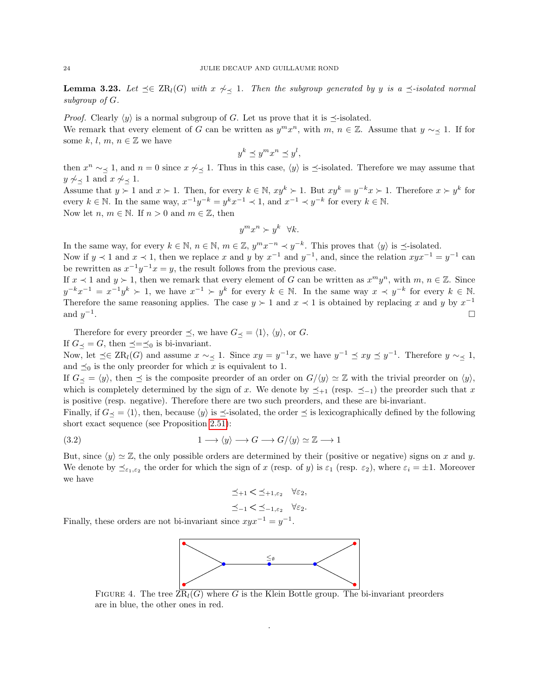**Lemma 3.23.** Let  $\preceq \in \operatorname{ZR}_l(G)$  with  $x \not\sim_{\preceq} 1$ . Then the subgroup generated by y is a  $\preceq$ -isolated normal subgroup of G.

*Proof.* Clearly  $\langle y \rangle$  is a normal subgroup of G. Let us prove that it is  $\preceq$ -isolated. We remark that every element of G can be written as  $y^m x^n$ , with  $m, n \in \mathbb{Z}$ . Assume that  $y \sim \leq 1$ . If for some k, l, m,  $n \in \mathbb{Z}$  we have

$$
y^k \preceq y^m x^n \preceq y^l,
$$

then  $x^n \sim \preceq 1$ , and  $n = 0$  since  $x \not\sim \preceq 1$ . Thus in this case,  $\langle y \rangle$  is  $\preceq$ -isolated. Therefore we may assume that  $y \not\sim_{\prec} 1$  and  $x \not\sim_{\prec} 1$ .

Assume that  $y \succ 1$  and  $x \succ 1$ . Then, for every  $k \in \mathbb{N}$ ,  $xy^k \succ 1$ . But  $xy^k = y^{-k}x \succ 1$ . Therefore  $x \succ y^k$  for every  $k \in \mathbb{N}$ . In the same way,  $x^{-1}y^{-k} = y^k x^{-1} \prec 1$ , and  $x^{-1} \prec y^{-k}$  for every  $k \in \mathbb{N}$ . Now let *n*,  $m \in \mathbb{N}$ . If  $n > 0$  and  $m \in \mathbb{Z}$ , then

$$
y^m x^n \succ y^k \quad \forall k.
$$

In the same way, for every  $k \in \mathbb{N}$ ,  $n \in \mathbb{N}$ ,  $m \in \mathbb{Z}$ ,  $y^m x^{-n} \prec y^{-k}$ . This proves that  $\langle y \rangle$  is  $\preceq$ -isolated.

Now if  $y \prec 1$  and  $x \prec 1$ , then we replace x and y by  $x^{-1}$  and  $y^{-1}$ , and, since the relation  $xyx^{-1} = y^{-1}$  can be rewritten as  $x^{-1}y^{-1}x = y$ , the result follows from the previous case.

If  $x \prec 1$  and  $y \succ 1$ , then we remark that every element of G can be written as  $x^m y^n$ , with  $m, n \in \mathbb{Z}$ . Since  $y^{-k}x^{-1} = x^{-1}y^{k} > 1$ , we have  $x^{-1} > y^{k}$  for every  $k \in \mathbb{N}$ . In the same way  $x \prec y^{-k}$  for every  $k \in \mathbb{N}$ . Therefore the same reasoning applies. The case  $y \succ 1$  and  $x \prec 1$  is obtained by replacing x and y by  $x^{-1}$ and  $y^{-1}$ .<br>1980 - Paul Barbara, politikar eta aldera eta batean eta batean eta batean eta batean eta batean ez <mark>el</mark>

Therefore for every preorder  $\preceq$ , we have  $G_{\preceq} = \langle 1 \rangle$ ,  $\langle y \rangle$ , or G. If  $G_{\preceq} = G$ , then  $\preceq = \preceq_0$  is bi-invariant.

Now, let  $\preceq \in \operatorname{ZR}_l(G)$  and assume  $x \sim \preceq 1$ . Since  $xy = y^{-1}x$ , we have  $y^{-1} \preceq xy \preceq y^{-1}$ . Therefore  $y \sim \preceq 1$ , and  $\preceq_0$  is the only preorder for which x is equivalent to 1.

If  $G_{\preceq} = \langle y \rangle$ , then  $\preceq$  is the composite preorder of an order on  $G/\langle y \rangle \simeq \mathbb{Z}$  with the trivial preorder on  $\langle y \rangle$ , which is completely determined by the sign of x. We denote by  $\preceq_{+1}$  (resp.  $\preceq_{-1}$ ) the preorder such that x is positive (resp. negative). Therefore there are two such preorders, and these are bi-invariant.

Finally, if  $G_{\prec} = \langle 1 \rangle$ , then, because  $\langle y \rangle$  is  $\preceq$ -isolated, the order  $\preceq$  is lexicographically defined by the following short exact sequence (see Proposition [2.51\)](#page-10-0):

(3.2) 
$$
1 \longrightarrow \langle y \rangle \longrightarrow G \longrightarrow G/\langle y \rangle \simeq \mathbb{Z} \longrightarrow 1
$$

But, since  $\langle y \rangle \simeq \mathbb{Z}$ , the only possible orders are determined by their (positive or negative) signs on x and y. We denote by  $\preceq_{\varepsilon_1,\varepsilon_2}$  the order for which the sign of x (resp. of y) is  $\varepsilon_1$  (resp.  $\varepsilon_2$ ), where  $\varepsilon_i = \pm 1$ . Moreover we have

$$
\preceq_{+1} < \preceq_{+1,\varepsilon_2} \forall \varepsilon_2,
$$
  

$$
\preceq_{-1} < \preceq_{-1,\varepsilon_2} \forall \varepsilon_2.
$$

Finally, these orders are not bi-invariant since  $xyx^{-1} = y^{-1}$ .



FIGURE 4. The tree  $\overline{ZR}_l(G)$  where G is the Klein Bottle group. The bi-invariant preorders are in blue, the other ones in red.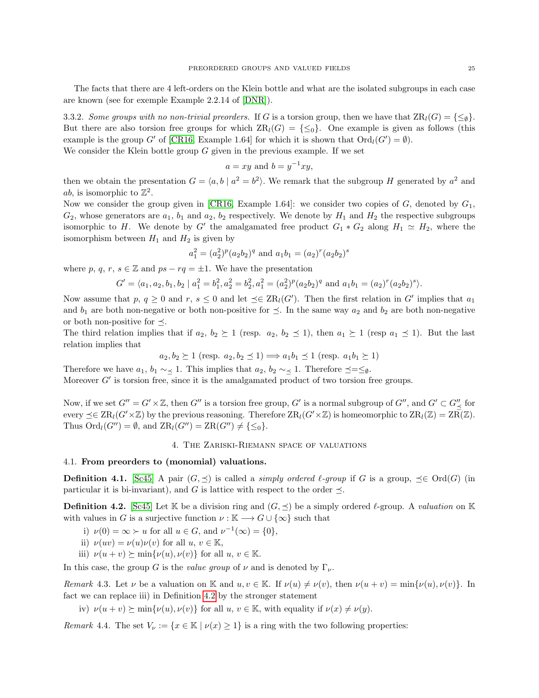The facts that there are 4 left-orders on the Klein bottle and what are the isolated subgroups in each case are known (see for exemple Example 2.2.14 of [\[DNR\]](#page-36-17)).

3.3.2. Some groups with no non-trivial preorders. If G is a torsion group, then we have that  $\text{ZR}_l(G) = \{\leq_{\emptyset}\}\$ . But there are also torsion free groups for which  $\text{ZR}_l(G) = \{\leq_0\}$ . One example is given as follows (this example is the group G' of [\[CR16,](#page-36-20) Example 1.64] for which it is shown that  $\text{Ord}_{l}(G') = \emptyset$ ).

We consider the Klein bottle group  $G$  given in the previous example. If we set

$$
a = xy
$$
 and 
$$
b = y^{-1}xy,
$$

then we obtain the presentation  $G = \langle a, b \mid a^2 = b^2 \rangle$ . We remark that the subgroup H generated by  $a^2$  and *ab*, is isomorphic to  $\mathbb{Z}^2$ .

Now we consider the group given in [\[CR16,](#page-36-20) Example 1.64]: we consider two copies of G, denoted by  $G_1$ ,  $G_2$ , whose generators are  $a_1$ ,  $b_1$  and  $a_2$ ,  $b_2$  respectively. We denote by  $H_1$  and  $H_2$  the respective subgroups isomorphic to H. We denote by G' the amalgamated free product  $G_1 * G_2$  along  $H_1 \simeq H_2$ , where the isomorphism between  $H_1$  and  $H_2$  is given by

$$
a_1^2 = (a_2^2)^p (a_2 b_2)^q
$$
 and  $a_1 b_1 = (a_2)^r (a_2 b_2)^s$ 

where p, q, r, s  $\in \mathbb{Z}$  and ps – rq =  $\pm 1$ . We have the presentation

$$
G' = \langle a_1, a_2, b_1, b_2 \mid a_1^2 = b_1^2, a_2^2 = b_2^2, a_1^2 = (a_2^2)^p (a_2 b_2)^q \text{ and } a_1 b_1 = (a_2)^r (a_2 b_2)^s \rangle.
$$

Now assume that p,  $q \geq 0$  and  $r, s \leq 0$  and let  $\preceq \in \text{ZR}_l(G')$ . Then the first relation in G' implies that  $a_1$ and  $b_1$  are both non-negative or both non-positive for  $\preceq$ . In the same way  $a_2$  and  $b_2$  are both non-negative or both non-positive for  $\preceq$ .

The third relation implies that if  $a_2, b_2 \geq 1$  (resp.  $a_2, b_2 \leq 1$ ), then  $a_1 \geq 1$  (resp  $a_1 \leq 1$ ). But the last relation implies that

$$
a_2, b_2 \ge 1
$$
 (resp.  $a_2, b_2 \preceq 1$ )  $\Longrightarrow a_1b_1 \preceq 1$  (resp.  $a_1b_1 \succeq 1$ )

Therefore we have  $a_1, b_1 \sim \leq 1$ . This implies that  $a_2, b_2 \sim \leq 1$ . Therefore  $\preceq = \leq_{\emptyset}$ . Moreover  $G'$  is torsion free, since it is the amalgamated product of two torsion free groups.

Now, if we set  $G'' = G' \times \mathbb{Z}$ , then  $G''$  is a torsion free group,  $G'$  is a normal subgroup of  $G''$ , and  $G' \subset G''_{\preceq}$  for every  $\preceq \in \operatorname{ZR}_l(G' \times \mathbb{Z})$  by the previous reasoning. Therefore  $\operatorname{ZR}_l(G' \times \mathbb{Z})$  is homeomorphic to  $\operatorname{ZR}_l(\mathbb{Z}) = \operatorname{ZR}(\mathbb{Z})$ . Thus  $\text{Ord}_l(G'') = \emptyset$ , and  $\text{ZR}_l(G'') = \text{ZR}(G'') \neq {\{\leq_0\}}$ .

## 4. The Zariski-Riemann space of valuations

## 4.1. From preorders to (monomial) valuations.

**Definition 4.1.** [\[Sc45\]](#page-36-21) A pair  $(G, \preceq)$  is called a *simply ordered*  $\ell$ *-group* if G is a group,  $\preceq \in \text{Ord}(G)$  (in particular it is bi-invariant), and G is lattice with respect to the order  $\preceq$ .

<span id="page-24-0"></span>**Definition 4.2.** [\[Sc45\]](#page-36-21) Let K be a division ring and  $(G, \preceq)$  be a simply ordered  $\ell$ -group. A valuation on K with values in G is a surjective function  $\nu : \mathbb{K} \longrightarrow G \cup \{\infty\}$  such that

i) 
$$
\nu(0) = \infty \succ u
$$
 for all  $u \in G$ , and  $\nu^{-1}(\infty) = \{0\}$ ,

ii) 
$$
\nu(uv) = \nu(u)\nu(v)
$$
 for all  $u, v \in \mathbb{K}$ ,

iii)  $\nu(u + v) \succeq \min{\nu(u), \nu(v)}$  for all  $u, v \in \mathbb{K}$ .

In this case, the group G is the value group of  $\nu$  and is denoted by  $\Gamma_{\nu}$ .

Remark 4.3. Let  $\nu$  be a valuation on K and  $u, v \in \mathbb{K}$ . If  $\nu(u) \neq \nu(v)$ , then  $\nu(u + v) = \min{\nu(u), \nu(v)}$ . In fact we can replace iii) in Definition [4.2](#page-24-0) by the stronger statement

iv)  $\nu(u + v) \succeq \min{\nu(u), \nu(v)}$  for all  $u, v \in \mathbb{K}$ , with equality if  $\nu(x) \neq \nu(y)$ .

<span id="page-24-1"></span>Remark 4.4. The set  $V_{\nu} := \{x \in \mathbb{K} \mid \nu(x) \geq 1\}$  is a ring with the two following properties: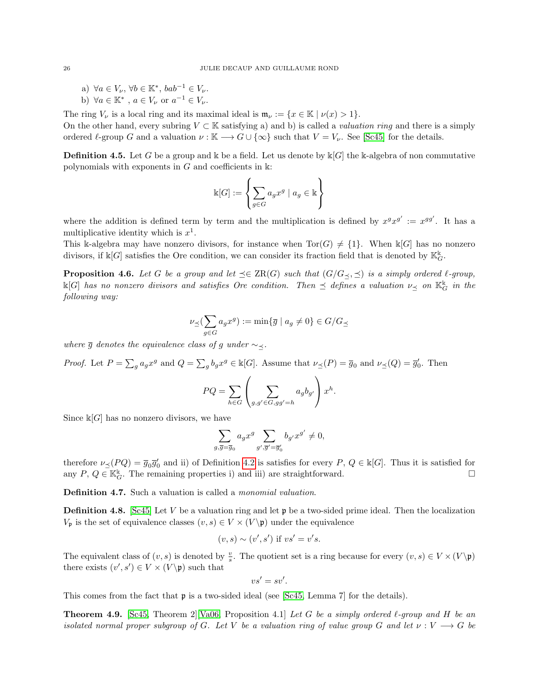- a)  $\forall a \in V_{\nu}, \forall b \in \mathbb{K}^*, bab^{-1} \in V_{\nu}.$
- b)  $\forall a \in \mathbb{K}^*$ ,  $a \in V_{\nu}$  or  $a^{-1} \in V_{\nu}$ .

The ring  $V_{\nu}$  is a local ring and its maximal ideal is  $\mathfrak{m}_{\nu} := \{x \in \mathbb{K} \mid \nu(x) > 1\}.$ 

On the other hand, every subring  $V \subset \mathbb{K}$  satisfying a) and b) is called a *valuation ring* and there is a simply ordered  $\ell$ -group G and a valuation  $\nu : \mathbb{K} \longrightarrow G \cup \{\infty\}$  such that  $V = V_{\nu}$ . See [\[Sc45\]](#page-36-21) for the details.

**Definition 4.5.** Let G be a group and k be a field. Let us denote by  $k[G]$  the k-algebra of non commutative polynomials with exponents in  $G$  and coefficients in  $\mathbb{k}$ :

$$
\Bbbk[G]:=\left\{\sum_{g\in G}a_gx^g\mid a_g\in \Bbbk\right\}
$$

where the addition is defined term by term and the multiplication is defined by  $x^gx^{g'} := x^{gg'}$ . It has a multiplicative identity which is  $x^1$ .

This k-algebra may have nonzero divisors, for instance when  $Tor(G) \neq \{1\}$ . When  $\mathbb{k}[G]$  has no nonzero divisors, if  $\mathbb{K}[G]$  satisfies the Ore condition, we can consider its fraction field that is denoted by  $\mathbb{K}_G^{\mathbb{K}}$ .

<span id="page-25-1"></span>**Proposition 4.6.** Let G be a group and let  $\preceq \in \operatorname{ZR}(G)$  such that  $(G/G_{\preceq}, \preceq)$  is a simply ordered  $\ell$ -group,  $\Bbbk[G]$  has no nonzero divisors and satisfies Ore condition. Then  $\preceq$  defines a valuation  $\nu_{\preceq}$  on  $\Bbbk_G^{\Bbbk}$  in the following way:

$$
\nu_{\preceq}(\sum_{g \in G} a_g x^g) := \min\{\overline{g} \mid a_g \neq 0\} \in G/G_{\preceq}
$$

where  $\overline{g}$  denotes the equivalence class of g under  $\sim$ .

*Proof.* Let  $P = \sum_{g} a_g x^g$  and  $Q = \sum_{g} b_g x^g \in \mathbb{k}[G]$ . Assume that  $\nu_{\preceq}(P) = \overline{g}_0$  and  $\nu_{\preceq}(Q) = \overline{g}'_0$ . Then

$$
PQ = \sum_{h \in G} \left( \sum_{g,g' \in G, gg' = h} a_g b_{g'} \right) x^h.
$$

Since  $\mathbb{K}[G]$  has no nonzero divisors, we have

$$
\sum_{g,\overline{g}=\overline{g}_0} a_g x^g \sum_{g',\overline{g}'=\overline{g}'_0} b_{g'} x^{g'} \neq 0,
$$

therefore  $\nu_{\preceq}(PQ) = \overline{g}_0 \overline{g}'_0$  and ii) of Definition [4.2](#page-24-0) is satisfies for every  $P, Q \in \mathbb{k}[G]$ . Thus it is satisfied for any  $P, Q \in \mathbb{K}_G^k$ . The remaining properties i) and iii) are straightforward.

<span id="page-25-2"></span>Definition 4.7. Such a valuation is called a *monomial valuation*.

**Definition 4.8.** [\[Sc45\]](#page-36-21) Let V be a valuation ring and let **p** be a two-sided prime ideal. Then the localization  $V_{\mathfrak{p}}$  is the set of equivalence classes  $(v, s) \in V \times (V \backslash \mathfrak{p})$  under the equivalence

$$
(v, s) \sim (v', s') \text{ if } vs' = v's.
$$

The equivalent class of  $(v, s)$  is denoted by  $\frac{v}{s}$ . The quotient set is a ring because for every  $(v, s) \in V \times (V \backslash \mathfrak{p})$ there exists  $(v', s') \in V \times (V \backslash \mathfrak{p})$  such that

$$
vs'=sv'.
$$

This comes from the fact that p is a two-sided ideal (see [\[Sc45,](#page-36-21) Lemma 7] for the details).

<span id="page-25-0"></span>**Theorem 4.9.** [\[Sc45,](#page-36-21) Theorem 2][\[Va06,](#page-36-4) Proposition 4.1] Let G be a simply ordered  $\ell$ -group and H be an isolated normal proper subgroup of G. Let V be a valuation ring of value group G and let  $\nu: V \longrightarrow G$  be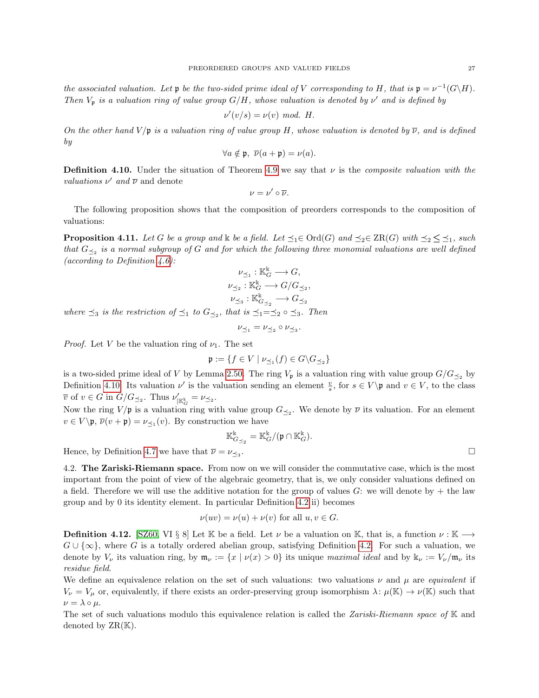the associated valuation. Let  $\mathfrak p$  be the two-sided prime ideal of V corresponding to H, that is  $\mathfrak p = \nu^{-1}(G\backslash H)$ . Then  $V_p$  is a valuation ring of value group  $G/H$ , whose valuation is denoted by  $\nu'$  and is defined by

$$
\nu'(v/s) = \nu(v) \mod H.
$$

On the other hand  $V/\mathfrak{p}$  is a valuation ring of value group H, whose valuation is denoted by  $\overline{\nu}$ , and is defined by

$$
\forall a \notin \mathfrak{p}, \ \overline{\nu}(a+\mathfrak{p}) = \nu(a).
$$

<span id="page-26-0"></span>**Definition 4.10.** Under the situation of Theorem [4.9](#page-25-0) we say that  $\nu$  is the *composite valuation with the* valuations  $\nu'$  and  $\overline{\nu}$  and denote

$$
\nu=\nu'\circ\overline{\nu}.
$$

The following proposition shows that the composition of preorders corresponds to the composition of valuations:

<span id="page-26-1"></span>**Proposition 4.11.** Let G be a group and k be a field. Let  $\preceq_1 \in \text{Ord}(G)$  and  $\preceq_2 \in \text{ZR}(G)$  with  $\preceq_2 \leq \preceq_1$ , such that  $G_{\leq2}$  is a normal subgroup of G and for which the following three monomial valuations are well defined (according to Definition  $(4.6)$ :

$$
\begin{aligned} \nu_{\preceq_1}: & \mathbb{K}_G^{\Bbbk} \longrightarrow G, \\ \nu_{\preceq_2}: & \mathbb{K}_G^{\Bbbk} \longrightarrow G/G_{\preceq_2}, \\ \nu_{\preceq_3}: & \mathbb{K}_{G_{\preceq_2}}^{\Bbbk} \longrightarrow G_{\preceq_2} \end{aligned}
$$

where  $\preceq_3$  is the restriction of  $\preceq_1$  to  $G_{\preceq_2}$ , that is  $\preceq_1=\preceq_2 \circ \preceq_3$ . Then

$$
\nu_{\preceq_1} = \nu_{\preceq_2} \circ \nu_{\preceq_3}.
$$

*Proof.* Let V be the valuation ring of  $\nu_1$ . The set

$$
\mathfrak{p}:=\{f\in V\mid \nu_{\preceq_1}(f)\in G\backslash G_{\preceq_2}\}
$$

is a two-sided prime ideal of V by Lemma [2.50.](#page-10-1) The ring  $V_p$  is a valuation ring with value group  $G/G_{\preceq_2}$  by Definition [4.10.](#page-26-0) Its valuation  $\nu'$  is the valuation sending an element  $\frac{v}{s}$ , for  $s \in V \setminus \mathfrak{p}$  and  $v \in V$ , to the class  $\overline{v}$  of  $v \in G$  in  $G/G_{\preceq_2}$ . Thus  $\nu'_{|\mathbb{K}_G^k} = \nu_{\preceq_2}$ .

Now the ring  $V/\mathfrak{p}$  is a valuation ring with value group  $G_{\preceq_2}$ . We denote by  $\overline{\nu}$  its valuation. For an element  $v \in V \backslash \mathfrak{p}, \overline{\nu}(v + \mathfrak{p}) = \nu_{\preceq_1}(v)$ . By construction we have

$$
\mathbb{K}^{\Bbbk}_{G_{\preceq_2}}=\mathbb{K}^{\Bbbk}_G/(\mathfrak{p}\cap \mathbb{K}^{\Bbbk}_G).
$$

Hence, by Definition [4.7](#page-25-2) we have that  $\overline{\nu} = \nu_{\prec_3}$ .

4.2. The Zariski-Riemann space. From now on we will consider the commutative case, which is the most important from the point of view of the algebraic geometry, that is, we only consider valuations defined on a field. Therefore we will use the additive notation for the group of values  $G$ : we will denote by  $+$  the law group and by 0 its identity element. In particular Definition [4.2](#page-24-0) ii) becomes

$$
\nu(uv) = \nu(u) + \nu(v) \text{ for all } u, v \in G.
$$

**Definition 4.12.** [\[SZ60,](#page-36-6) VI § 8] Let K be a field. Let  $\nu$  be a valuation on K, that is, a function  $\nu : K \longrightarrow$  $G \cup \{\infty\}$ , where G is a totally ordered abelian group, satisfying Definition [4.2.](#page-24-0) For such a valuation, we denote by  $V_{\nu}$  its valuation ring, by  $\mathfrak{m}_{\nu} := \{x \mid \nu(x) > 0\}$  its unique maximal ideal and by  $\mathbb{k}_{\nu} := V_{\nu}/\mathfrak{m}_{\nu}$  its residue field.

We define an equivalence relation on the set of such valuations: two valuations  $\nu$  and  $\mu$  are *equivalent* if  $V_{\nu} = V_{\mu}$  or, equivalently, if there exists an order-preserving group isomorphism  $\lambda : \mu(\mathbb{K}) \to \nu(\mathbb{K})$  such that  $\nu = \lambda \circ \mu$ .

The set of such valuations modulo this equivalence relation is called the Zariski-Riemann space of  $\mathbb K$  and denoted by  $\operatorname{ZR}(\mathbb{K})$ .

.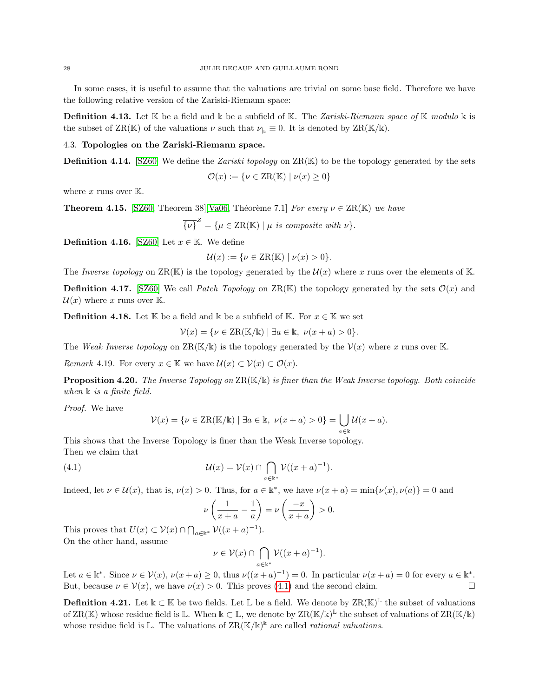In some cases, it is useful to assume that the valuations are trivial on some base field. Therefore we have the following relative version of the Zariski-Riemann space:

**Definition 4.13.** Let  $K$  be a field and  $K$  be a subfield of  $K$ . The Zariski-Riemann space of  $K$  modulo  $K$  is the subset of ZR(K) of the valuations  $\nu$  such that  $\nu_{\vert_k} \equiv 0$ . It is denoted by ZR(K/k).

4.3. Topologies on the Zariski-Riemann space.

**Definition 4.14.** [\[SZ60\]](#page-36-6) We define the *Zariski topology* on  $\text{ZR}(\mathbb{K})$  to be the topology generated by the sets

$$
\mathcal{O}(x) := \{ \nu \in \text{ZR}(\mathbb{K}) \mid \nu(x) \ge 0 \}
$$

where x runs over  $K$ .

<span id="page-27-2"></span>**Theorem 4.15.** [\[SZ60,](#page-36-6) Theorem 38][\[Va06,](#page-36-4) Théorème 7.1] For every  $\nu \in \text{ZR}(\mathbb{K})$  we have

$$
\overline{\{\nu\}}^Z = \{\mu \in \text{ZR}(\mathbb{K}) \mid \mu \text{ is composite with } \nu\}.
$$

**Definition 4.16.** [\[SZ60\]](#page-36-6) Let  $x \in \mathbb{K}$ . We define

$$
\mathcal{U}(x) := \{ \nu \in \text{ZR}(\mathbb{K}) \mid \nu(x) > 0 \}.
$$

The Inverse topology on  $\text{ZR}(\mathbb{K})$  is the topology generated by the  $\mathcal{U}(x)$  where x runs over the elements of K.

**Definition 4.17.** [\[SZ60\]](#page-36-6) We call *Patch Topology* on ZR(K) the topology generated by the sets  $\mathcal{O}(x)$  and  $\mathcal{U}(x)$  where x runs over K.

**Definition 4.18.** Let K be a field and k be a subfield of K. For  $x \in K$  we set

 $V(x) = \{ \nu \in \text{ZR}(\mathbb{K}/\mathbb{K}) \mid \exists a \in \mathbb{K}, \ \nu(x+a) > 0 \}.$ 

The Weak Inverse topology on  $\text{ZR}(\mathbb{K}/\mathbb{K})$  is the topology generated by the  $\mathcal{V}(x)$  where x runs over K.

Remark 4.19. For every  $x \in \mathbb{K}$  we have  $\mathcal{U}(x) \subset \mathcal{V}(x) \subset \mathcal{O}(x)$ .

<span id="page-27-1"></span>**Proposition 4.20.** The Inverse Topology on  $\text{ZR}(\mathbb{K}/\mathbb{K})$  is finer than the Weak Inverse topology. Both coincide when  $\Bbbk$  is a finite field.

Proof. We have

$$
\mathcal{V}(x) = \{ \nu \in \text{ZR}(\mathbb{K}/\mathbb{K}) \mid \exists a \in \mathbb{K}, \ \nu(x+a) > 0 \} = \bigcup_{a \in \mathbb{K}} \mathcal{U}(x+a).
$$

This shows that the Inverse Topology is finer than the Weak Inverse topology. Then we claim that

(4.1) 
$$
\mathcal{U}(x) = \mathcal{V}(x) \cap \bigcap_{a \in \mathbb{K}^*} \mathcal{V}((x+a)^{-1}).
$$

Indeed, let  $\nu \in \mathcal{U}(x)$ , that is,  $\nu(x) > 0$ . Thus, for  $a \in \mathbb{k}^*$ , we have  $\nu(x+a) = \min{\nu(x), \nu(a)} = 0$  and

<span id="page-27-0"></span>
$$
\nu\left(\frac{1}{x+a} - \frac{1}{a}\right) = \nu\left(\frac{-x}{x+a}\right) > 0.
$$

This proves that  $U(x) \subset \mathcal{V}(x) \cap \bigcap_{a \in \mathbb{k}^*} \mathcal{V}((x+a)^{-1}).$ On the other hand, assume

$$
\nu\in\mathcal{V}(x)\cap\bigcap_{a\in\Bbbk^*}\mathcal{V}((x+a)^{-1}).
$$

Let  $a \in \mathbb{k}^*$ . Since  $\nu \in \mathcal{V}(x)$ ,  $\nu(x+a) \geq 0$ , thus  $\nu((x+a)^{-1}) = 0$ . In particular  $\nu(x+a) = 0$  for every  $a \in \mathbb{k}^*$ . But, because  $\nu \in \mathcal{V}(x)$ , we have  $\nu(x) > 0$ . This proves [\(4.1\)](#page-27-0) and the second claim.

**Definition 4.21.** Let  $\Bbbk \subset \mathbb{K}$  be two fields. Let  $\Bbb{L}$  be a field. We denote by  $\operatorname{ZR}(\Bbb{K})^{\Bbb{L}}$  the subset of valuations of  $\text{ZR}(\mathbb{K})$  whose residue field is L. When  $\Bbbk \subset \mathbb{L}$ , we denote by  $\text{ZR}(\mathbb{K}/\Bbbk)^{\mathbb{L}}$  the subset of valuations of  $\text{ZR}(\mathbb{K}/\Bbbk)$ whose residue field is  $\mathbb{L}$ . The valuations of  $\text{ZR}(\mathbb{K}/\mathbb{K})^{\mathbb{k}}$  are called *rational valuations*.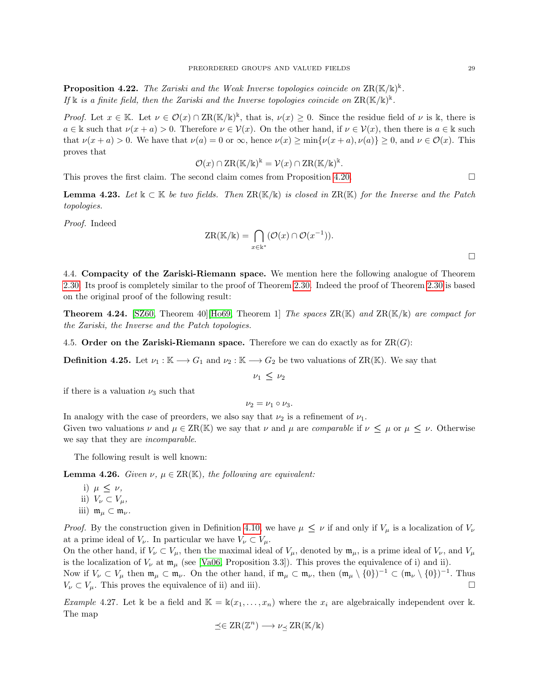<span id="page-28-0"></span>**Proposition 4.22.** The Zariski and the Weak Inverse topologies coincide on  $\text{ZR}(\mathbb{K}/\mathbb{k})^{\mathbb{k}}$ . If  $\Bbbk$  is a finite field, then the Zariski and the Inverse topologies coincide on  $\text{ZR}(\Bbbk/\Bbbk)^{\Bbbk}$ .

Proof. Let  $x \in \mathbb{K}$ . Let  $\nu \in \mathcal{O}(x) \cap \mathrm{ZR}(\mathbb{K}/\mathbb{K})^{\mathbb{k}}$ , that is,  $\nu(x) \geq 0$ . Since the residue field of  $\nu$  is k, there is  $a \in \mathbb{k}$  such that  $\nu(x+a) > 0$ . Therefore  $\nu \in \mathcal{V}(x)$ . On the other hand, if  $\nu \in \mathcal{V}(x)$ , then there is  $a \in \mathbb{k}$  such that  $\nu(x+a) > 0$ . We have that  $\nu(a) = 0$  or  $\infty$ , hence  $\nu(x) \ge \min{\nu(x+a), \nu(a)} \ge 0$ , and  $\nu \in \mathcal{O}(x)$ . This proves that

$$
\mathcal{O}(x) \cap \mathrm{ZR}(\mathbb{K}/\mathbb{k})^{\mathbb{k}} = \mathcal{V}(x) \cap \mathrm{ZR}(\mathbb{K}/\mathbb{k})^{\mathbb{k}}.
$$

This proves the first claim. The second claim comes from Proposition [4.20.](#page-27-1)

**Lemma 4.23.** Let  $\Bbbk \subset \mathbb{K}$  be two fields. Then  $\text{ZR}(\mathbb{K}/\Bbbk)$  is closed in  $\text{ZR}(\mathbb{K})$  for the Inverse and the Patch topologies.

Proof. Indeed

$$
ZR(\mathbb{K}/\mathbb{k}) = \bigcap_{x \in \mathbb{K}^*} (\mathcal{O}(x) \cap \mathcal{O}(x^{-1})).
$$

4.4. Compacity of the Zariski-Riemann space. We mention here the following analogue of Theorem [2.30.](#page-6-0) Its proof is completely similar to the proof of Theorem [2.30.](#page-6-0) Indeed the proof of Theorem [2.30](#page-6-0) is based on the original proof of the following result:

**Theorem 4.24.** [\[SZ60,](#page-36-6) Theorem 40][\[Ho69,](#page-36-7) Theorem 1] The spaces  $\text{ZR}(\mathbb{K})$  and  $\text{ZR}(\mathbb{K}/\mathbb{K})$  are compact for the Zariski, the Inverse and the Patch topologies.

4.5. Order on the Zariski-Riemann space. Therefore we can do exactly as for  $\text{ZR}(G)$ :

**Definition 4.25.** Let  $\nu_1 : \mathbb{K} \longrightarrow G_1$  and  $\nu_2 : \mathbb{K} \longrightarrow G_2$  be two valuations of ZR(K). We say that

 $\nu_1 \leq \nu_2$ 

if there is a valuation  $\nu_3$  such that

 $\nu_2 = \nu_1 \circ \nu_3$ .

In analogy with the case of preorders, we also say that  $\nu_2$  is a refinement of  $\nu_1$ . Given two valuations  $\nu$  and  $\mu \in \text{ZR}(\mathbb{K})$  we say that  $\nu$  and  $\mu$  are *comparable* if  $\nu \leq \mu$  or  $\mu \leq \nu$ . Otherwise we say that they are incomparable.

The following result is well known:

<span id="page-28-1"></span>**Lemma 4.26.** Given  $\nu, \mu \in \text{ZR}(\mathbb{K})$ , the following are equivalent:

i)  $\mu \leq \nu$ , ii)  $V_{\nu} \subset V_{\mu}$ , iii)  $m_{\mu} \subset m_{\nu}$ .

*Proof.* By the construction given in Definition [4.10,](#page-26-0) we have  $\mu \leq \nu$  if and only if  $V_{\mu}$  is a localization of  $V_{\nu}$ at a prime ideal of  $V_{\nu}$ . In particular we have  $V_{\nu} \subset V_{\mu}$ .

On the other hand, if  $V_{\nu} \subset V_{\mu}$ , then the maximal ideal of  $V_{\mu}$ , denoted by  $\mathfrak{m}_{\mu}$ , is a prime ideal of  $V_{\nu}$ , and  $V_{\mu}$ is the localization of  $V_{\nu}$  at  $\mathfrak{m}_{\mu}$  (see [\[Va06,](#page-36-4) Proposition 3.3]). This proves the equivalence of i) and ii). Now if  $V_{\nu} \subset V_{\mu}$  then  $\mathfrak{m}_{\mu} \subset \mathfrak{m}_{\nu}$ . On the other hand, if  $\mathfrak{m}_{\mu} \subset \mathfrak{m}_{\nu}$ , then  $(\mathfrak{m}_{\mu} \setminus \{0\})^{-1} \subset (\mathfrak{m}_{\nu} \setminus \{0\})^{-1}$ . Thus  $V_{\nu} \subset V_{\mu}$ . This proves the equivalence of ii) and iii).

<span id="page-28-2"></span>Example 4.27. Let k be a field and  $\mathbb{K} = \mathbb{k}(x_1, \ldots, x_n)$  where the  $x_i$  are algebraically independent over k. The map

$$
\preceq \in \operatorname{ZR}(\mathbb{Z}^n) \longrightarrow \nu_{\preceq} \operatorname{ZR}(\mathbb{K}/\mathbb{k})
$$

 $\Box$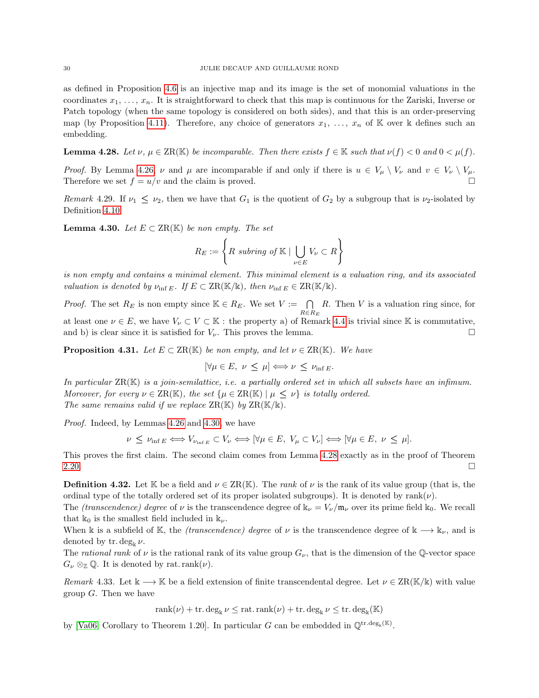as defined in Proposition [4.6](#page-25-1) is an injective map and its image is the set of monomial valuations in the coordinates  $x_1, \ldots, x_n$ . It is straightforward to check that this map is continuous for the Zariski, Inverse or Patch topology (when the same topology is considered on both sides), and that this is an order-preserving map (by Proposition [4.11\)](#page-26-1). Therefore, any choice of generators  $x_1, \ldots, x_n$  of K over k defines such an embedding.

<span id="page-29-4"></span>**Lemma 4.28.** Let  $\nu, \mu \in \text{ZR}(\mathbb{K})$  be incomparable. Then there exists  $f \in \mathbb{K}$  such that  $\nu(f) < 0$  and  $0 < \mu(f)$ .

*Proof.* By Lemma [4.26,](#page-28-1)  $\nu$  and  $\mu$  are incomparable if and only if there is  $u \in V_{\mu} \setminus V_{\nu}$  and  $v \in V_{\nu} \setminus V_{\mu}$ . Therefore we set  $f = u/v$  and the claim is proved.

Remark 4.29. If  $\nu_1 \leq \nu_2$ , then we have that  $G_1$  is the quotient of  $G_2$  by a subgroup that is  $\nu_2$ -isolated by Definition [4.10.](#page-26-0)

<span id="page-29-3"></span>**Lemma 4.30.** Let  $E \subset \operatorname{ZR}(\mathbb{K})$  be non empty. The set

$$
R_E := \left\{ R \text{ subring of } \mathbb{K} \mid \bigcup_{\nu \in E} V_{\nu} \subset R \right\}
$$

is non empty and contains a minimal element. This minimal element is a valuation ring, and its associated valuation is denoted by  $\nu_{\text{inf }E}$ . If  $E \subset \text{ZR}(\mathbb{K}/\mathbb{k})$ , then  $\nu_{\text{inf }E} \in \text{ZR}(\mathbb{K}/\mathbb{k})$ .

*Proof.* The set  $R_E$  is non empty since  $\mathbb{K} \in R_E$ . We set  $V := \bigcap_{R \in R_E}$  $R$ . Then  $V$  is a valuation ring since, for at least one  $\nu \in E$ , we have  $V_{\nu} \subset V \subset \mathbb{K}$ : the property a) of Remark [4.4](#page-24-1) is trivial since K is commutative, and b) is clear since it is satisfied for  $V_{\nu}$ . This proves the lemma.

<span id="page-29-0"></span>**Proposition 4.31.** Let  $E \subset \operatorname{ZR}(\mathbb{K})$  be non empty, and let  $\nu \in \operatorname{ZR}(\mathbb{K})$ . We have

$$
[\forall \mu \in E, \ \nu \leq \mu] \Longleftrightarrow \nu \leq \nu_{\inf E}.
$$

In particular  $\text{ZR}(\mathbb{K})$  is a join-semilattice, i.e. a partially ordered set in which all subsets have an infimum. Moreover, for every  $\nu \in \operatorname{ZR}(\mathbb{K})$ , the set  $\{\mu \in \operatorname{ZR}(\mathbb{K}) \mid \mu \leq \nu\}$  is totally ordered. The same remains valid if we replace  $\operatorname{ZR}(\mathbb{K})$  by  $\operatorname{ZR}(\mathbb{K}/\mathbb{K})$ .

Proof. Indeed, by Lemmas [4.26](#page-28-1) and [4.30,](#page-29-3) we have

$$
\nu \leq \nu_{\inf E} \Longleftrightarrow V_{\nu_{\inf E}} \subset V_{\nu} \Longleftrightarrow [\forall \mu \in E, V_{\mu} \subset V_{\nu}] \Longleftrightarrow [\forall \mu \in E, \nu \leq \mu].
$$

This proves the first claim. The second claim comes from Lemma [4.28](#page-29-4) exactly as in the proof of Theorem  $2.20.$ 

<span id="page-29-2"></span>**Definition 4.32.** Let K be a field and  $\nu \in \text{ZR}(\mathbb{K})$ . The rank of  $\nu$  is the rank of its value group (that is, the ordinal type of the totally ordered set of its proper isolated subgroups). It is denoted by rank $(\nu)$ .

The *(transcendence) degree* of  $\nu$  is the transcendence degree of  $\mathbf{k}_{\nu} = V_{\nu}/\mathfrak{m}_{\nu}$  over its prime field  $\mathbf{k}_0$ . We recall that  $\mathbb{k}_0$  is the smallest field included in  $\mathbb{k}_\nu$ .

When k is a subfield of K, the (transcendence) degree of  $\nu$  is the transcendence degree of  $k \longrightarrow k_{\nu}$ , and is denoted by tr. deg<sub>k</sub>  $\nu$ .

The rational rank of  $\nu$  is the rational rank of its value group  $G_{\nu}$ , that is the dimension of the Q-vector space  $G_{\nu} \otimes_{\mathbb{Z}} \mathbb{Q}$ . It is denoted by rat. rank $(\nu)$ .

<span id="page-29-1"></span>Remark 4.33. Let  $k \longrightarrow \mathbb{K}$  be a field extension of finite transcendental degree. Let  $\nu \in \operatorname{ZR}(\mathbb{K}/\mathbb{K})$  with value group  $G$ . Then we have

$$
rank(\nu) + tr \cdot deg_k \nu \leq rat \cdot rank(\nu) + tr \cdot deg_k \nu \leq tr \cdot deg_k(\mathbb{K})
$$

by [\[Va06,](#page-36-4) Corollary to Theorem 1.20]. In particular G can be embedded in  $\mathbb{Q}^{tr.deg_k(\mathbb{K})}$ .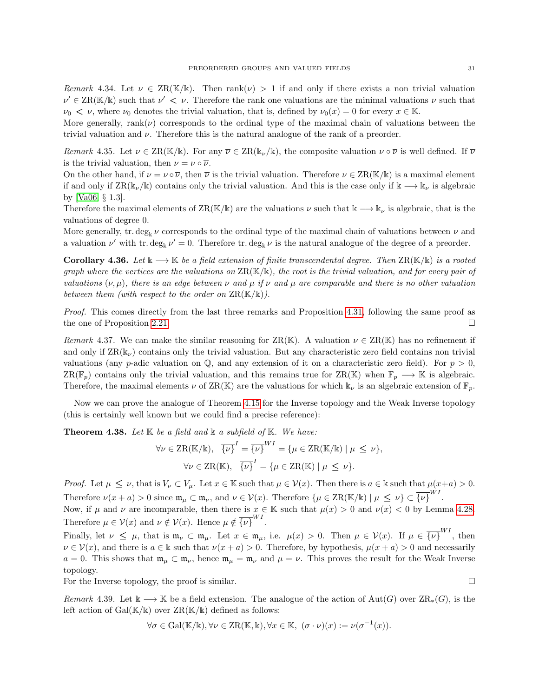Remark 4.34. Let  $\nu \in \operatorname{ZR}(\mathbb{K}/\mathbb{k})$ . Then  $\operatorname{rank}(\nu) > 1$  if and only if there exists a non trivial valuation  $\nu' \in \text{ZR}(\mathbb{K}/\mathbb{k})$  such that  $\nu' < \nu$ . Therefore the rank one valuations are the minimal valuations  $\nu$  such that  $\nu_0 < \nu$ , where  $\nu_0$  denotes the trivial valuation, that is, defined by  $\nu_0(x) = 0$  for every  $x \in \mathbb{K}$ .

More generally, rank( $\nu$ ) corresponds to the ordinal type of the maximal chain of valuations between the trivial valuation and  $\nu$ . Therefore this is the natural analogue of the rank of a preorder.

Remark 4.35. Let  $\nu \in \text{ZR}(\mathbb{K}/\mathbb{K})$ . For any  $\overline{\nu} \in \text{ZR}(\mathbb{K}_\nu/\mathbb{K})$ , the composite valuation  $\nu \circ \overline{\nu}$  is well defined. If  $\overline{\nu}$ is the trivial valuation, then  $\nu = \nu \circ \overline{\nu}$ .

On the other hand, if  $\nu = \nu \circ \overline{\nu}$ , then  $\overline{\nu}$  is the trivial valuation. Therefore  $\nu \in \operatorname{ZR}(\mathbb{K}/\mathbb{K})$  is a maximal element if and only if  $\text{ZR}(\mathbb{k}_\nu/\mathbb{k})$  contains only the trivial valuation. And this is the case only if  $\mathbb{k} \longrightarrow \mathbb{k}_\nu$  is algebraic by [\[Va06,](#page-36-4) § 1.3].

Therefore the maximal elements of  $\text{ZR}(\mathbb{K}/\mathbb{k})$  are the valuations  $\nu$  such that  $\mathbb{k} \longrightarrow \mathbb{k}_{\nu}$  is algebraic, that is the valuations of degree 0.

More generally, tr. deg<sub>k</sub>  $\nu$  corresponds to the ordinal type of the maximal chain of valuations between  $\nu$  and a valuation  $\nu'$  with tr. deg<sub>k</sub>  $\nu' = 0$ . Therefore tr. deg<sub>k</sub>  $\nu$  is the natural analogue of the degree of a preorder.

**Corollary 4.36.** Let  $\Bbbk \to \mathbb{K}$  be a field extension of finite transcendental degree. Then  $\text{ZR}(\mathbb{K}/\Bbbk)$  is a rooted graph where the vertices are the valuations on  $\text{ZR}(\mathbb{K}/\mathbb{K})$ , the root is the trivial valuation, and for every pair of valuations  $(\nu, \mu)$ , there is an edge between  $\nu$  and  $\mu$  if  $\nu$  and  $\mu$  are comparable and there is no other valuation between them (with respect to the order on  $\operatorname{ZR}(\mathbb{K}/\mathbb{k})$ ).

Proof. This comes directly from the last three remarks and Proposition [4.31,](#page-29-0) following the same proof as the one of Proposition [2.21.](#page-4-1)

Remark 4.37. We can make the similar reasoning for  $\operatorname{ZR}(\mathbb{K})$ . A valuation  $\nu \in \operatorname{ZR}(\mathbb{K})$  has no refinement if and only if  $\text{ZR}(\mathbb{k}_{\nu})$  contains only the trivial valuation. But any characteristic zero field contains non trivial valuations (any p-adic valuation on  $\mathbb{Q}$ , and any extension of it on a characteristic zero field). For  $p > 0$ , ZR( $\mathbb{F}_p$ ) contains only the trivial valuation, and this remains true for ZR(K) when  $\mathbb{F}_p \longrightarrow \mathbb{K}$  is algebraic. Therefore, the maximal elements  $\nu$  of ZR(K) are the valuations for which  $k_{\nu}$  is an algebraic extension of  $\mathbb{F}_n$ .

Now we can prove the analogue of Theorem [4.15](#page-27-2) for the Inverse topology and the Weak Inverse topology (this is certainly well known but we could find a precise reference):

**Theorem 4.38.** Let  $K$  be a field and  $K$  a subfield of  $K$ . We have:

$$
\forall \nu \in \mathbf{ZR}(\mathbb{K}/\mathbb{k}), \quad \overline{\{\nu\}}^I = \overline{\{\nu\}}^{WI} = \{\mu \in \mathbf{ZR}(\mathbb{K}/\mathbb{k}) \mid \mu \leq \nu\},
$$

$$
\forall \nu \in \mathbf{ZR}(\mathbb{K}), \quad \overline{\{\nu\}}^I = \{\mu \in \mathbf{ZR}(\mathbb{K}) \mid \mu \leq \nu\}.
$$

Proof. Let  $\mu \leq \nu$ , that is  $V_{\nu} \subset V_{\mu}$ . Let  $x \in \mathbb{K}$  such that  $\mu \in \mathcal{V}(x)$ . Then there is  $a \in \mathbb{K}$  such that  $\mu(x+a) > 0$ . Therefore  $\nu(x+a) > 0$  since  $\mathfrak{m}_{\mu} \subset \mathfrak{m}_{\nu}$ , and  $\nu \in \mathcal{V}(x)$ . Therefore  $\{\mu \in \text{ZR}(\mathbb{K}/\mathbb{k}) \mid \mu \leq \nu\} \subset \overline{\{\nu\}}^{WI}$ .

Now, if  $\mu$  and  $\nu$  are incomparable, then there is  $x \in \mathbb{K}$  such that  $\mu(x) > 0$  and  $\nu(x) < 0$  by Lemma [4.28.](#page-29-4) Therefore  $\mu \in \mathcal{V}(x)$  and  $\nu \notin \mathcal{V}(x)$ . Hence  $\mu \notin {\overline{\{\nu\}}}^{WI}$ .

Finally, let  $\nu \leq \mu$ , that is  $\mathfrak{m}_{\nu} \subset \mathfrak{m}_{\mu}$ . Let  $x \in \mathfrak{m}_{\mu}$ , i.e.  $\mu(x) > 0$ . Then  $\mu \in \mathcal{V}(x)$ . If  $\mu \in \overline{\{\nu\}}^{WI}$ , then  $\nu \in \mathcal{V}(x)$ , and there is  $a \in \mathbb{k}$  such that  $\nu(x+a) > 0$ . Therefore, by hypothesis,  $\mu(x+a) > 0$  and necessarily  $a = 0$ . This shows that  $\mathfrak{m}_{\mu} \subset \mathfrak{m}_{\nu}$ , hence  $\mathfrak{m}_{\mu} = \mathfrak{m}_{\nu}$  and  $\mu = \nu$ . This proves the result for the Weak Inverse topology.

For the Inverse topology, the proof is similar.

Remark 4.39. Let  $k \longrightarrow \mathbb{K}$  be a field extension. The analogue of the action of Aut(G) over  $\operatorname{ZR}_*(G)$ , is the left action of  $Gal(\mathbb{K}/\mathbb{k})$  over  $ZR(\mathbb{K}/\mathbb{k})$  defined as follows:

$$
\forall \sigma \in \mathrm{Gal}(\mathbb{K}/\mathbb{k}), \forall \nu \in \mathrm{ZR}(\mathbb{K}, \mathbb{k}), \forall x \in \mathbb{K}, \ (\sigma \cdot \nu)(x) := \nu(\sigma^{-1}(x)).
$$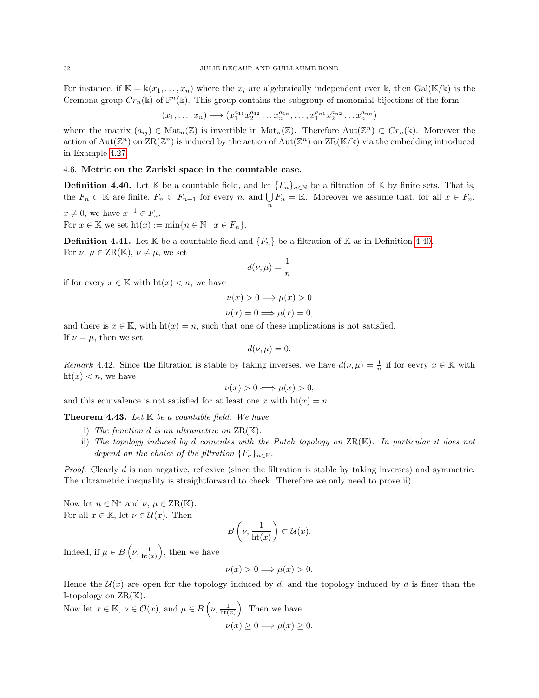For instance, if  $\mathbb{K} = \mathbb{k}(x_1, \ldots, x_n)$  where the  $x_i$  are algebraically independent over k, then Gal(K/k) is the Cremona group  $Cr_n(\mathbb{k})$  of  $\mathbb{P}^n(\mathbb{k})$ . This group contains the subgroup of monomial bijections of the form

$$
(x_1, \ldots, x_n) \longmapsto (x_1^{a_{11}} x_2^{a_{12}} \ldots x_n^{a_{1n}}, \ldots, x_1^{a_{n1}} x_2^{a_{n2}} \ldots x_n^{a_{nn}})
$$

where the matrix  $(a_{ij}) \in \text{Mat}_n(\mathbb{Z})$  is invertible in  $\text{Mat}_n(\mathbb{Z})$ . Therefore  $\text{Aut}(\mathbb{Z}^n) \subset Cr_n(\mathbb{k})$ . Moreover the action of  $Aut(\mathbb{Z}^n)$  on  $\operatorname{ZR}(\mathbb{Z}^n)$  is induced by the action of  $Aut(\mathbb{Z}^n)$  on  $\operatorname{ZR}(\mathbb{K}/\mathbb{k})$  via the embedding introduced in Example [4.27.](#page-28-2)

## 4.6. Metric on the Zariski space in the countable case.

<span id="page-31-1"></span>**Definition 4.40.** Let K be a countable field, and let  $\{F_n\}_{n\in\mathbb{N}}$  be a filtration of K by finite sets. That is, the  $F_n \subset \mathbb{K}$  are finite,  $F_n \subset F_{n+1}$  for every n, and  $\bigcup_n F_n = \mathbb{K}$ . Moreover we assume that, for all  $x \in F_n$ ,

 $x \neq 0$ , we have  $x^{-1} \in F_n$ . For  $x \in \mathbb{K}$  we set  $\mathrm{ht}(x) := \min\{n \in \mathbb{N} \mid x \in F_n\}.$ 

**Definition 4.41.** Let K be a countable field and  $\{F_n\}$  be a filtration of K as in Definition [4.40.](#page-31-1) For  $\nu, \mu \in \text{ZR}(\mathbb{K}), \nu \neq \mu$ , we set

$$
d(\nu,\mu)=\frac{1}{n}
$$

if for every  $x \in \mathbb{K}$  with  $\mathrm{ht}(x) < n$ , we have

$$
\nu(x) > 0 \Longrightarrow \mu(x) > 0
$$
  

$$
\nu(x) = 0 \Longrightarrow \mu(x) = 0,
$$

and there is  $x \in \mathbb{K}$ , with  $h(x) = n$ , such that one of these implications is not satisfied. If  $\nu = \mu$ , then we set

$$
d(\nu,\mu)=0.
$$

Remark 4.42. Since the filtration is stable by taking inverses, we have  $d(\nu,\mu) = \frac{1}{n}$  if for eevry  $x \in \mathbb{K}$  with  $\text{ht}(x) < n$ , we have

$$
\nu(x) > 0 \Longleftrightarrow \mu(x) > 0,
$$

and this equivalence is not satisfied for at least one x with  $\text{ht}(x) = n$ .

<span id="page-31-0"></span>**Theorem 4.43.** Let  $K$  be a countable field. We have

- i) The function d is an ultrametric on  $\operatorname{ZR}(\mathbb{K})$ .
- ii) The topology induced by d coincides with the Patch topology on  $\operatorname{ZR}(\mathbb{K})$ . In particular it does not depend on the choice of the filtration  ${F_n}_{n\in\mathbb{N}}$ .

Proof. Clearly d is non negative, reflexive (since the filtration is stable by taking inverses) and symmetric. The ultrametric inequality is straightforward to check. Therefore we only need to prove ii).

Now let  $n \in \mathbb{N}^*$  and  $\nu, \mu \in \text{ZR}(\mathbb{K})$ . For all  $x \in \mathbb{K}$ , let  $\nu \in \mathcal{U}(x)$ . Then

$$
B\left(\nu,\frac{1}{\mathrm{ht}(x)}\right)\subset\mathcal{U}(x).
$$

Indeed, if  $\mu \in B\left(\nu, \frac{1}{\mathrm{ht}(x)}\right)$ , then we have

$$
\nu(x) > 0 \Longrightarrow \mu(x) > 0.
$$

Hence the  $U(x)$  are open for the topology induced by d, and the topology induced by d is finer than the I-topology on  $\operatorname{ZR}(\mathbb{K})$ .

Now let  $x \in \mathbb{K}$ ,  $\nu \in \mathcal{O}(x)$ , and  $\mu \in B\left(\nu, \frac{1}{\mathrm{ht}(x)}\right)$ . Then we have  $\nu(x) \geq 0 \Longrightarrow \mu(x) \geq 0.$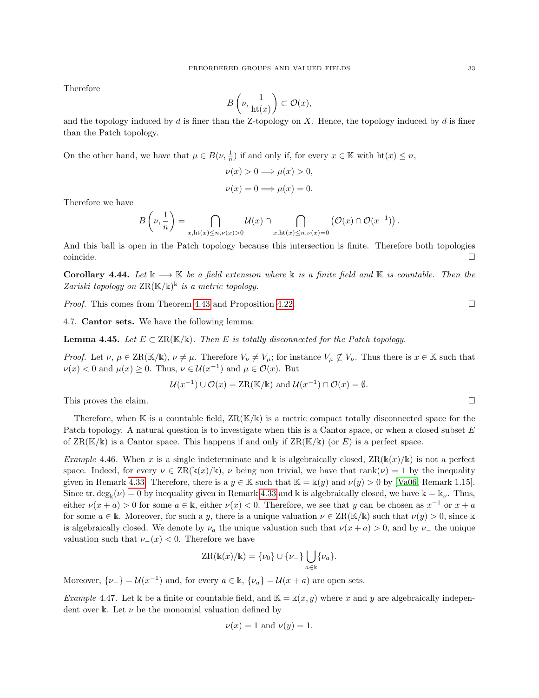Therefore

$$
B\left(\nu,\frac{1}{\operatorname{ht}(x)}\right)\subset \mathcal{O}(x),
$$

and the topology induced by  $d$  is finer than the Z-topology on  $X$ . Hence, the topology induced by  $d$  is finer than the Patch topology.

On the other hand, we have that  $\mu \in B(\nu, \frac{1}{n})$  if and only if, for every  $x \in \mathbb{K}$  with  $\text{ht}(x) \leq n$ ,

$$
\nu(x) > 0 \Longrightarrow \mu(x) > 0,
$$
  

$$
\nu(x) = 0 \Longrightarrow \mu(x) = 0.
$$

Therefore we have

$$
B\left(\nu,\frac{1}{n}\right)=\bigcap_{x,\text{ht}(x)\leq n,\nu(x)>0}\mathcal{U}(x)\cap\bigcap_{x,\text{ht}(x)\leq n,\nu(x)=0}\left(\mathcal{O}(x)\cap\mathcal{O}(x^{-1})\right).
$$

And this ball is open in the Patch topology because this intersection is finite. Therefore both topologies coincide. □

**Corollary 4.44.** Let  $\mathbb{k} \to \mathbb{K}$  be a field extension where  $\mathbb{k}$  is a finite field and  $\mathbb{K}$  is countable. Then the Zariski topology on  $\operatorname{ZR}(\mathbb{K}/\mathbb{k})^{\mathbb{k}}$  is a metric topology.

*Proof.* This comes from Theorem [4.43](#page-31-0) and Proposition [4.22.](#page-28-0)

4.7. Cantor sets. We have the following lemma:

<span id="page-32-0"></span>**Lemma 4.45.** Let  $E \subset \text{ZR}(\mathbb{K}/\mathbb{K})$ . Then E is totally disconnected for the Patch topology.

*Proof.* Let  $\nu, \mu \in \text{ZR}(\mathbb{K}/\mathbb{K}), \nu \neq \mu$ . Therefore  $V_{\nu} \neq V_{\mu}$ ; for instance  $V_{\mu} \nsubseteq V_{\nu}$ . Thus there is  $x \in \mathbb{K}$  such that  $\nu(x) < 0$  and  $\mu(x) \geq 0$ . Thus,  $\nu \in \mathcal{U}(x^{-1})$  and  $\mu \in \mathcal{O}(x)$ . But

$$
\mathcal{U}(x^{-1}) \cup \mathcal{O}(x) = \text{ZR}(\mathbb{K}/\mathbb{k}) \text{ and } \mathcal{U}(x^{-1}) \cap \mathcal{O}(x) = \emptyset.
$$

This proves the claim.  $\square$ 

Therefore, when  $\mathbb K$  is a countable field,  $\text{ZR}(\mathbb K/\mathbb K)$  is a metric compact totally disconnected space for the Patch topology. A natural question is to investigate when this is a Cantor space, or when a closed subset E of  $\operatorname{ZR}(\mathbb{K}/\mathbb{K})$  is a Cantor space. This happens if and only if  $\operatorname{ZR}(\mathbb{K}/\mathbb{K})$  (or E) is a perfect space.

Example 4.46. When x is a single indeterminate and k is algebraically closed,  $\text{ZR}(\mathbb{k}(x)/\mathbb{k})$  is not a perfect space. Indeed, for every  $\nu \in \text{ZR}(\mathbb{k}(x)/\mathbb{k})$ ,  $\nu$  being non trivial, we have that rank $(\nu) = 1$  by the inequality given in Remark [4.33.](#page-29-1) Therefore, there is a  $y \in \mathbb{K}$  such that  $\mathbb{K} = \mathbb{k}(y)$  and  $\nu(y) > 0$  by [\[Va06,](#page-36-4) Remark 1.15]. Since tr.  $\deg_{\mathbb{k}}(\nu) = 0$  by inequality given in Remark [4.33](#page-29-1) and k is algebraically closed, we have  $\mathbb{k} = \mathbb{k}_{\nu}$ . Thus, either  $\nu(x+a) > 0$  for some  $a \in \mathbb{k}$ , either  $\nu(x) < 0$ . Therefore, we see that y can be chosen as  $x^{-1}$  or  $x + a$ for some  $a \in \mathbb{k}$ . Moreover, for such a y, there is a unique valuation  $\nu \in \operatorname{ZR}(\mathbb{K}/\mathbb{k})$  such that  $\nu(y) > 0$ , since k is algebraically closed. We denote by  $\nu_a$  the unique valuation such that  $\nu(x + a) > 0$ , and by  $\nu_-$  the unique valuation such that  $\nu_-(x) < 0$ . Therefore we have

$$
ZR(\Bbbk(x)/\Bbbk) = \{\nu_0\} \cup \{\nu_-\} \bigcup_{a \in \Bbbk} {\{\nu_a\}}.
$$

Moreover,  $\{\nu_-\} = \mathcal{U}(x^{-1})$  and, for every  $a \in \mathbb{k}$ ,  $\{\nu_a\} = \mathcal{U}(x + a)$  are open sets.

Example 4.47. Let k be a finite or countable field, and  $\mathbb{K} = \mathbb{k}(x, y)$  where x and y are algebraically independent over k. Let  $\nu$  be the monomial valuation defined by

$$
\nu(x) = 1
$$
 and  $\nu(y) = 1$ .

$$
f_{\rm{max}}
$$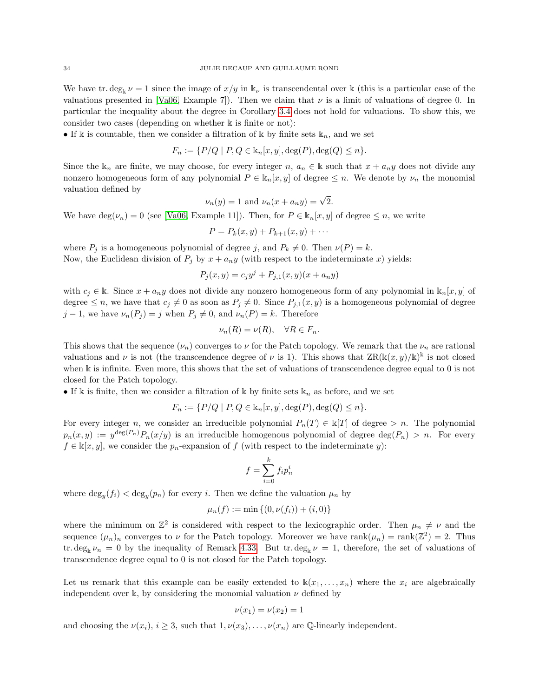We have tr.  $\deg_k \nu = 1$  since the image of  $x/y$  in  $k_{\nu}$  is transcendental over k (this is a particular case of the valuations presented in [\[Va06,](#page-36-4) Example 7]). Then we claim that  $\nu$  is a limit of valuations of degree 0. In particular the inequality about the degree in Corollary [3.4](#page-15-1) does not hold for valuations. To show this, we consider two cases (depending on whether k is finite or not):

• If k is countable, then we consider a filtration of k by finite sets  $\mathbb{k}_n$ , and we set

$$
F_n := \{ P/Q \mid P, Q \in \mathbb{k}_n[x, y], \deg(P), \deg(Q) \le n \}.
$$

Since the  $k_n$  are finite, we may choose, for every integer n,  $a_n \in \mathbb{k}$  such that  $x + a_n y$  does not divide any nonzero homogeneous form of any polynomial  $P \in \mathbb{k}_n[x, y]$  of degree  $\leq n$ . We denote by  $\nu_n$  the monomial valuation defined by

$$
\nu_n(y) = 1 \text{ and } \nu_n(x + a_n y) = \sqrt{2}.
$$

We have  $\deg(\nu_n) = 0$  (see [\[Va06,](#page-36-4) Example 11]). Then, for  $P \in \mathbb{k}_n[x, y]$  of degree  $\leq n$ , we write

$$
P = P_k(x, y) + P_{k+1}(x, y) + \cdots
$$

where  $P_j$  is a homogeneous polynomial of degree j, and  $P_k \neq 0$ . Then  $\nu(P) = k$ . Now, the Euclidean division of  $P_j$  by  $x + a_n y$  (with respect to the indeterminate x) yields:

$$
P_j(x, y) = c_j y^j + P_{j,1}(x, y)(x + a_n y)
$$

with  $c_j \in \mathbb{k}$ . Since  $x + a_n y$  does not divide any nonzero homogeneous form of any polynomial in  $\mathbb{k}_n[x, y]$  of degree  $\leq n$ , we have that  $c_j \neq 0$  as soon as  $P_j \neq 0$ . Since  $P_{j,1}(x, y)$  is a homogeneous polynomial of degree  $j-1$ , we have  $\nu_n(P_j) = j$  when  $P_j \neq 0$ , and  $\nu_n(P) = k$ . Therefore

$$
\nu_n(R) = \nu(R), \quad \forall R \in F_n.
$$

This shows that the sequence  $(\nu_n)$  converges to  $\nu$  for the Patch topology. We remark that the  $\nu_n$  are rational valuations and  $\nu$  is not (the transcendence degree of  $\nu$  is 1). This shows that  $\text{ZR}(\mathbb{k}(x, y)/\mathbb{k})^{\mathbb{k}}$  is not closed when k is infinite. Even more, this shows that the set of valuations of transcendence degree equal to 0 is not closed for the Patch topology.

• If k is finite, then we consider a filtration of k by finite sets  $\mathbb{k}_n$  as before, and we set

$$
F_n := \{ P/Q \mid P, Q \in \mathbb{k}_n[x, y], \deg(P), \deg(Q) \le n \}.
$$

For every integer n, we consider an irreducible polynomial  $P_n(T) \in \mathbb{k}[T]$  of degree > n. The polynomial  $p_n(x,y) := y^{\deg(P_n)} P_n(x/y)$  is an irreducible homogenous polynomial of degree  $\deg(P_n) > n$ . For every  $f \in \mathbb{k}[x, y]$ , we consider the  $p_n$ -expansion of f (with respect to the indeterminate y):

$$
f = \sum_{i=0}^{k} f_i p_n^i
$$

where  $\deg_y(f_i) < \deg_y(p_n)$  for every *i*. Then we define the valuation  $\mu_n$  by

$$
\mu_n(f) := \min\{(0, \nu(f_i)) + (i, 0)\}
$$

where the minimum on  $\mathbb{Z}^2$  is considered with respect to the lexicographic order. Then  $\mu_n \neq \nu$  and the sequence  $(\mu_n)_n$  converges to  $\nu$  for the Patch topology. Moreover we have rank $(\mu_n)$  = rank $(\mathbb{Z}^2)$  = 2. Thus tr. deg<sub>k</sub>  $\nu_n = 0$  by the inequality of Remark [4.33.](#page-29-1) But tr. deg<sub>k</sub>  $\nu = 1$ , therefore, the set of valuations of transcendence degree equal to 0 is not closed for the Patch topology.

Let us remark that this example can be easily extended to  $\Bbbk(x_1, \ldots, x_n)$  where the  $x_i$  are algebraically independent over k, by considering the monomial valuation  $\nu$  defined by

$$
\nu(x_1)=\nu(x_2)=1
$$

and choosing the  $\nu(x_i)$ ,  $i \geq 3$ , such that  $1, \nu(x_3), \ldots, \nu(x_n)$  are Q-linearly independent.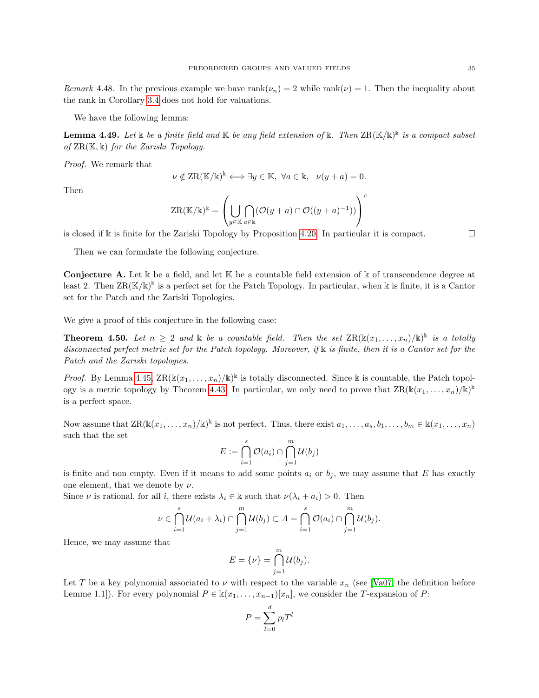Remark 4.48. In the previous example we have rank $(\nu_n) = 2$  while rank $(\nu) = 1$ . Then the inequality about the rank in Corollary [3.4](#page-15-1) does not hold for valuations.

We have the following lemma:

<span id="page-34-1"></span>**Lemma 4.49.** Let  $\Bbbk$  be a finite field and  $\Bbbk$  be any field extension of  $\Bbbk$ . Then  $\operatorname{ZR}(\Bbbk/\Bbbk)^{\Bbbk}$  is a compact subset of  $\operatorname{ZR}(\mathbb{K}, \mathbb{k})$  for the Zariski Topology.

Proof. We remark that

$$
\nu \notin \text{ZR}(\mathbb{K}/\mathbb{k})^{\mathbb{k}} \Longleftrightarrow \exists y \in \mathbb{K}, \ \forall a \in \mathbb{k}, \ \nu(y+a) = 0.
$$

Then

$$
ZR(\mathbb{K}/\mathbb{k})^{\mathbb{k}} = \left(\bigcup_{y \in \mathbb{K}} \bigcap_{a \in \mathbb{k}} (\mathcal{O}(y+a) \cap \mathcal{O}((y+a)^{-1}))\right)^c
$$

is closed if k is finite for the Zariski Topology by Proposition [4.20.](#page-27-1) In particular it is compact.

Then we can formulate the following conjecture.

Conjecture A. Let k be a field, and let K be a countable field extension of k of transcendence degree at least 2. Then  $\text{ZR}(\mathbb{K}/\mathbb{k})^{\mathbb{k}}$  is a perfect set for the Patch Topology. In particular, when k is finite, it is a Cantor set for the Patch and the Zariski Topologies.

We give a proof of this conjecture in the following case:

<span id="page-34-0"></span>**Theorem 4.50.** Let  $n \geq 2$  and  $\Bbbk$  be a countable field. Then the set  $\text{ZR}(\Bbbk(x_1,\ldots,x_n)/\Bbbk)^{\Bbbk}$  is a totally disconnected perfect metric set for the Patch topology. Moreover, if k is finite, then it is a Cantor set for the Patch and the Zariski topologies.

*Proof.* By Lemma [4.45,](#page-32-0)  $\text{ZR}(\mathbb{K}(x_1,\ldots,x_n)/\mathbb{K})^{\mathbb{K}}$  is totally disconnected. Since k is countable, the Patch topol-ogy is a metric topology by Theorem [4.43.](#page-31-0) In particular, we only need to prove that  $\text{ZR}(\mathbb{K}(x_1, \ldots, x_n)/\mathbb{K})^{\mathbb{K}}$ is a perfect space.

Now assume that  $\text{ZR}(\mathbb{K}(x_1,\ldots,x_n)/\mathbb{K})^{\mathbb{K}}$  is not perfect. Thus, there exist  $a_1,\ldots,a_s,b_1,\ldots,b_m\in\mathbb{K}(x_1,\ldots,x_n)$ such that the set

$$
E := \bigcap_{i=1}^s \mathcal{O}(a_i) \cap \bigcap_{j=1}^m \mathcal{U}(b_j)
$$

is finite and non empty. Even if it means to add some points  $a_i$  or  $b_j$ , we may assume that E has exactly one element, that we denote by  $\nu$ .

Since  $\nu$  is rational, for all i, there exists  $\lambda_i \in \mathbb{k}$  such that  $\nu(\lambda_i + a_i) > 0$ . Then

$$
\nu \in \bigcap_{i=1}^s \mathcal{U}(a_i + \lambda_i) \cap \bigcap_{j=1}^m \mathcal{U}(b_j) \subset A = \bigcap_{i=1}^s \mathcal{O}(a_i) \cap \bigcap_{j=1}^m \mathcal{U}(b_j).
$$

Hence, we may assume that

$$
E = \{\nu\} = \bigcap_{j=1}^{m} \mathcal{U}(b_j).
$$

Let T be a key polynomial associated to  $\nu$  with respect to the variable  $x_n$  (see [\[Va07,](#page-36-22) the definition before Lemme 1.1]). For every polynomial  $P \in \mathbb{k}(x_1, \ldots, x_{n-1})[x_n]$ , we consider the T-expansion of P:

$$
P = \sum_{l=0}^{d} p_l T^l
$$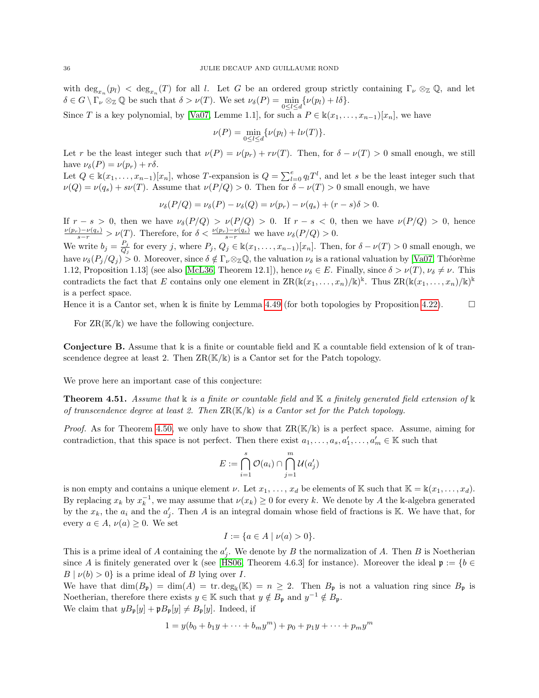with  $\deg_{x_n}(p_l) < \deg_{x_n}(T)$  for all l. Let G be an ordered group strictly containing  $\Gamma_{\nu} \otimes_{\mathbb{Z}} \mathbb{Q}$ , and let  $\delta \in G \setminus \Gamma_{\nu} \otimes_{\mathbb{Z}} \mathbb{Q}$  be such that  $\delta > \nu(T)$ . We set  $\nu_{\delta}(P) = \min_{0 \leq l \leq d} {\{\nu(p_l) + l\delta\}}.$ 

Since T is a key polynomial, by [\[Va07,](#page-36-22) Lemme 1.1], for such a  $P \in \mathbb{k}(x_1, \ldots, x_{n-1})[x_n]$ , we have

$$
\nu(P) = \min_{0 \leq l \leq d} \{ \nu(p_l) + l\nu(T) \}.
$$

Let r be the least integer such that  $\nu(P) = \nu(p_r) + r\nu(T)$ . Then, for  $\delta - \nu(T) > 0$  small enough, we still have  $\nu_{\delta}(P) = \nu(p_r) + r\delta$ .

Let  $Q \in \mathbb{k}(x_1,\ldots,x_{n-1})[x_n]$ , whose T-expansion is  $Q = \sum_{l=0}^e q_l T^l$ , and let s be the least integer such that  $\nu(Q) = \nu(q_s) + s\nu(T)$ . Assume that  $\nu(P/Q) > 0$ . Then for  $\delta - \nu(T) > 0$  small enough, we have

$$
\nu_{\delta}(P/Q) = \nu_{\delta}(P) - \nu_{\delta}(Q) = \nu(p_r) - \nu(q_s) + (r - s)\delta > 0.
$$

If  $r - s > 0$ , then we have  $\nu_{\delta}(P/Q) > \nu(P/Q) > 0$ . If  $r - s < 0$ , then we have  $\nu(P/Q) > 0$ , hence  $\frac{\nu(p_r)-\nu(q_s)}{s-r} > \nu(T)$ . Therefore, for  $\delta < \frac{\nu(p_r)-\nu(q_s)}{s-r}$  we have  $\nu_{\delta}(P/Q) > 0$ .

We write  $b_j = \frac{P_j}{Q_j}$  $\frac{P_j}{Q_j}$  for every j, where  $P_j, Q_j \in \mathbb{k}(x_1, \ldots, x_{n-1})[x_n]$ . Then, for  $\delta - \nu(T) > 0$  small enough, we have  $\nu_{\delta}(P_j/Q_j) > 0$ . Moreover, since  $\delta \notin \Gamma_{\nu} \otimes_{\mathbb{Z}} \mathbb{Q}$ , the valuation  $\nu_{\delta}$  is a rational valuation by [\[Va07,](#page-36-22) Théorème 1.12, Proposition 1.13] (see also [\[McL36,](#page-36-23) Theorem 12.1]), hence  $\nu_{\delta} \in E$ . Finally, since  $\delta > \nu(T)$ ,  $\nu_{\delta} \neq \nu$ . This contradicts the fact that E contains only one element in  $\operatorname{ZR}(\Bbbk(x_1,\ldots,x_n)/\Bbbk)^\Bbbk$ . Thus  $\operatorname{ZR}(\Bbbk(x_1,\ldots,x_n)/\Bbbk)^\Bbbk$ is a perfect space.

Hence it is a Cantor set, when k is finite by Lemma [4.49](#page-34-1) (for both topologies by Proposition [4.22\)](#page-28-0).  $\Box$ 

For  $\operatorname{ZR}(\mathbb{K}/\mathbb{k})$  we have the following conjecture.

**Conjecture B.** Assume that  $\Bbbk$  is a finite or countable field and  $\Bbbk$  a countable field extension of  $\Bbbk$  of transcendence degree at least 2. Then  $\text{ZR}(\mathbb{K}/\mathbb{K})$  is a Cantor set for the Patch topology.

We prove here an important case of this conjecture:

<span id="page-35-0"></span>**Theorem 4.51.** Assume that  $\&$  is a finite or countable field and  $\&$  a finitely generated field extension of  $\&$ of transcendence degree at least 2. Then  $\text{ZR}(\mathbb{K}/\mathbb{K})$  is a Cantor set for the Patch topology.

*Proof.* As for Theorem [4.50,](#page-34-0) we only have to show that  $\operatorname{ZR}(\mathbb{K}/\mathbb{K})$  is a perfect space. Assume, aiming for contradiction, that this space is not perfect. Then there exist  $a_1, \ldots, a_s, a'_1, \ldots, a'_m \in \mathbb{K}$  such that

$$
E := \bigcap_{i=1}^s \mathcal{O}(a_i) \cap \bigcap_{j=1}^m \mathcal{U}(a'_j)
$$

is non empty and contains a unique element  $\nu$ . Let  $x_1, \ldots, x_d$  be elements of K such that  $\mathbb{K} = \mathbb{k}(x_1, \ldots, x_d)$ . By replacing  $x_k$  by  $x_k^{-1}$ , we may assume that  $\nu(x_k) \geq 0$  for every k. We denote by A the k-algebra generated by the  $x_k$ , the  $a_i$  and the  $a'_j$ . Then A is an integral domain whose field of fractions is K. We have that, for every  $a \in A$ ,  $\nu(a) \geq 0$ . We set

$$
I := \{ a \in A \mid \nu(a) > 0 \}.
$$

This is a prime ideal of A containing the  $a'_j$ . We denote by B the normalization of A. Then B is Noetherian since A is finitely generated over k (see [\[HS06,](#page-36-5) Theorem 4.6.3] for instance). Moreover the ideal  $\mathfrak{p} := \{b \in$  $B | \nu(b) > 0$  is a prime ideal of B lying over I.

We have that  $\dim(B_{\mathfrak{p}}) = \dim(A) = \text{tr.deg}_{\mathbb{k}}(\mathbb{K}) = n \geq 2$ . Then  $B_{\mathfrak{p}}$  is not a valuation ring since  $B_{\mathfrak{p}}$  is Noetherian, therefore there exists  $y \in \mathbb{K}$  such that  $y \notin B_{\mathfrak{p}}$  and  $y^{-1} \notin B_{\mathfrak{p}}$ . We claim that  $yB_{\mathfrak{p}}[y] + \mathfrak{p}B_{\mathfrak{p}}[y] \neq B_{\mathfrak{p}}[y]$ . Indeed, if

$$
1 = y(b_0 + b_1y + \dots + b_my^m) + p_0 + p_1y + \dots + p_my^m
$$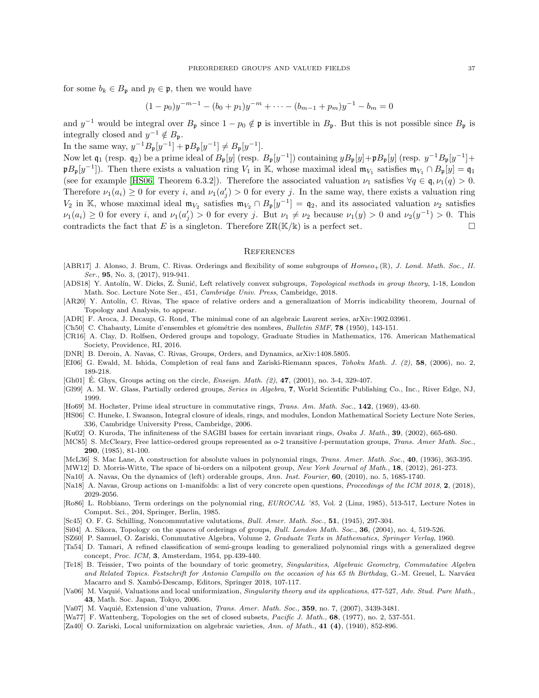for some  $b_k \in B_p$  and  $p_l \in \mathfrak{p}$ , then we would have

$$
(1-p_0)y^{-m-1} - (b_0 + p_1)y^{-m} + \dots - (b_{m-1} + p_m)y^{-1} - b_m = 0
$$

and  $y^{-1}$  would be integral over  $B_p$  since  $1 - p_0 \notin \mathfrak{p}$  is invertible in  $B_p$ . But this is not possible since  $B_p$  is integrally closed and  $y^{-1} \notin B_{\mathfrak{p}}$ .

In the same way,  $y^{-1}B_{\mathfrak{p}}[y^{-1}] + \mathfrak{p}B_{\mathfrak{p}}[y^{-1}] \neq B_{\mathfrak{p}}[y^{-1}]$ .

Now let  $\mathfrak{q}_1$  (resp.  $\mathfrak{q}_2$ ) be a prime ideal of  $B_{\mathfrak{p}}[y]$  (resp.  $B_{\mathfrak{p}}[y^{-1}]$ ) containing  $yB_{\mathfrak{p}}[y]+\mathfrak{p}_B[y]$  (resp.  $y^{-1}B_{\mathfrak{p}}[y^{-1}]+$  $p B_p[y^{-1}]$ ). Then there exists a valuation ring  $V_1$  in K, whose maximal ideal  $\mathfrak{m}_{V_1}$  satisfies  $\mathfrak{m}_{V_1} \cap B_p[y] = \mathfrak{q}_1$ (see for example [\[HS06,](#page-36-5) Theorem 6.3.2]). Therefore the associated valuation  $\nu_1$  satisfies  $\forall q \in \mathfrak{q}, \nu_1(q) > 0$ . Therefore  $\nu_1(a_i) \geq 0$  for every i, and  $\nu_1(a'_j) > 0$  for every j. In the same way, there exists a valuation ring  $V_2$  in K, whose maximal ideal  $\mathfrak{m}_{V_2}$  satisfies  $\mathfrak{m}_{V_2} \cap B_{\mathfrak{p}}[y^{-1}] = \mathfrak{q}_2$ , and its associated valuation  $\nu_2$  satisfies  $\nu_1(a_i) \geq 0$  for every i, and  $\nu_1(a'_j) > 0$  for every j. But  $\nu_1 \neq \nu_2$  because  $\nu_1(y) > 0$  and  $\nu_2(y^{-1}) > 0$ . This contradicts the fact that E is a singleton. Therefore  $\operatorname{ZR}(\mathbb{K}/\mathbb{K})$  is a perfect set.

### **REFERENCES**

- <span id="page-36-18"></span>[ABR17] J. Alonso, J. Brum, C. Rivas. Orderings and flexibility of some subgroups of  $Homeo_+(\mathbb{R})$ , J. Lond. Math. Soc., II. Ser., **95**, No. 3, (2017), 919-941.
- <span id="page-36-11"></span>[ADS18] Y. Antolín, W. Dicks, Z. Sunić, Left relatively convex subgroups, *Topological methods in group theory*, 1-18, London Math. Soc. Lecture Note Ser., 451, Cambridge Univ. Press, Cambridge, 2018.
- <span id="page-36-10"></span>[AR20] Y. Antolín, C. Rivas, The space of relative orders and a generalization of Morris indicability theorem, Journal of Topology and Analysis, to appear.
- <span id="page-36-9"></span>[ADR] F. Aroca, J. Decaup, G. Rond, The minimal cone of an algebraic Laurent series, arXiv:1902.03961.
- [Ch50] C. Chabauty, Limite d'ensembles et géométrie des nombres, Bulletin SMF, 78 (1950), 143-151.
- <span id="page-36-20"></span>[CR16] A. Clay, D. Rolfsen, Ordered groups and topology, Graduate Studies in Mathematics, 176. American Mathematical Society, Providence, RI, 2016.
- <span id="page-36-17"></span>[DNR] B. Deroin, A. Navas, C. Rivas, Groups, Orders, and Dynamics, arXiv:1408.5805.
- <span id="page-36-2"></span>[EI06] G. Ewald, M. Ishida, Completion of real fans and Zariski-Riemann spaces, Tohoku Math. J. (2), 58, (2006), no. 2, 189-218.
- <span id="page-36-13"></span>[Gh01] E. Ghys, Groups acting on the circle, *Enseign. Math.*  $(2)$ , **47**,  $(2001)$ , no. 3-4, 329-407.
- <span id="page-36-12"></span>[Gl99] A. M. W. Glass, Partially ordered groups, Series in Algebra, 7, World Scientific Publishing Co., Inc., River Edge, NJ, 1999.
- <span id="page-36-7"></span>[Ho69] M. Hochster, Prime ideal structure in commutative rings, Trans. Am. Math. Soc., 142, (1969), 43-60.
- <span id="page-36-5"></span>[HS06] C. Huneke, I. Swanson, Integral closure of ideals, rings, and modules, London Mathematical Society Lecture Note Series, 336, Cambridge University Press, Cambridge, 2006.
- <span id="page-36-0"></span>[Ku02] O. Kuroda, The infiniteness of the SAGBI bases for certain invariant rings, Osaka J. Math., 39, (2002), 665-680.
- <span id="page-36-14"></span>[MC85] S. McCleary, Free lattice-ordered groups represented as  $o-2$  transitive *l*-permutation groups, *Trans. Amer Math. Soc.*, 290, (1985), 81-100.
- <span id="page-36-23"></span>[McL36] S. Mac Lane, A construction for absolute values in polynomial rings, Trans. Amer. Math. Soc., 40, (1936), 363-395.
- <span id="page-36-16"></span>[MW12] D. Morris-Witte, The space of bi-orders on a nilpotent group, New York Journal of Math., 18, (2012), 261-273.
- <span id="page-36-15"></span>[Na10] A. Navas, On the dynamics of (left) orderable groups, Ann. Inst. Fourier, 60, (2010), no. 5, 1685-1740.
- [Na18] A. Navas, Group actions on 1-manifolds: a list of very concrete open questions, *Proceedings of the ICM 2018*, 2, (2018), 2029-2056.
- <span id="page-36-19"></span>[Ro86] L. Robbiano, Term orderings on the polynomial ring, EUROCAL '85, Vol. 2 (Linz, 1985), 513-517, Lecture Notes in Comput. Sci., 204, Springer, Berlin, 1985.
- <span id="page-36-21"></span>[Sc45] O. F. G. Schilling, Noncommutative valutations, Bull. Amer. Math. Soc., 51, (1945), 297-304.
- <span id="page-36-1"></span>[Si04] A. Sikora, Topology on the spaces of orderings of groups, Bull. London Math. Soc., 36, (2004), no. 4, 519-526.
- <span id="page-36-6"></span>[SZ60] P. Samuel, O. Zariski, Commutative Algebra, Volume 2, Graduate Texts in Mathematics, Springer Verlag, 1960.
- [Ta54] D. Tamari, A refined classification of semi-groups leading to generalized polynomial rings with a generalized degree concept, Proc. ICM, 3, Amsterdam, 1954, pp.439-440.
- <span id="page-36-8"></span>[Te18] B. Teissier, Two points of the boundary of toric geometry, Singularities, Algebraic Geometry, Commutative Algebra and Related Topics. Festschrift for Antonio Campillo on the occasion of his 65 th Birthday, G.-M. Greuel, L. Narváez Macarro and S. Xambó-Descamp, Editors, Springer 2018, 107-117.
- <span id="page-36-4"></span>[Va06] M. Vaquié, Valuations and local uniformization, Singularity theory and its applications, 477-527, Adv. Stud. Pure Math., 43, Math. Soc. Japan, Tokyo, 2006.
- <span id="page-36-22"></span>[Va07] M. Vaquié, Extension d'une valuation, *Trans. Amer. Math. Soc.*, 359, no. 7, (2007), 3439-3481.
- [Wa77] F. Wattenberg, Topologies on the set of closed subsets, Pacific J. Math., 68, (1977), no. 2, 537-551.
- <span id="page-36-3"></span>[Za40] O. Zariski, Local uniformization on algebraic varieties, Ann. of Math., 41 (4), (1940), 852-896.